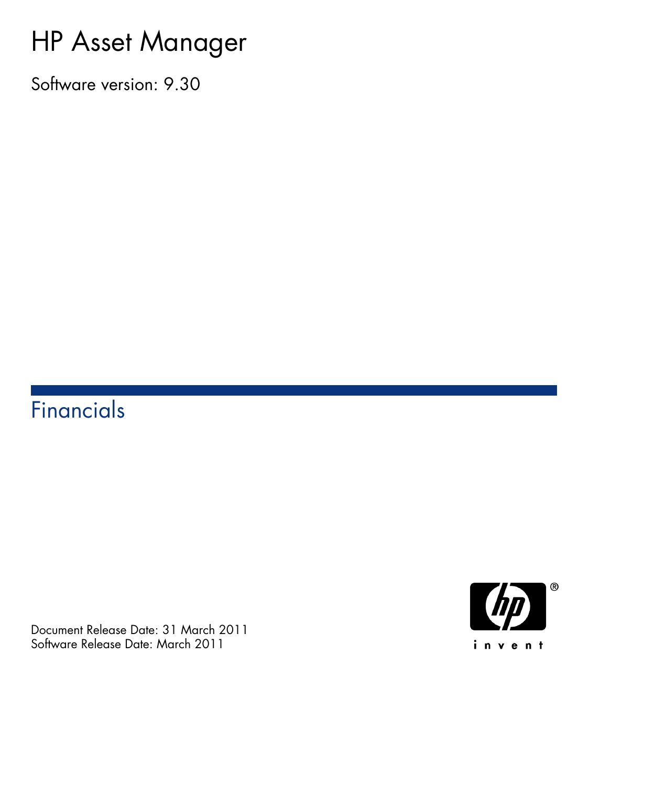# HP Asset Manager

Software version: 9.30

# **Financials**

Document Release Date: 31 March 2011 Software Release Date: March 2011

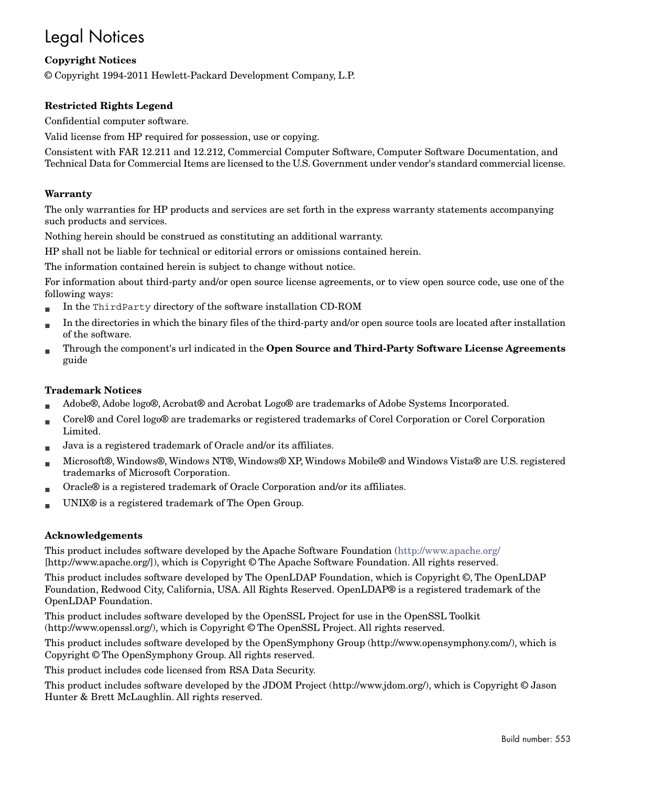# Legal Notices

#### **Copyright Notices**

© Copyright 1994-2011 Hewlett-Packard Development Company, L.P.

#### **Restricted Rights Legend**

Confidential computer software.

Valid license from HP required for possession, use or copying.

Consistent with FAR 12.211 and 12.212, Commercial Computer Software, Computer Software Documentation, and Technical Data for Commercial Items are licensed to the U.S. Government under vendor's standard commercial license.

#### **Warranty**

The only warranties for HP products and services are set forth in the express warranty statements accompanying such products and services.

Nothing herein should be construed as constituting an additional warranty.

HP shall not be liable for technical or editorial errors or omissions contained herein.

The information contained herein is subject to change without notice.

For information about third-party and/or open source license agreements, or to view open source code, use one of the following ways:

- <sup>n</sup> In the ThirdParty directory of the software installation CD-ROM
- n In the directories in which the binary files of the third-party and/or open source tools are located after installation of the software.
- n Through the component's url indicated in the **Open Source and Third-Party Software License Agreements** guide

#### **Trademark Notices**

- n Adobe®, Adobe logo®, Acrobat® and Acrobat Logo® are trademarks of Adobe Systems Incorporated.
- n Corel® and Corel logo® are trademarks or registered trademarks of Corel Corporation or Corel Corporation Limited.
- Java is a registered trademark of Oracle and/or its affiliates.
- n Microsoft®, Windows®, Windows NT®, Windows® XP, Windows Mobile® and Windows Vista® are U.S. registered trademarks of Microsoft Corporation.
- Oracle® is a registered trademark of Oracle Corporation and/or its affiliates.
- UNIX<sup>®</sup> is a registered trademark of The Open Group.

#### **Acknowledgements**

This product includes software developed by the Apache Software Foundation [\(http://www.apache.org/](http://www.apache.org/) [http://www.apache.org/]), which is Copyright © The Apache Software Foundation. All rights reserved.

This product includes software developed by The OpenLDAP Foundation, which is Copyright ©, The OpenLDAP Foundation, Redwood City, California, USA. All Rights Reserved. OpenLDAP® is a registered trademark of the OpenLDAP Foundation.

This product includes software developed by the OpenSSL Project for use in the OpenSSL Toolkit (http://www.openssl.org/), which is Copyright © The OpenSSL Project. All rights reserved.

This product includes software developed by the OpenSymphony Group (http://www.opensymphony.com/), which is Copyright © The OpenSymphony Group. All rights reserved.

This product includes code licensed from RSA Data Security.

This product includes software developed by the JDOM Project (http://www.jdom.org/), which is Copyright © Jason Hunter & Brett McLaughlin. All rights reserved.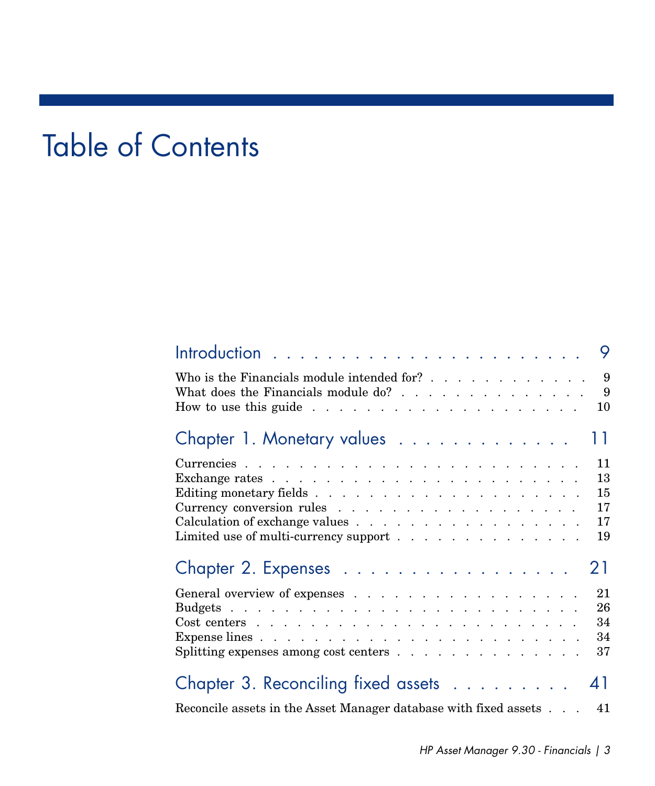# Table of Contents

|                                                                                                                 | 9                                |
|-----------------------------------------------------------------------------------------------------------------|----------------------------------|
| What does the Financials module do? 9                                                                           | 9<br>10                          |
| Chapter 1. Monetary values                                                                                      | 11                               |
| Limited use of multi-currency support                                                                           | 11<br>13<br>15<br>17<br>17<br>19 |
| Chapter 2. Expenses                                                                                             | 21                               |
| General overview of expenses<br>$Cost \text{ centers } \ldots \ldots \ldots \ldots \ldots \ldots \ldots \ldots$ | 21<br>26<br>34<br>34<br>37       |
| Chapter 3. Reconciling fixed assets                                                                             | 41                               |
| Reconcile assets in the Asset Manager database with fixed assets 41                                             |                                  |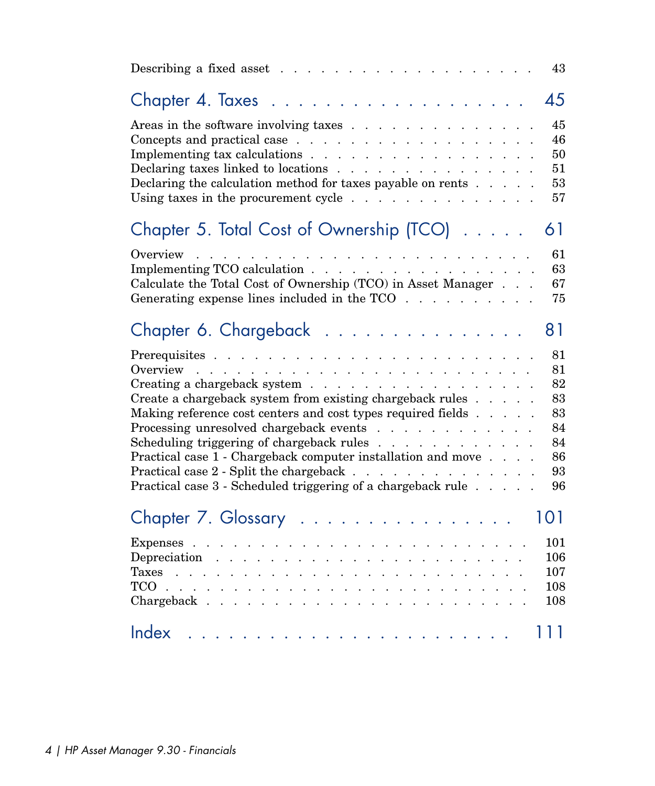|                                                                                                                                                                                                                                                                                                                                                                                              | 43                                                       |
|----------------------------------------------------------------------------------------------------------------------------------------------------------------------------------------------------------------------------------------------------------------------------------------------------------------------------------------------------------------------------------------------|----------------------------------------------------------|
|                                                                                                                                                                                                                                                                                                                                                                                              | 45                                                       |
| Areas in the software involving taxes<br>Declaring taxes linked to locations<br>Declaring the calculation method for taxes payable on rents<br>Using taxes in the procurement cycle $\ldots$                                                                                                                                                                                                 | 45<br>46<br>50<br>51<br>53<br>57                         |
| Chapter 5. Total Cost of Ownership (TCO)                                                                                                                                                                                                                                                                                                                                                     | 61                                                       |
| Implementing TCO calculation<br>Calculate the Total Cost of Ownership (TCO) in Asset Manager<br>Generating expense lines included in the TCO                                                                                                                                                                                                                                                 | 61<br>63<br>67<br>75                                     |
| Chapter 6. Chargeback                                                                                                                                                                                                                                                                                                                                                                        | 81                                                       |
| Create a chargeback system from existing chargeback rules<br>Making reference cost centers and cost types required fields<br>Processing unresolved chargeback events<br>Scheduling triggering of chargeback rules<br>Practical case 1 - Chargeback computer installation and move<br>Practical case 2 - Split the chargeback<br>Practical case 3 - Scheduled triggering of a chargeback rule | 81<br>81<br>82<br>83<br>83<br>84<br>84<br>86<br>93<br>96 |
| Chapter 7. Glossary                                                                                                                                                                                                                                                                                                                                                                          | 101<br>101<br>106<br>107<br>108<br>108                   |
| Index<br>a construction of the construction of the construction of the construction of the construction of the construction of the construction of the construction of the construction of the construction of the construction of the                                                                                                                                                       | 111                                                      |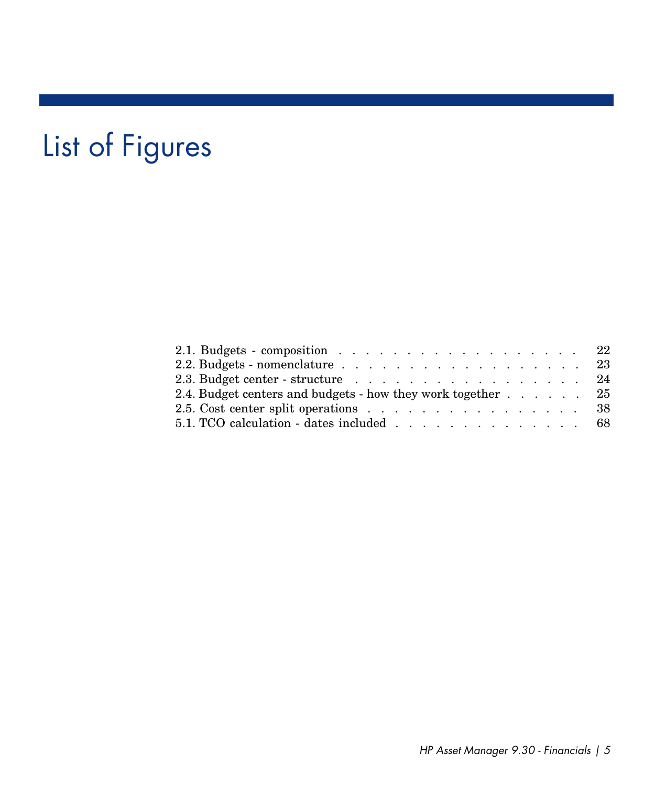# List of Figures

| 2.1. Budgets - composition $\ldots$ $\ldots$ $\ldots$ $\ldots$ $\ldots$ $\ldots$ $\ldots$ 22  |  |  |  |  |
|-----------------------------------------------------------------------------------------------|--|--|--|--|
| 2.2. Budgets - nomenclature $\ldots$ $\ldots$ $\ldots$ $\ldots$ $\ldots$ $\ldots$ $\ldots$ 23 |  |  |  |  |
| 2.3. Budget center - structure 24                                                             |  |  |  |  |
| 2.4. Budget centers and budgets - how they work together 25                                   |  |  |  |  |
| 2.5. Cost center split operations 38                                                          |  |  |  |  |
| 5.1. TCO calculation - dates included 68                                                      |  |  |  |  |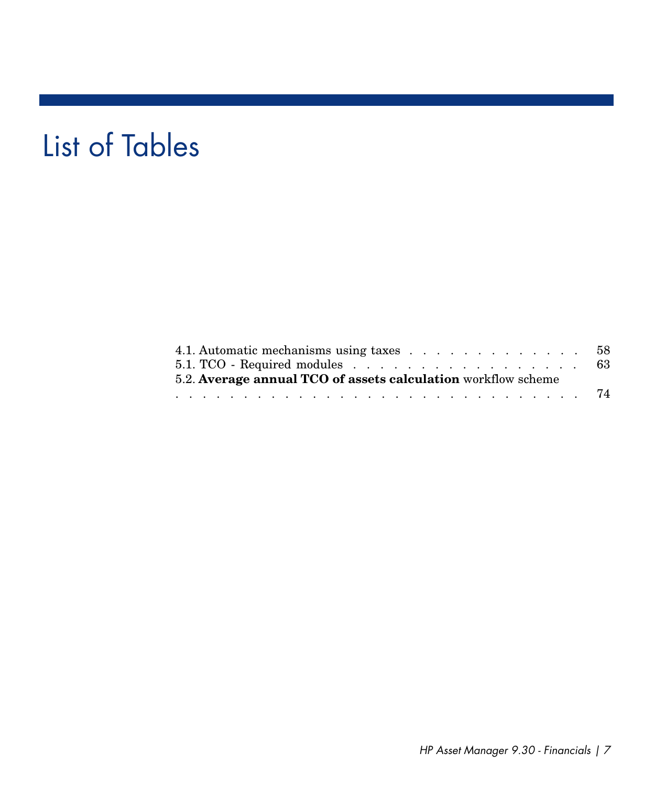# List of Tables

|  |  |  |  |  |                                                               |  |  |  |  |  |  |  |  |  | 4.1. Automatic mechanisms using taxes 58 |
|--|--|--|--|--|---------------------------------------------------------------|--|--|--|--|--|--|--|--|--|------------------------------------------|
|  |  |  |  |  |                                                               |  |  |  |  |  |  |  |  |  | 5.1. TCO - Required modules 63           |
|  |  |  |  |  |                                                               |  |  |  |  |  |  |  |  |  |                                          |
|  |  |  |  |  | 5.2. Average annual TCO of assets calculation workflow scheme |  |  |  |  |  |  |  |  |  |                                          |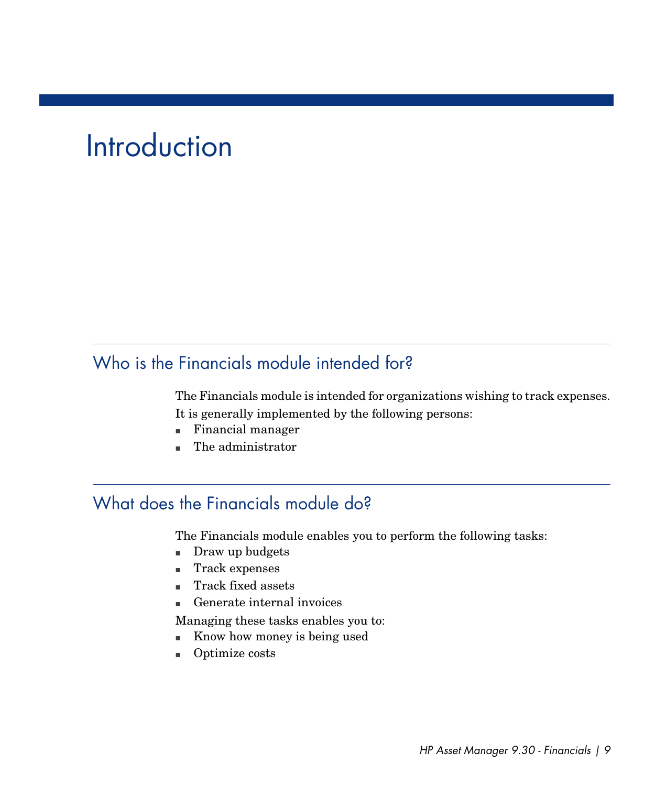# **Introduction**

# <span id="page-8-0"></span>Who is the Financials module intended for?

The Financials module is intended for organizations wishing to track expenses. It is generally implemented by the following persons:

- <span id="page-8-1"></span><sup>n</sup> Financial manager
- n The administrator

# What does the Financials module do?

The Financials module enables you to perform the following tasks:

- **n** Draw up budgets
- Track expenses
- n Track fixed assets
- $\blacksquare$  Generate internal invoices

Managing these tasks enables you to:

- Know how money is being used
- Optimize costs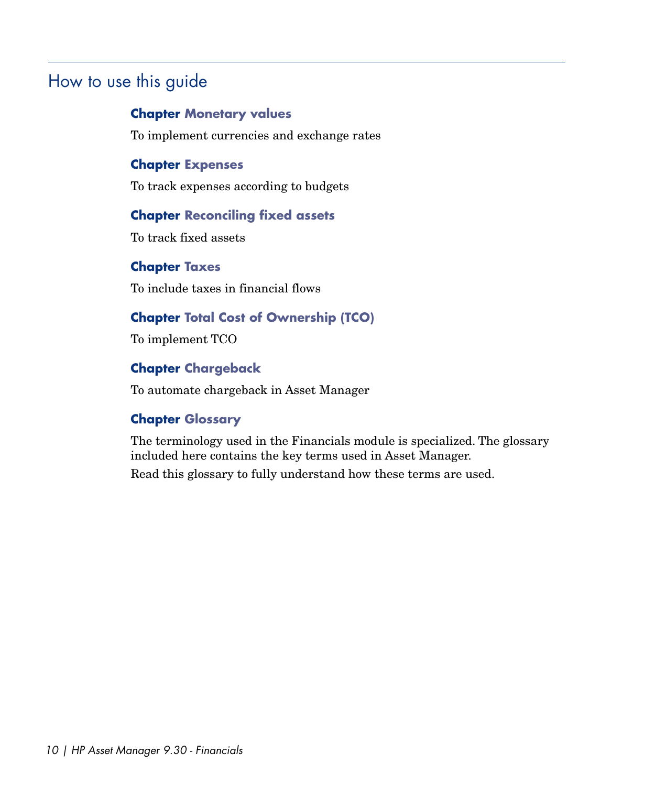# How to use this guide

#### <span id="page-9-0"></span>**Chapter [Monetary values](#page-10-0)**

To implement currencies and exchange rates

#### **Chapter [Expenses](#page-20-0)**

To track expenses according to budgets

#### **Chapter [Reconciling fixed assets](#page-40-0)**

To track fixed assets

#### **Chapter [Taxes](#page-44-0)**

To include taxes in financial flows

#### **Chapter [Total Cost of Ownership \(TCO\)](#page-60-0)**

To implement TCO

#### **Chapter [Chargeback](#page-80-0)**

To automate chargeback in Asset Manager

#### **Chapter [Glossary](#page-100-0)**

The terminology used in the Financials module is specialized. The glossary included here contains the key terms used in Asset Manager. Read this glossary to fully understand how these terms are used.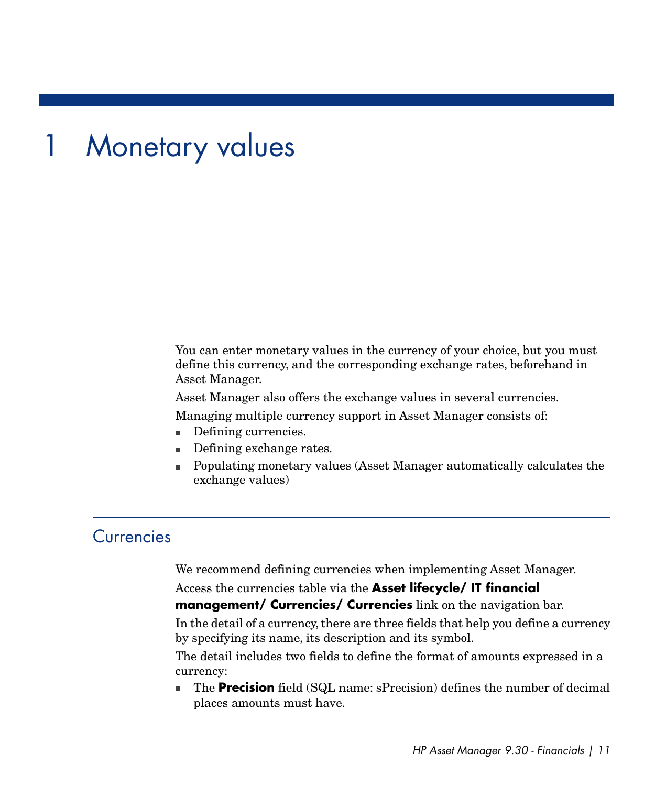# 1 Monetary values

<span id="page-10-0"></span>You can enter monetary values in the currency of your choice, but you must define this currency, and the corresponding exchange rates, beforehand in Asset Manager.

Asset Manager also offers the exchange values in several currencies.

Managing multiple currency support in Asset Manager consists of:

- Defining currencies.
- <span id="page-10-1"></span>Defining exchange rates.
- <sup>n</sup> Populating monetary values (Asset Manager automatically calculates the exchange values)

## **Currencies**

We recommend defining currencies when implementing Asset Manager.

Access the currencies table via the **Asset lifecycle/ IT financial**

**management/ Currencies/ Currencies** link on the navigation bar.

In the detail of a currency, there are three fields that help you define a currency by specifying its name, its description and its symbol.

The detail includes two fields to define the format of amounts expressed in a currency:

n The **Precision** field (SQL name: sPrecision) defines the number of decimal places amounts must have.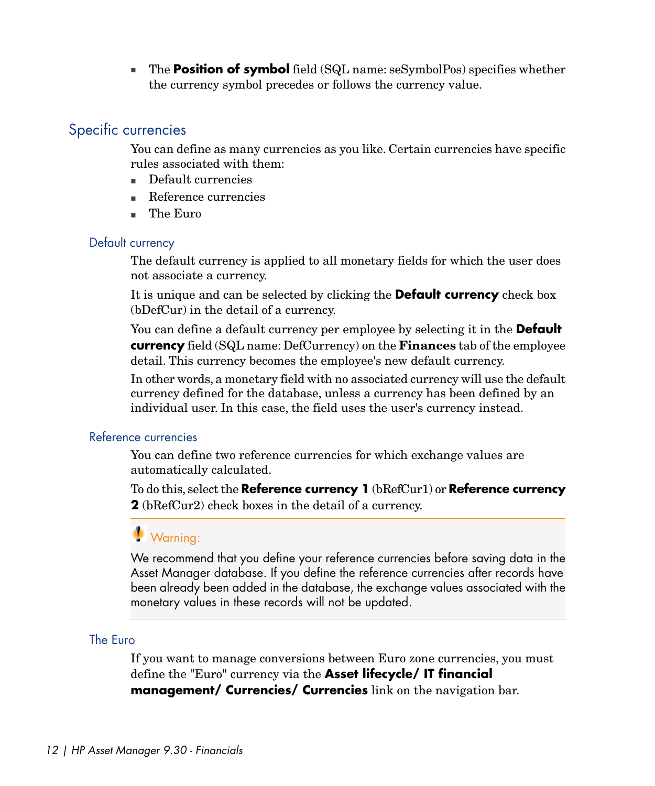**n** The **Position of symbol** field (SQL name: seSymbolPos) specifies whether the currency symbol precedes or follows the currency value.

### Specific currencies

You can define as many currencies as you like. Certain currencies have specific rules associated with them:

- Default currencies
- <sup>n</sup> Reference currencies
- The Euro

#### Default currency

The default currency is applied to all monetary fields for which the user does not associate a currency.

It is unique and can be selected by clicking the **Default currency** check box (bDefCur) in the detail of a currency.

You can define a default currency per employee by selecting it in the **Default currency** field (SQL name: DefCurrency) on the **Finances** tab of the employee detail. This currency becomes the employee's new default currency.

In other words, a monetary field with no associated currency will use the default currency defined for the database, unless a currency has been defined by an individual user. In this case, the field uses the user's currency instead.

#### Reference currencies

You can define two reference currencies for which exchange values are automatically calculated.

To do this, select the **Reference currency 1** (bRefCur1) or **Reference currency 2** (bRefCur2) check boxes in the detail of a currency.

## Warning:

We recommend that you define your reference currencies before saving data in the Asset Manager database. If you define the reference currencies after records have been already been added in the database, the exchange values associated with the monetary values in these records will not be updated.

#### The Euro

If you want to manage conversions between Euro zone currencies, you must define the "Euro" currency via the **Asset lifecycle/ IT financial management/ Currencies/ Currencies** link on the navigation bar.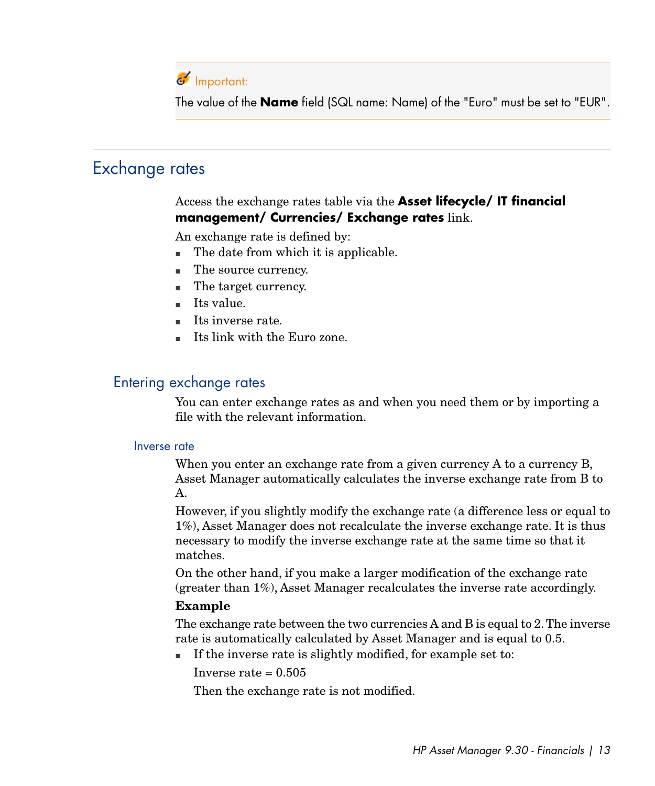

<span id="page-12-0"></span>The value of the **Name** field (SQL name: Name) of the "Euro" must be set to "EUR".

## Exchange rates

#### Access the exchange rates table via the **Asset lifecycle/ IT financial management/ Currencies/ Exchange rates** link.

An exchange rate is defined by:

- The date from which it is applicable.
- The source currency.
- The target currency.
- Its value.
- Its inverse rate.
- Its link with the Euro zone.

#### Entering exchange rates

You can enter exchange rates as and when you need them or by importing a file with the relevant information.

#### Inverse rate

When you enter an exchange rate from a given currency A to a currency B, Asset Manager automatically calculates the inverse exchange rate from B to A.

However, if you slightly modify the exchange rate (a difference less or equal to 1%), Asset Manager does not recalculate the inverse exchange rate. It is thus necessary to modify the inverse exchange rate at the same time so that it matches.

On the other hand, if you make a larger modification of the exchange rate (greater than 1%), Asset Manager recalculates the inverse rate accordingly.

#### **Example**

The exchange rate between the two currencies A and B is equal to 2.The inverse rate is automatically calculated by Asset Manager and is equal to 0.5.

<sup>n</sup> If the inverse rate is slightly modified, for example set to:

Inverse rate  $= 0.505$ 

Then the exchange rate is not modified.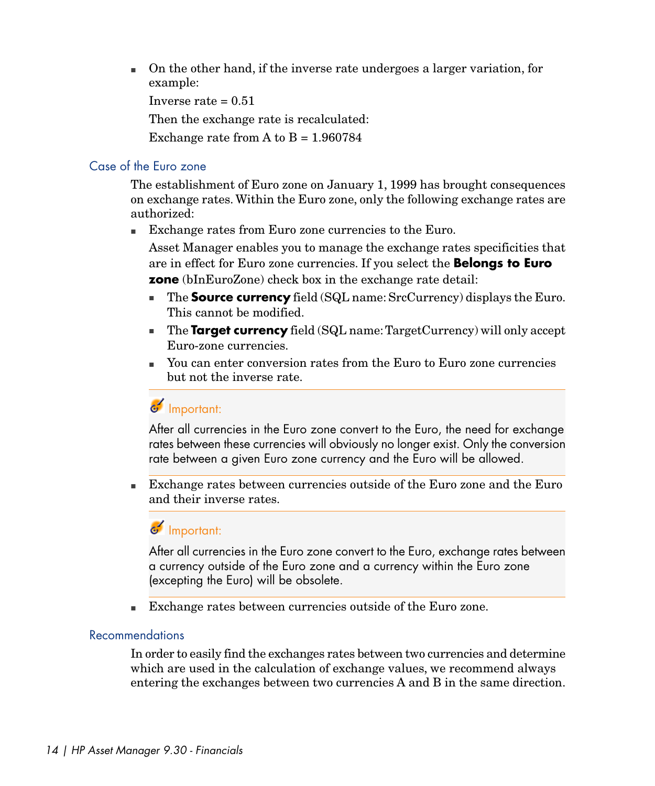n On the other hand, if the inverse rate undergoes a larger variation, for example:

Inverse rate  $= 0.51$ 

Then the exchange rate is recalculated:

Exchange rate from A to  $B = 1.960784$ 

#### Case of the Euro zone

The establishment of Euro zone on January 1, 1999 has brought consequences on exchange rates. Within the Euro zone, only the following exchange rates are authorized:

<sup>n</sup> Exchange rates from Euro zone currencies to the Euro.

Asset Manager enables you to manage the exchange rates specificities that are in effect for Euro zone currencies. If you select the **Belongs to Euro zone** (bInEuroZone) check box in the exchange rate detail:

- **n The Source currency** field (SQL name: SrcCurrency) displays the Euro. This cannot be modified.
- <sup>n</sup> The **Target currency** field (SQL name:TargetCurrency) will only accept Euro-zone currencies.
- <sup>n</sup> You can enter conversion rates from the Euro to Euro zone currencies but not the inverse rate.

## Important:

After all currencies in the Euro zone convert to the Euro, the need for exchange rates between these currencies will obviously no longer exist. Only the conversion rate between a given Euro zone currency and the Euro will be allowed.

<sup>n</sup> Exchange rates between currencies outside of the Euro zone and the Euro and their inverse rates.

## Important:

After all currencies in the Euro zone convert to the Euro, exchange rates between a currency outside of the Euro zone and a currency within the Euro zone (excepting the Euro) will be obsolete.

Exchange rates between currencies outside of the Euro zone.

#### Recommendations

In order to easily find the exchanges rates between two currencies and determine which are used in the calculation of exchange values, we recommend always entering the exchanges between two currencies A and B in the same direction.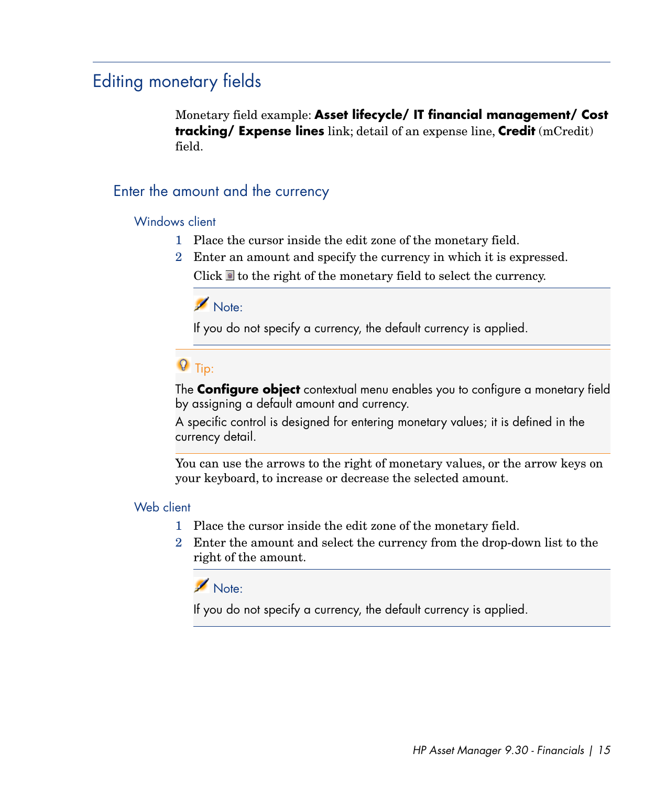## Editing monetary fields

<span id="page-14-0"></span>Monetary field example: **Asset lifecycle/ IT financial management/ Cost tracking/ Expense lines** link; detail of an expense line, **Credit** (mCredit) field.

### Enter the amount and the currency

#### Windows client

- 1 Place the cursor inside the edit zone of the monetary field.
- 2 Enter an amount and specify the currency in which it is expressed.

Click  $\blacksquare$  to the right of the monetary field to select the currency.

## Note:

If you do not specify a currency, the default currency is applied.

## $Q$  Tip:

The **Configure object** contextual menu enables you to configure a monetary field by assigning a default amount and currency.

A specific control is designed for entering monetary values; it is defined in the currency detail.

You can use the arrows to the right of monetary values, or the arrow keys on your keyboard, to increase or decrease the selected amount.

#### Web client

- 1 Place the cursor inside the edit zone of the monetary field.
- 2 Enter the amount and select the currency from the drop-down list to the right of the amount.

## Note:

If you do not specify a currency, the default currency is applied.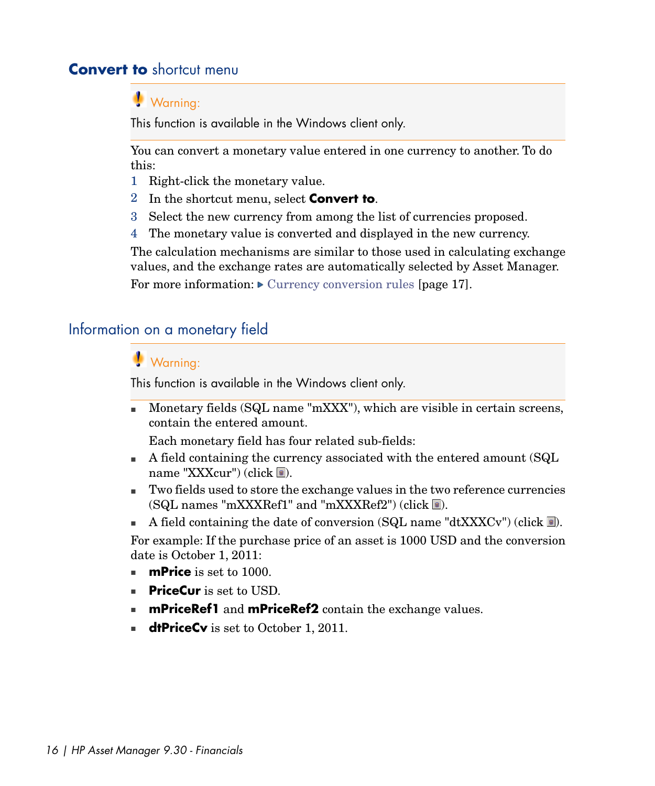## **Convert to** shortcut menu

## Warning:

This function is available in the Windows client only.

You can convert a monetary value entered in one currency to another. To do this:

- 1 Right-click the monetary value.
- 2 In the shortcut menu, select **Convert to**.
- 3 Select the new currency from among the list of currencies proposed.
- 4 The monetary value is converted and displayed in the new currency.

The calculation mechanisms are similar to those used in calculating exchange values, and the exchange rates are automatically selected by Asset Manager.

For more information:  $\triangleright$  [Currency conversion rules](#page-16-0) [page 17].

## Information on a monetary field

## Warning:

This function is available in the Windows client only.

<sup>n</sup> Monetary fields (SQL name "mXXX"), which are visible in certain screens, contain the entered amount.

Each monetary field has four related sub-fields:

- <sup>n</sup> A field containing the currency associated with the entered amount (SQL name "XXXcur") (click  $\epsilon$ ).
- <sup>n</sup> Two fields used to store the exchange values in the two reference currencies  $(SQL$  names "mXXXRef1" and "mXXXRef2") (click  $\blacksquare$ ).
- A field containing the date of conversion (SQL name "dtXXXCv") (click  $\blacksquare$ ).

For example: If the purchase price of an asset is 1000 USD and the conversion date is October 1, 2011:

- **n Price** is set to 1000
- **PriceCur** is set to USD.
- <sup>n</sup> **mPriceRef1** and **mPriceRef2** contain the exchange values.
- **dtPriceCv** is set to October 1, 2011.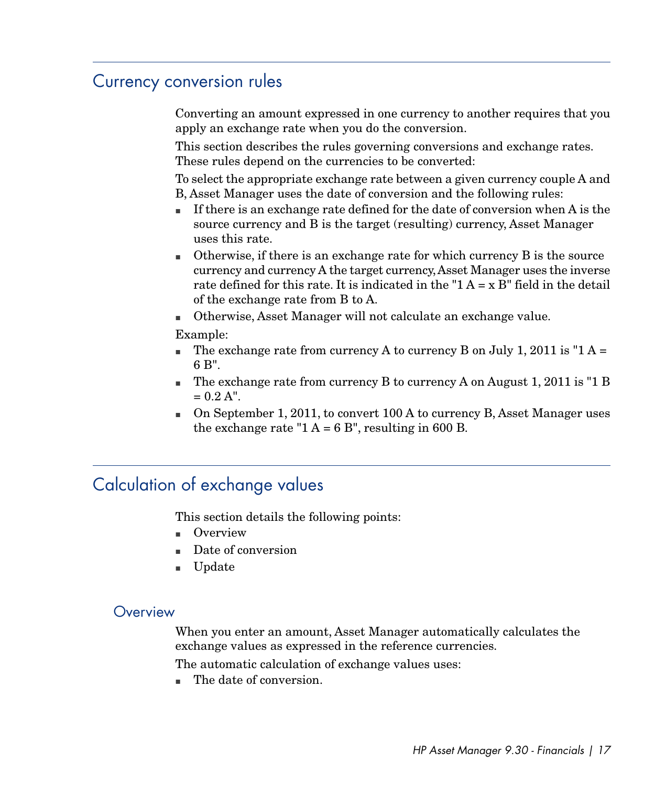## Currency conversion rules

<span id="page-16-0"></span>Converting an amount expressed in one currency to another requires that you apply an exchange rate when you do the conversion.

This section describes the rules governing conversions and exchange rates. These rules depend on the currencies to be converted:

To select the appropriate exchange rate between a given currency couple A and B, Asset Manager uses the date of conversion and the following rules:

- If there is an exchange rate defined for the date of conversion when A is the source currency and B is the target (resulting) currency, Asset Manager uses this rate.
- <sup>n</sup> Otherwise, if there is an exchange rate for which currency B is the source currency and currency A the target currency,Asset Manager uses the inverse rate defined for this rate. It is indicated in the " $1 A = x B$ " field in the detail of the exchange rate from B to A.
- Otherwise, Asset Manager will not calculate an exchange value.

#### Example:

- n The exchange rate from currency A to currency B on July 1, 2011 is "1 A = 6 B".
- n The exchange rate from currency B to currency A on August 1, 2011 is "1 B  $= 0.2$  A".
- <span id="page-16-1"></span>n On September 1, 2011, to convert 100 A to currency B, Asset Manager uses the exchange rate " $1 A = 6 B$ ", resulting in 600 B.

## Calculation of exchange values

This section details the following points:

- $\blacksquare$  Overview
- Date of conversion
- Update

#### **Overview**

When you enter an amount, Asset Manager automatically calculates the exchange values as expressed in the reference currencies.

The automatic calculation of exchange values uses:

n The date of conversion.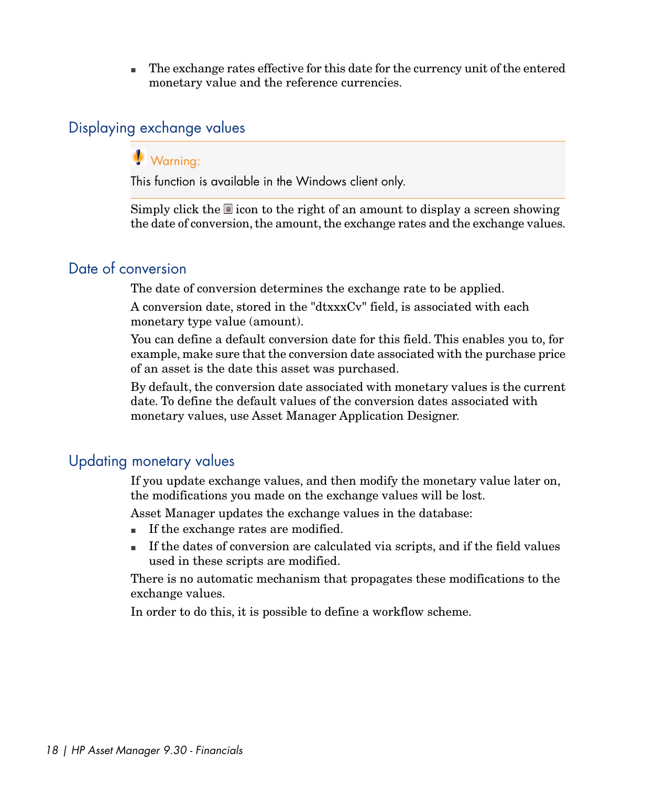<sup>n</sup> The exchange rates effective for this date for the currency unit of the entered monetary value and the reference currencies.

## Displaying exchange values

## Warning:

This function is available in the Windows client only.

Simply click the  $\blacksquare$  icon to the right of an amount to display a screen showing the date of conversion, the amount, the exchange rates and the exchange values.

## Date of conversion

The date of conversion determines the exchange rate to be applied.

A conversion date, stored in the "dtxxxCv" field, is associated with each monetary type value (amount).

You can define a default conversion date for this field. This enables you to, for example, make sure that the conversion date associated with the purchase price of an asset is the date this asset was purchased.

By default, the conversion date associated with monetary values is the current date. To define the default values of the conversion dates associated with monetary values, use Asset Manager Application Designer.

## Updating monetary values

If you update exchange values, and then modify the monetary value later on, the modifications you made on the exchange values will be lost.

Asset Manager updates the exchange values in the database:

- If the exchange rates are modified.
- <sup>n</sup> If the dates of conversion are calculated via scripts, and if the field values used in these scripts are modified.

There is no automatic mechanism that propagates these modifications to the exchange values.

In order to do this, it is possible to define a workflow scheme.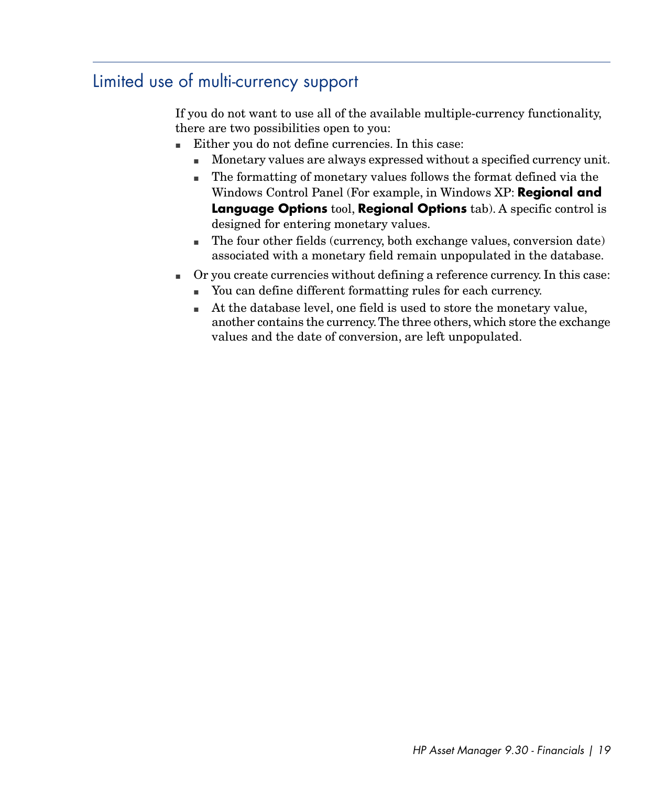# Limited use of multi-currency support

<span id="page-18-0"></span>If you do not want to use all of the available multiple-currency functionality, there are two possibilities open to you:

- <sup>n</sup> Either you do not define currencies. In this case:
	- <sup>n</sup> Monetary values are always expressed without a specified currency unit.
	- $\blacksquare$  The formatting of monetary values follows the format defined via the Windows Control Panel (For example, in Windows XP: **Regional and Language Options** tool, **Regional Options** tab). A specific control is designed for entering monetary values.
	- $\blacksquare$  The four other fields (currency, both exchange values, conversion date) associated with a monetary field remain unpopulated in the database.
- <sup>n</sup> Or you create currencies without defining a reference currency. In this case:
	- <sup>n</sup> You can define different formatting rules for each currency.
	- $\blacksquare$  At the database level, one field is used to store the monetary value, another contains the currency.The three others, which store the exchange values and the date of conversion, are left unpopulated.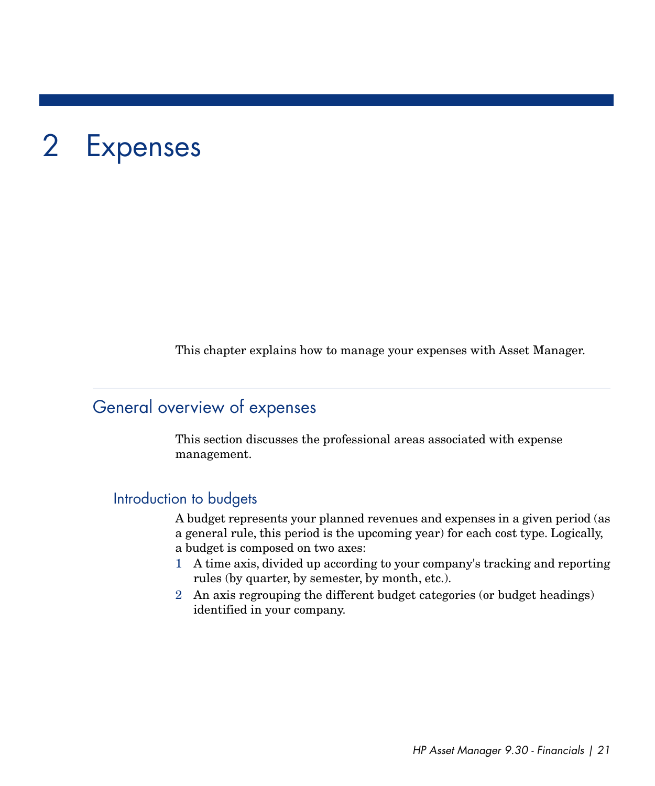# 2 Expenses

<span id="page-20-1"></span><span id="page-20-0"></span>This chapter explains how to manage your expenses with Asset Manager.

## General overview of expenses

This section discusses the professional areas associated with expense management.

### Introduction to budgets

A budget represents your planned revenues and expenses in a given period (as a general rule, this period is the upcoming year) for each cost type. Logically, a budget is composed on two axes:

- 1 A time axis, divided up according to your company's tracking and reporting rules (by quarter, by semester, by month, etc.).
- 2 An axis regrouping the different budget categories (or budget headings) identified in your company.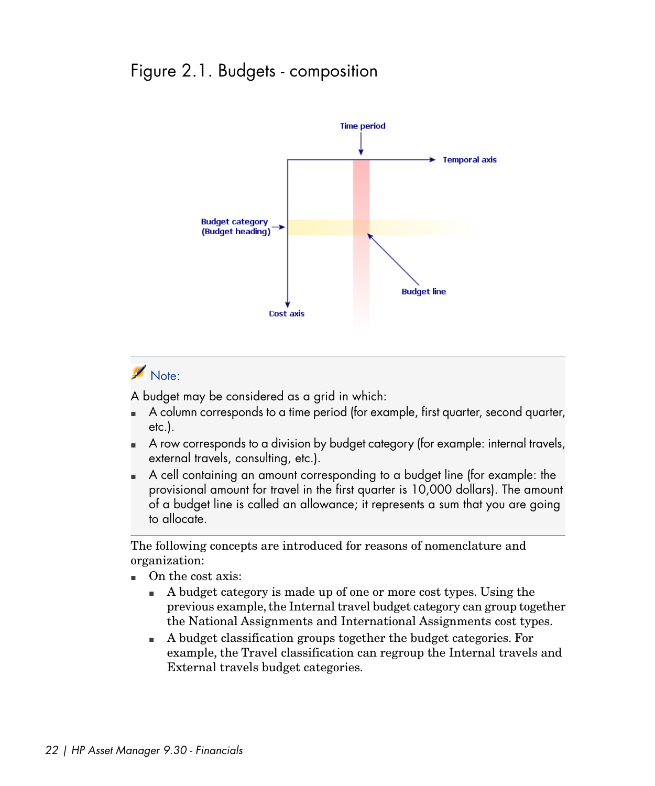## <span id="page-21-0"></span>Figure 2.1. Budgets - composition



# Note:

A budget may be considered as a grid in which:

- <sup>n</sup> A column corresponds to a time period (for example, first quarter, second quarter, etc.).
- <sup>n</sup> A row corresponds to a division by budget category (for example: internal travels, external travels, consulting, etc.).
- <sup>n</sup> A cell containing an amount corresponding to a budget line (for example: the provisional amount for travel in the first quarter is 10,000 dollars). The amount of a budget line is called an allowance; it represents a sum that you are going to allocate.

The following concepts are introduced for reasons of nomenclature and organization:

- n On the cost axis:
	- $\blacksquare$  A budget category is made up of one or more cost types. Using the previous example, the Internal travel budget category can group together the National Assignments and International Assignments cost types.
	- <sup>n</sup> A budget classification groups together the budget categories. For example, the Travel classification can regroup the Internal travels and External travels budget categories.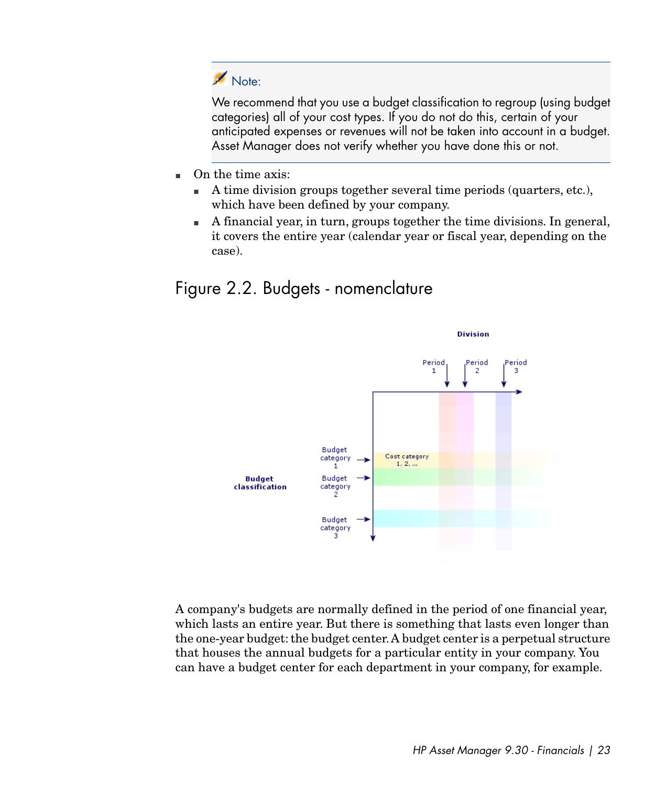## Note:

We recommend that you use a budget classification to regroup (using budget categories) all of your cost types. If you do not do this, certain of your anticipated expenses or revenues will not be taken into account in a budget. Asset Manager does not verify whether you have done this or not.

- <sup>n</sup> On the time axis:
	- <sup>n</sup> A time division groups together several time periods (quarters, etc.), which have been defined by your company.
	- <sup>n</sup> A financial year, in turn, groups together the time divisions. In general, it covers the entire year (calendar year or fiscal year, depending on the case).

# <span id="page-22-0"></span>Figure 2.2. Budgets - nomenclature



A company's budgets are normally defined in the period of one financial year, which lasts an entire year. But there is something that lasts even longer than the one-year budget: the budget center.A budget center is a perpetual structure that houses the annual budgets for a particular entity in your company. You can have a budget center for each department in your company, for example.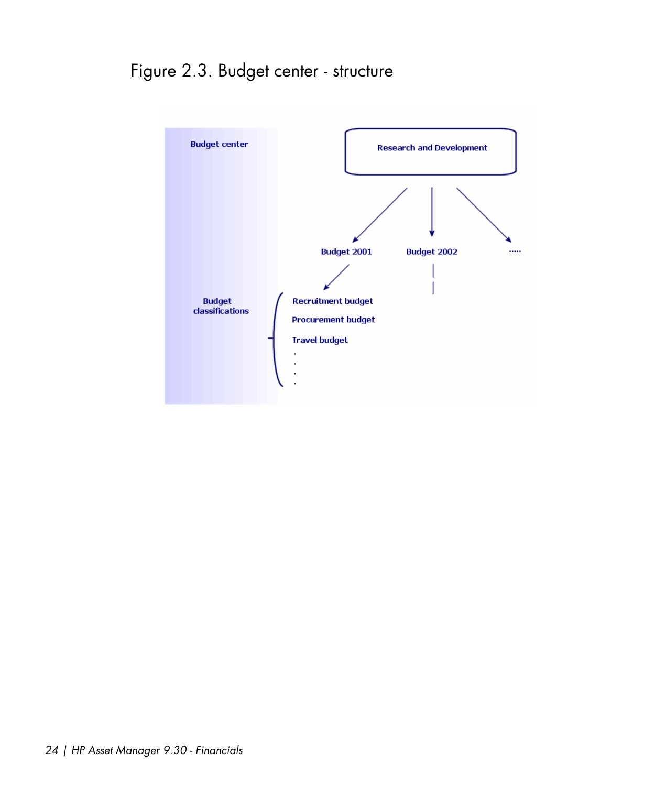<span id="page-23-0"></span>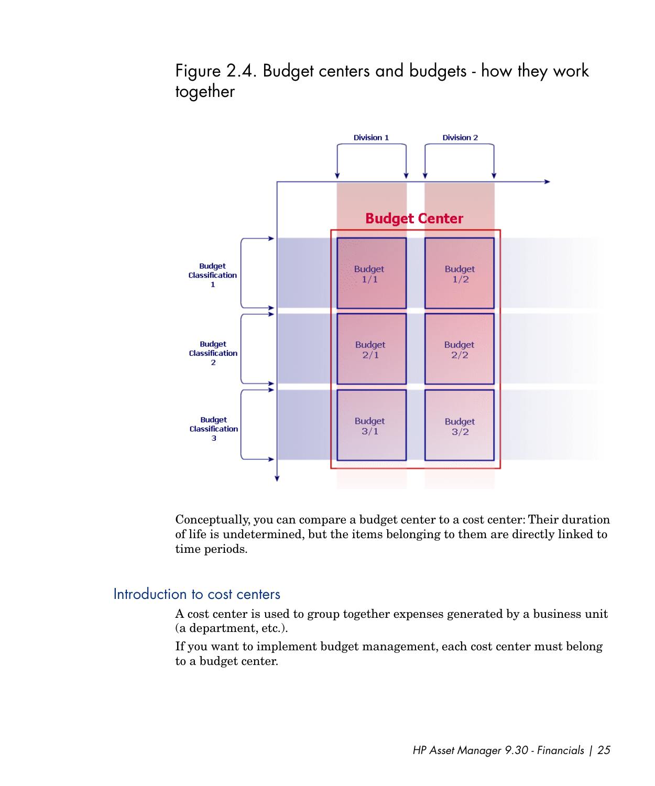<span id="page-24-0"></span>Figure 2.4. Budget centers and budgets - how they work together



Conceptually, you can compare a budget center to a cost center: Their duration of life is undetermined, but the items belonging to them are directly linked to time periods.

### Introduction to cost centers

A cost center is used to group together expenses generated by a business unit (a department, etc.).

If you want to implement budget management, each cost center must belong to a budget center.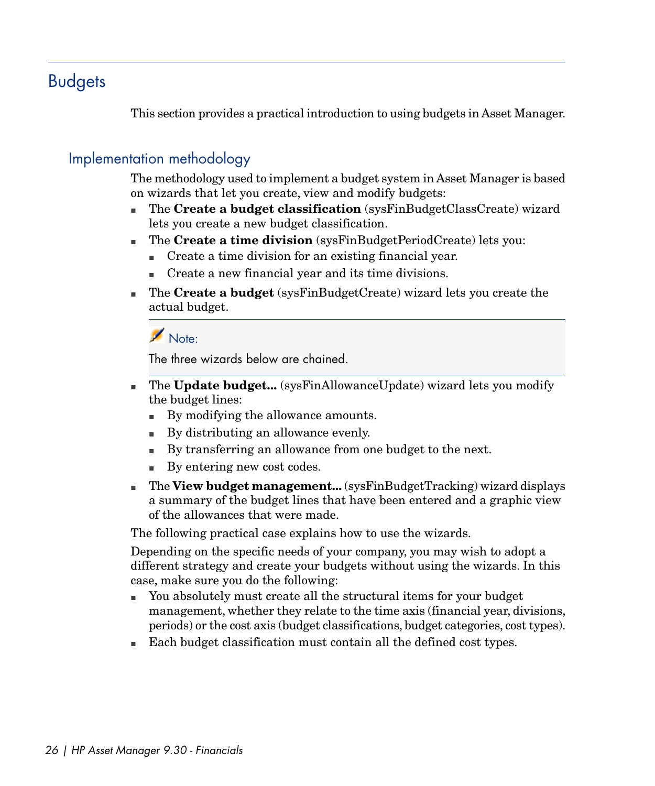# **Budgets**

<span id="page-25-0"></span>This section provides a practical introduction to using budgets in Asset Manager.

## Implementation methodology

The methodology used to implement a budget system in Asset Manager is based on wizards that let you create, view and modify budgets:

- n The **Create a budget classification** (sysFinBudgetClassCreate) wizard lets you create a new budget classification.
- The **Create a time division** (sysFinBudgetPeriodCreate) lets you:
	- <sup>n</sup> Create a time division for an existing financial year.
	- Create a new financial year and its time divisions.
- <sup>n</sup> The **Create a budget** (sysFinBudgetCreate) wizard lets you create the actual budget.

## Note:

The three wizards below are chained.

- n The **Update budget...** (sysFinAllowanceUpdate) wizard lets you modify the budget lines:
	- By modifying the allowance amounts.
	- <sup>n</sup> By distributing an allowance evenly.
	- <sup>n</sup> By transferring an allowance from one budget to the next.
	- By entering new cost codes.
- n The **View budget management...** (sysFinBudgetTracking) wizard displays a summary of the budget lines that have been entered and a graphic view of the allowances that were made.

The following practical case explains how to use the wizards.

Depending on the specific needs of your company, you may wish to adopt a different strategy and create your budgets without using the wizards. In this case, make sure you do the following:

- <sup>n</sup> You absolutely must create all the structural items for your budget management, whether they relate to the time axis (financial year, divisions, periods) or the cost axis (budget classifications, budget categories, cost types).
- Each budget classification must contain all the defined cost types.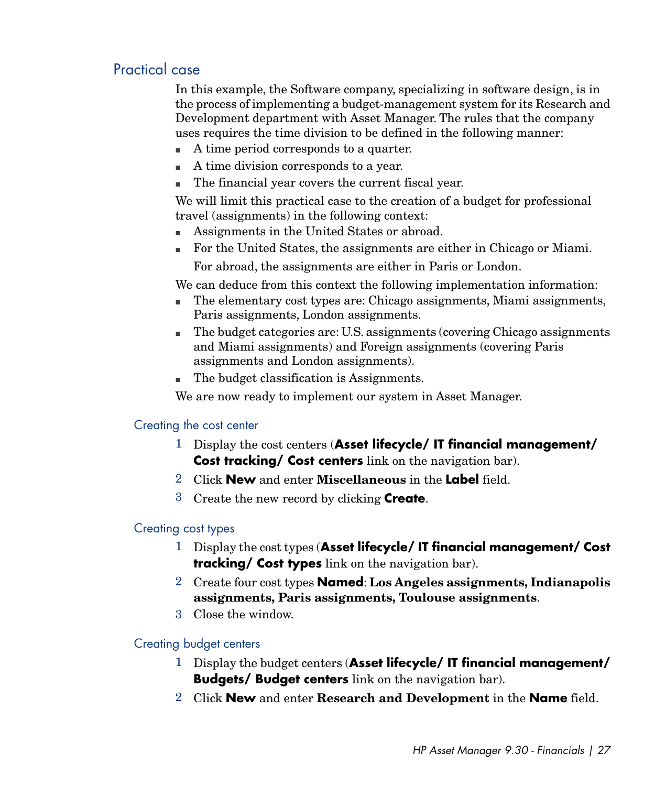### Practical case

In this example, the Software company, specializing in software design, is in the process of implementing a budget-management system for its Research and Development department with Asset Manager. The rules that the company uses requires the time division to be defined in the following manner:

- <sup>n</sup> A time period corresponds to a quarter.
- <sup>n</sup> A time division corresponds to a year.
- <sup>n</sup> The financial year covers the current fiscal year.

We will limit this practical case to the creation of a budget for professional travel (assignments) in the following context:

- <sup>n</sup> Assignments in the United States or abroad.
- <sup>n</sup> For the United States, the assignments are either in Chicago or Miami. For abroad, the assignments are either in Paris or London.

We can deduce from this context the following implementation information:

- <sup>n</sup> The elementary cost types are: Chicago assignments, Miami assignments, Paris assignments, London assignments.
- $\blacksquare$  The budget categories are: U.S. assignments (covering Chicago assignments) and Miami assignments) and Foreign assignments (covering Paris assignments and London assignments).
- The budget classification is Assignments.

We are now ready to implement our system in Asset Manager.

#### Creating the cost center

- 1 Display the cost centers (**Asset lifecycle/ IT financial management/ Cost tracking/ Cost centers** link on the navigation bar).
- 2 Click **New** and enter **Miscellaneous** in the **Label** field.
- 3 Create the new record by clicking **Create**.

#### Creating cost types

- 1 Display the cost types (**Asset lifecycle/ IT financial management/ Cost tracking/ Cost types** link on the navigation bar).
- 2 Create four cost types **Named**: **Los Angeles assignments, Indianapolis assignments, Paris assignments, Toulouse assignments**.
- 3 Close the window.

#### Creating budget centers

- 1 Display the budget centers (**Asset lifecycle/ IT financial management/ Budgets/ Budget centers** link on the navigation bar).
- 2 Click **New** and enter **Research and Development** in the **Name** field.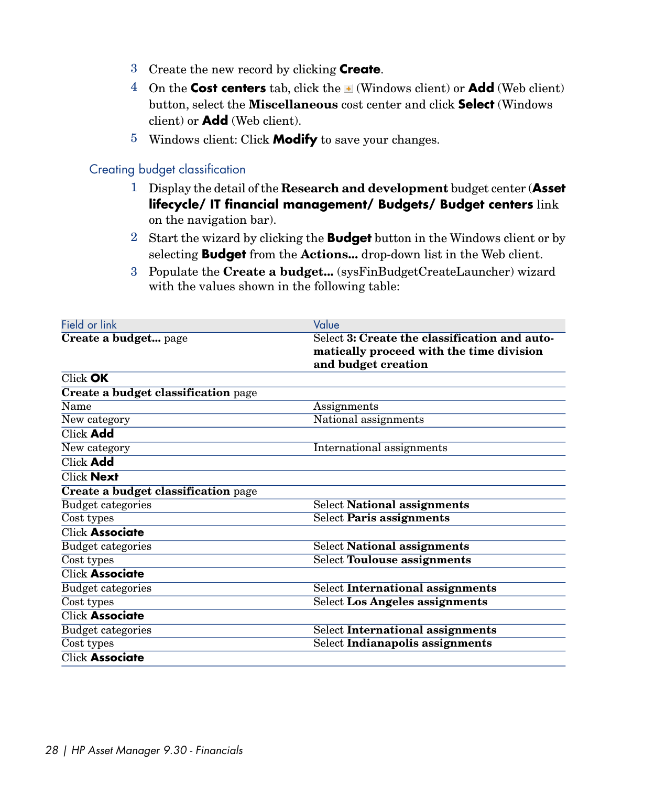- 3 Create the new record by clicking **Create**.
- 4 On the **Cost centers** tab, click the (Windows client) or **Add** (Web client) button, select the **Miscellaneous** cost center and click **Select** (Windows client) or **Add** (Web client).
- 5 Windows client: Click **Modify** to save your changes.

#### Creating budget classification

- 1 Display the detail of the **Research and development** budget center (**Asset lifecycle/ IT financial management/ Budgets/ Budget centers** link on the navigation bar).
- 2 Start the wizard by clicking the **Budget** button in the Windows client or by selecting **Budget** from the **Actions...** drop-down list in the Web client.
- 3 Populate the **Create a budget...** (sysFinBudgetCreateLauncher) wizard with the values shown in the following table:

| Field or link                       | Value                                                                                                            |
|-------------------------------------|------------------------------------------------------------------------------------------------------------------|
| Create a budget page                | Select 3: Create the classification and auto-<br>matically proceed with the time division<br>and budget creation |
| Click OK                            |                                                                                                                  |
| Create a budget classification page |                                                                                                                  |
| Name                                | Assignments                                                                                                      |
| New category                        | National assignments                                                                                             |
| Click Add                           |                                                                                                                  |
| New category                        | International assignments                                                                                        |
| Click Add                           |                                                                                                                  |
| Click Next                          |                                                                                                                  |
| Create a budget classification page |                                                                                                                  |
| Budget categories                   | <b>Select National assignments</b>                                                                               |
| Cost types                          | <b>Select Paris assignments</b>                                                                                  |
| <b>Click Associate</b>              |                                                                                                                  |
| <b>Budget categories</b>            | <b>Select National assignments</b>                                                                               |
| $\overline{\text{Cost}}$ types      | <b>Select Toulouse assignments</b>                                                                               |
| <b>Click Associate</b>              |                                                                                                                  |
| Budget categories                   | <b>Select International assignments</b>                                                                          |
| Cost types                          | <b>Select Los Angeles assignments</b>                                                                            |
| <b>Click Associate</b>              |                                                                                                                  |
| Budget categories                   | <b>Select International assignments</b>                                                                          |
| Cost types                          | Select Indianapolis assignments                                                                                  |
| <b>Click Associate</b>              |                                                                                                                  |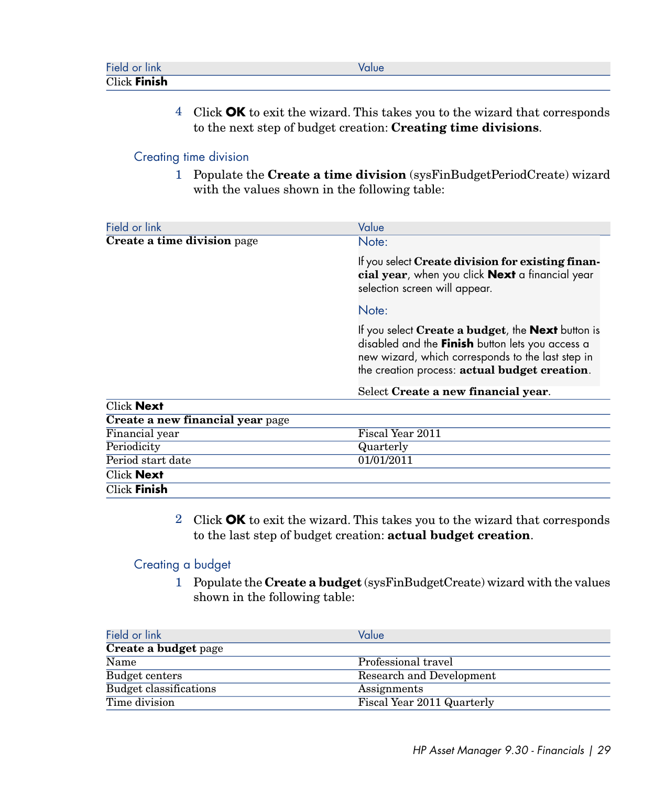| Field or<br>$\mathbf{I}$<br>≅link |  |
|-----------------------------------|--|
| Click Finish                      |  |

4 Click **OK** to exit the wizard. This takes you to the wizard that corresponds to the next step of budget creation: **Creating time divisions**.

#### Creating time division

1 Populate the **Create a time division** (sysFinBudgetPeriodCreate) wizard with the values shown in the following table:

| Field or link                    | Value                                                                                                                                                                                                                      |
|----------------------------------|----------------------------------------------------------------------------------------------------------------------------------------------------------------------------------------------------------------------------|
| Create a time division page      | Note:                                                                                                                                                                                                                      |
|                                  | If you select <b>Create division for existing finan-</b><br>cial year, when you click Next a financial year<br>selection screen will appear.                                                                               |
|                                  | Note:                                                                                                                                                                                                                      |
|                                  | If you select <b>Create a budget</b> , the <b>Next</b> button is<br>disabled and the Finish button lets you access a<br>new wizard, which corresponds to the last step in<br>the creation process: actual budget creation. |
|                                  | Select Create a new financial year.                                                                                                                                                                                        |
| Click Next                       |                                                                                                                                                                                                                            |
| Create a new financial year page |                                                                                                                                                                                                                            |
| Financial year                   | Fiscal Year 2011                                                                                                                                                                                                           |
| Periodicity                      | Quarterly                                                                                                                                                                                                                  |
| Period start date                | 01/01/2011                                                                                                                                                                                                                 |
| Click Next                       |                                                                                                                                                                                                                            |
| Click Finish                     |                                                                                                                                                                                                                            |

2 Click **OK** to exit the wizard. This takes you to the wizard that corresponds to the last step of budget creation: **actual budget creation**.

#### Creating a budget

1 Populate the **Create a budget** (sysFinBudgetCreate) wizard with the values shown in the following table:

| Field or link                 | Value                      |
|-------------------------------|----------------------------|
| Create a budget page          |                            |
| Name                          | Professional travel        |
| Budget centers                | Research and Development   |
| <b>Budget classifications</b> | Assignments                |
| Time division                 | Fiscal Year 2011 Quarterly |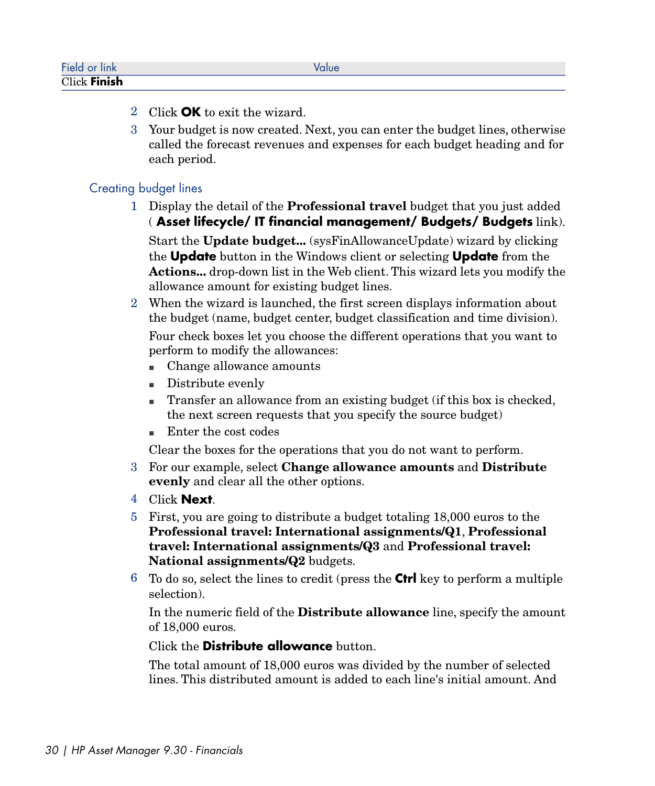- 2 Click **OK** to exit the wizard.
- 3 Your budget is now created. Next, you can enter the budget lines, otherwise called the forecast revenues and expenses for each budget heading and for each period.

#### Creating budget lines

- 1 Display the detail of the **Professional travel** budget that you just added ( **Asset lifecycle/ IT financial management/ Budgets/ Budgets** link). Start the **Update budget...** (sysFinAllowanceUpdate) wizard by clicking the **Update** button in the Windows client or selecting **Update** from the **Actions...** drop-down list in the Web client. This wizard lets you modify the allowance amount for existing budget lines.
- 2 When the wizard is launched, the first screen displays information about the budget (name, budget center, budget classification and time division).

Four check boxes let you choose the different operations that you want to perform to modify the allowances:

- $\blacksquare$  Change allowance amounts
- $\blacksquare$  Distribute evenly
- n Transfer an allowance from an existing budget (if this box is checked, the next screen requests that you specify the source budget)
- $\blacksquare$  Enter the cost codes

Clear the boxes for the operations that you do not want to perform.

- 3 For our example, select **Change allowance amounts** and **Distribute evenly** and clear all the other options.
- 4 Click **Next**.
- 5 First, you are going to distribute a budget totaling 18,000 euros to the **Professional travel: International assignments/Q1**, **Professional travel: International assignments/Q3** and **Professional travel: National assignments/Q2** budgets.
- 6 To do so, select the lines to credit (press the **Ctrl** key to perform a multiple selection).

In the numeric field of the **Distribute allowance** line, specify the amount of 18,000 euros.

#### Click the **Distribute allowance** button.

The total amount of 18,000 euros was divided by the number of selected lines. This distributed amount is added to each line's initial amount. And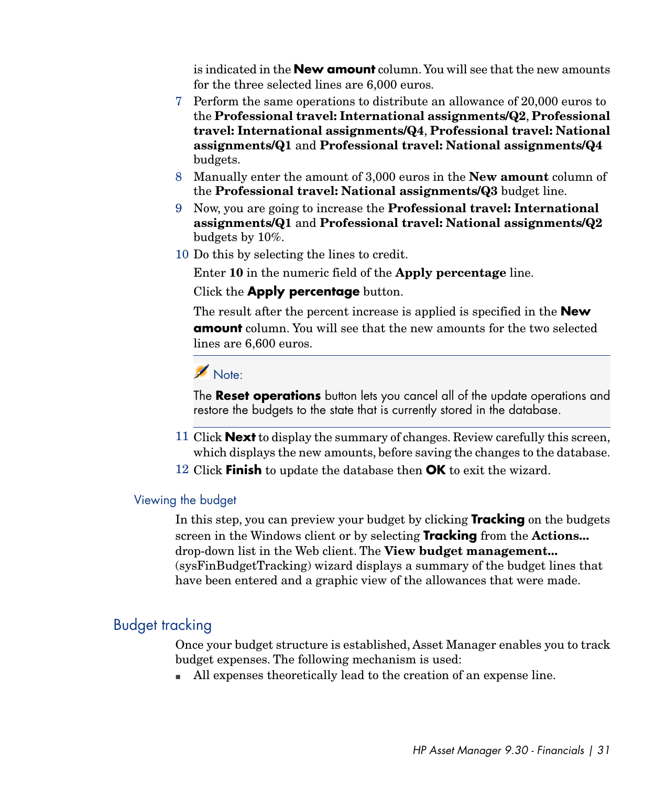is indicated in the **New amount** column.You will see that the new amounts for the three selected lines are 6,000 euros.

- 7 Perform the same operations to distribute an allowance of 20,000 euros to the **Professional travel: International assignments/Q2**, **Professional travel: International assignments/Q4**, **Professional travel: National assignments/Q1** and **Professional travel: National assignments/Q4** budgets.
- 8 Manually enter the amount of 3,000 euros in the **New amount** column of the **Professional travel: National assignments/Q3** budget line.
- 9 Now, you are going to increase the **Professional travel: International assignments/Q1** and **Professional travel: National assignments/Q2** budgets by 10%.
- 10 Do this by selecting the lines to credit.

Enter **10** in the numeric field of the **Apply percentage** line.

#### Click the **Apply percentage** button.

The result after the percent increase is applied is specified in the **New amount** column. You will see that the new amounts for the two selected lines are 6,600 euros.

## Note:

The **Reset operations** button lets you cancel all of the update operations and restore the budgets to the state that is currently stored in the database.

- 11 Click **Next** to display the summary of changes. Review carefully this screen, which displays the new amounts, before saving the changes to the database.
- 12 Click **Finish** to update the database then **OK** to exit the wizard.

#### Viewing the budget

In this step, you can preview your budget by clicking **Tracking** on the budgets screen in the Windows client or by selecting **Tracking** from the **Actions...** drop-down list in the Web client. The **View budget management...** (sysFinBudgetTracking) wizard displays a summary of the budget lines that have been entered and a graphic view of the allowances that were made.

### Budget tracking

Once your budget structure is established, Asset Manager enables you to track budget expenses. The following mechanism is used:

n All expenses theoretically lead to the creation of an expense line.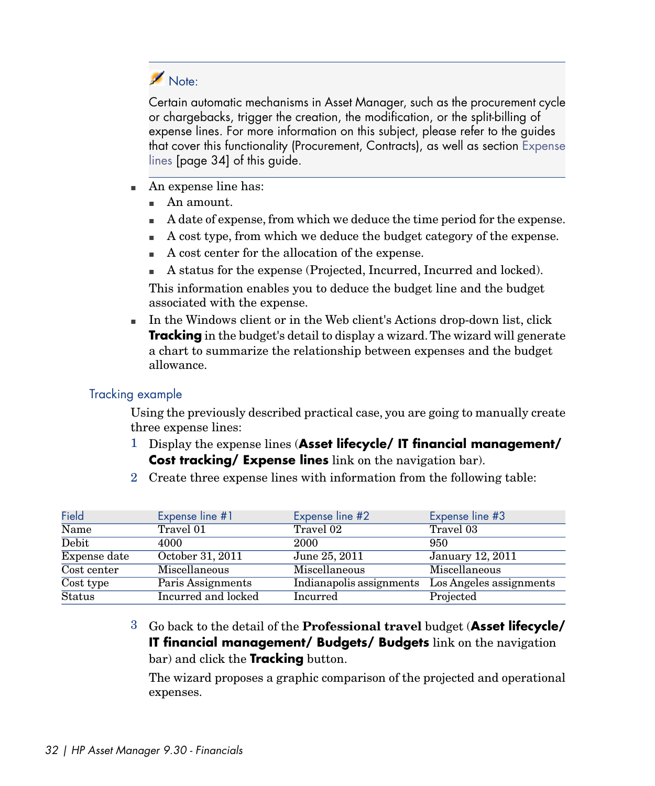# Note:

Certain automatic mechanisms in Asset Manager, such as the procurement cycle or chargebacks, trigger the creation, the modification, or the split-billing of expense lines. For more information on this subject, please refer to the guides that cover this functionality (Procurement, Contracts), as well as section [Expense](#page-33-1) [lines](#page-33-1) [page 34] of this guide.

- n An expense line has:
	- n An amount.
	- $\blacksquare$  A date of expense, from which we deduce the time period for the expense.
	- <sup>n</sup> A cost type, from which we deduce the budget category of the expense.
	- <sup>n</sup> A cost center for the allocation of the expense.
	- <sup>n</sup> A status for the expense (Projected, Incurred, Incurred and locked).

This information enables you to deduce the budget line and the budget associated with the expense.

<sup>n</sup> In the Windows client or in the Web client's Actions drop-down list, click **Tracking** in the budget's detail to display a wizard.The wizard will generate a chart to summarize the relationship between expenses and the budget allowance.

#### Tracking example

Using the previously described practical case, you are going to manually create three expense lines:

- 1 Display the expense lines (**Asset lifecycle/ IT financial management/ Cost tracking/ Expense lines** link on the navigation bar).
- 2 Create three expense lines with information from the following table:

| Field        | Expense line #1     | Expense line #2          | Expense line #3         |
|--------------|---------------------|--------------------------|-------------------------|
| Name         | Travel 01           | Travel 02                | Travel 03               |
| Debit        | 4000                | 2000                     | 950                     |
| Expense date | October 31, 2011    | June 25, 2011            | <b>January 12, 2011</b> |
| Cost center  | Miscellaneous       | Miscellaneous            | Miscellaneous           |
| Cost type    | Paris Assignments   | Indianapolis assignments | Los Angeles assignments |
| Status       | Incurred and locked | Incurred                 | Projected               |

3 Go back to the detail of the **Professional travel** budget (**Asset lifecycle/ IT financial management/ Budgets/ Budgets** link on the navigation bar) and click the **Tracking** button.

The wizard proposes a graphic comparison of the projected and operational expenses.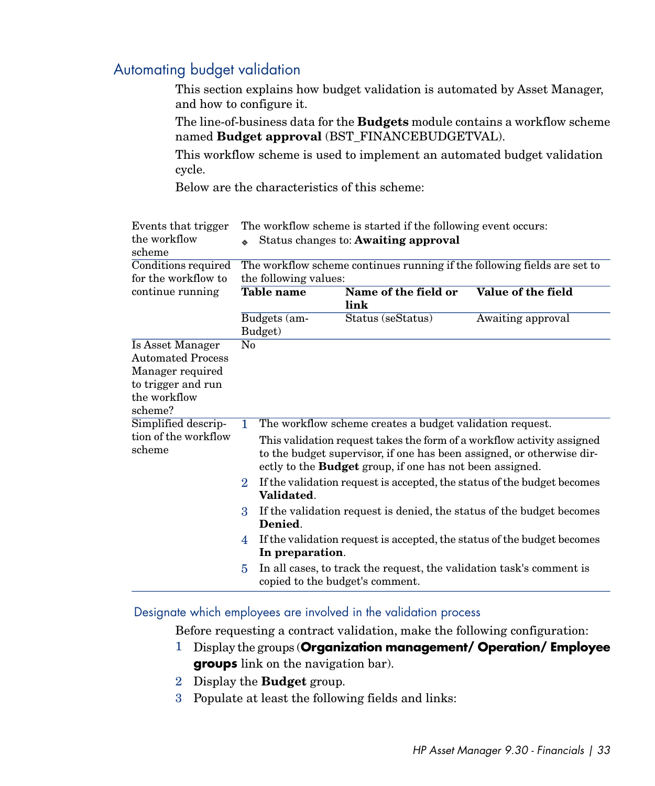## Automating budget validation

This section explains how budget validation is automated by Asset Manager, and how to configure it.

The line-of-business data for the **Budgets** module contains a workflow scheme named **Budget approval** (BST\_FINANCEBUDGETVAL).

This workflow scheme is used to implement an automated budget validation cycle.

Below are the characteristics of this scheme:

| Events that trigger      | The workflow scheme is started if the following event occurs: |                       |                                                                                                         |                                                                          |  |  |  |  |  |
|--------------------------|---------------------------------------------------------------|-----------------------|---------------------------------------------------------------------------------------------------------|--------------------------------------------------------------------------|--|--|--|--|--|
| the workflow             | Status changes to: Awaiting approval                          |                       |                                                                                                         |                                                                          |  |  |  |  |  |
| scheme                   |                                                               |                       |                                                                                                         |                                                                          |  |  |  |  |  |
| Conditions required      |                                                               |                       |                                                                                                         | The workflow scheme continues running if the following fields are set to |  |  |  |  |  |
| for the workflow to      |                                                               | the following values: |                                                                                                         |                                                                          |  |  |  |  |  |
| continue running         |                                                               | <b>Table name</b>     | Name of the field or                                                                                    | Value of the field                                                       |  |  |  |  |  |
|                          |                                                               |                       | link                                                                                                    |                                                                          |  |  |  |  |  |
|                          |                                                               | Budgets (am-          | Status (seStatus)                                                                                       | Awaiting approval                                                        |  |  |  |  |  |
|                          |                                                               | Budget)               |                                                                                                         |                                                                          |  |  |  |  |  |
| Is Asset Manager         | No                                                            |                       |                                                                                                         |                                                                          |  |  |  |  |  |
| <b>Automated Process</b> |                                                               |                       |                                                                                                         |                                                                          |  |  |  |  |  |
| Manager required         |                                                               |                       |                                                                                                         |                                                                          |  |  |  |  |  |
| to trigger and run       |                                                               |                       |                                                                                                         |                                                                          |  |  |  |  |  |
| the workflow             |                                                               |                       |                                                                                                         |                                                                          |  |  |  |  |  |
| scheme?                  |                                                               |                       |                                                                                                         |                                                                          |  |  |  |  |  |
| Simplified descrip-      | 1.                                                            |                       | The workflow scheme creates a budget validation request.                                                |                                                                          |  |  |  |  |  |
| tion of the workflow     |                                                               |                       |                                                                                                         | This validation request takes the form of a workflow activity assigned   |  |  |  |  |  |
| scheme                   |                                                               |                       |                                                                                                         | to the budget supervisor, if one has been assigned, or otherwise dir-    |  |  |  |  |  |
|                          |                                                               |                       | ectly to the <b>Budget</b> group, if one has not been assigned.                                         |                                                                          |  |  |  |  |  |
|                          | $\overline{2}$                                                |                       |                                                                                                         | If the validation request is accepted, the status of the budget becomes  |  |  |  |  |  |
|                          |                                                               | Validated.            |                                                                                                         |                                                                          |  |  |  |  |  |
|                          | 3                                                             |                       |                                                                                                         | If the validation request is denied, the status of the budget becomes    |  |  |  |  |  |
|                          |                                                               | Denied.               |                                                                                                         |                                                                          |  |  |  |  |  |
|                          | 4                                                             |                       |                                                                                                         | If the validation request is accepted, the status of the budget becomes  |  |  |  |  |  |
|                          |                                                               | In preparation.       |                                                                                                         |                                                                          |  |  |  |  |  |
|                          | 5                                                             |                       | In all cases, to track the request, the validation task's comment is<br>copied to the budget's comment. |                                                                          |  |  |  |  |  |

Designate which employees are involved in the validation process

Before requesting a contract validation, make the following configuration:

- 1 Display the groups (**Organization management/ Operation/ Employee groups** link on the navigation bar).
- 2 Display the **Budget** group.
- 3 Populate at least the following fields and links: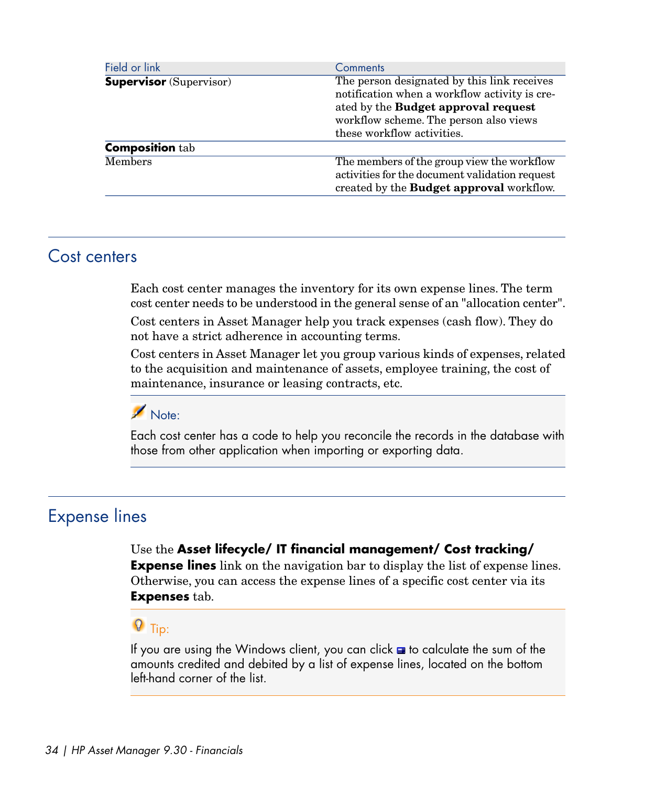| Comments                                                                                                                                                                                                           |
|--------------------------------------------------------------------------------------------------------------------------------------------------------------------------------------------------------------------|
| The person designated by this link receives<br>notification when a workflow activity is cre-<br>ated by the <b>Budget approval request</b><br>workflow scheme. The person also views<br>these workflow activities. |
|                                                                                                                                                                                                                    |
| The members of the group view the workflow<br>activities for the document validation request<br>created by the Budget approval workflow.                                                                           |
|                                                                                                                                                                                                                    |

## <span id="page-33-0"></span>Cost centers

Each cost center manages the inventory for its own expense lines. The term cost center needs to be understood in the general sense of an "allocation center".

Cost centers in Asset Manager help you track expenses (cash flow). They do not have a strict adherence in accounting terms.

Cost centers in Asset Manager let you group various kinds of expenses, related to the acquisition and maintenance of assets, employee training, the cost of maintenance, insurance or leasing contracts, etc.



<span id="page-33-1"></span>Each cost center has a code to help you reconcile the records in the database with those from other application when importing or exporting data.

## Expense lines

Use the **Asset lifecycle/ IT financial management/ Cost tracking/ Expense lines** link on the navigation bar to display the list of expense lines. Otherwise, you can access the expense lines of a specific cost center via its **Expenses** tab.

## $\overline{Q}$  Tip:

If you are using the Windows client, you can click  $\blacksquare$  to calculate the sum of the amounts credited and debited by a list of expense lines, located on the bottom left-hand corner of the list.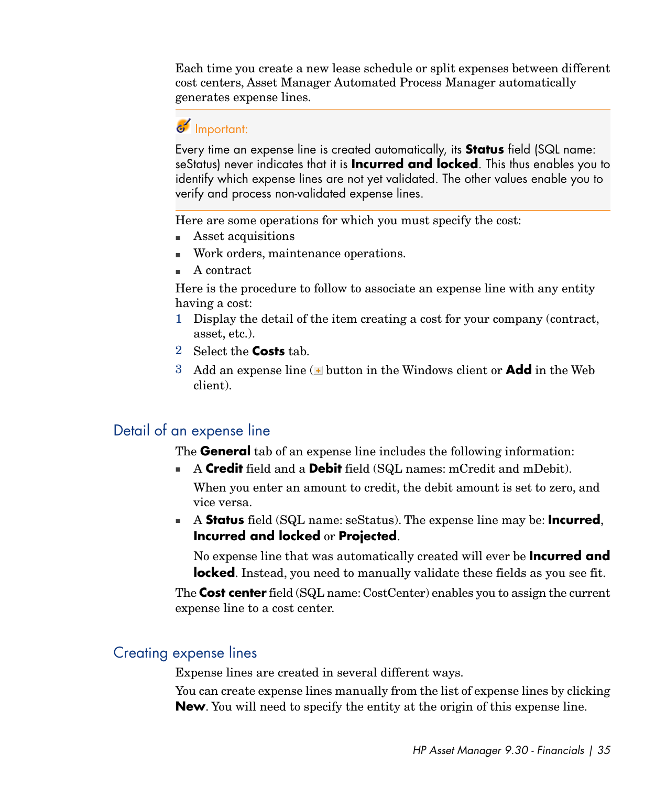Each time you create a new lease schedule or split expenses between different cost centers, Asset Manager Automated Process Manager automatically generates expense lines.

### Important:

Every time an expense line is created automatically, its **Status** field (SQL name: seStatus) never indicates that it is **Incurred and locked**. This thus enables you to identify which expense lines are not yet validated. The other values enable you to verify and process non-validated expense lines.

Here are some operations for which you must specify the cost:

- <sup>n</sup> Asset acquisitions
- Work orders, maintenance operations.
- A contract

Here is the procedure to follow to associate an expense line with any entity having a cost:

- 1 Display the detail of the item creating a cost for your company (contract, asset, etc.).
- 2 Select the **Costs** tab.
- 3 Add an expense line  $\left( \bullet \right)$  button in the Windows client or **Add** in the Web client).

## Detail of an expense line

The **General** tab of an expense line includes the following information:

<sup>n</sup> A **Credit** field and a **Debit** field (SQL names: mCredit and mDebit).

When you enter an amount to credit, the debit amount is set to zero, and vice versa.

<sup>n</sup> A **Status** field (SQL name: seStatus). The expense line may be: **Incurred**, **Incurred and locked** or **Projected**.

No expense line that was automatically created will ever be **Incurred and locked**. Instead, you need to manually validate these fields as you see fit.

The **Cost center** field (SQL name: CostCenter) enables you to assign the current expense line to a cost center.

## Creating expense lines

Expense lines are created in several different ways.

You can create expense lines manually from the list of expense lines by clicking **New**. You will need to specify the entity at the origin of this expense line.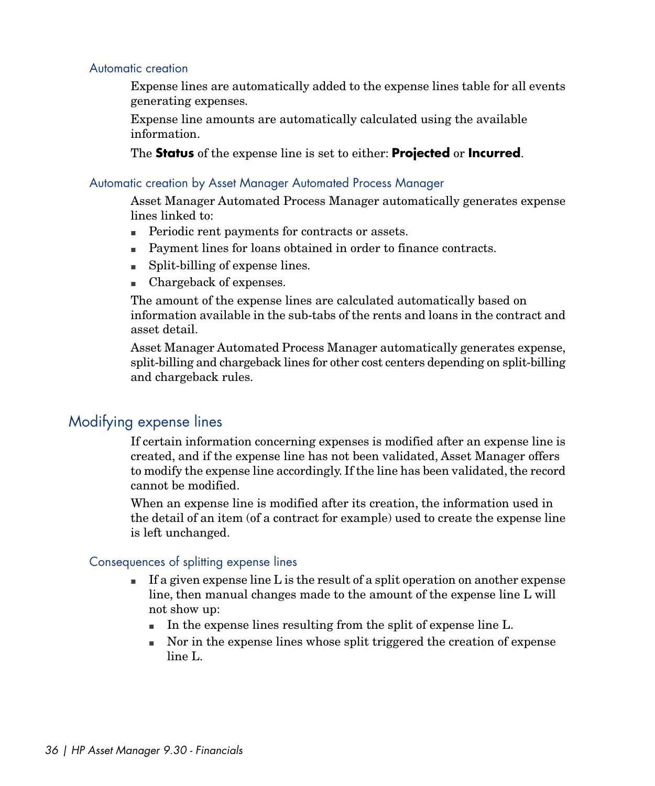#### Automatic creation

Expense lines are automatically added to the expense lines table for all events generating expenses.

Expense line amounts are automatically calculated using the available information.

The **Status** of the expense line is set to either: **Projected** or **Incurred**.

#### Automatic creation by Asset Manager Automated Process Manager

Asset Manager Automated Process Manager automatically generates expense lines linked to:

- n Periodic rent payments for contracts or assets.
- n Payment lines for loans obtained in order to finance contracts.
- $\Box$  Split-billing of expense lines.
- Chargeback of expenses.

The amount of the expense lines are calculated automatically based on information available in the sub-tabs of the rents and loans in the contract and asset detail.

Asset Manager Automated Process Manager automatically generates expense, split-billing and chargeback lines for other cost centers depending on split-billing and chargeback rules.

### Modifying expense lines

If certain information concerning expenses is modified after an expense line is created, and if the expense line has not been validated, Asset Manager offers to modify the expense line accordingly. If the line has been validated, the record cannot be modified.

When an expense line is modified after its creation, the information used in the detail of an item (of a contract for example) used to create the expense line is left unchanged.

#### Consequences of splitting expense lines

- **F** If a given expense line L is the result of a split operation on another expense line, then manual changes made to the amount of the expense line L will not show up:
	- $\blacksquare$  In the expense lines resulting from the split of expense line L.
	- $\blacksquare$  Nor in the expense lines whose split triggered the creation of expense line L.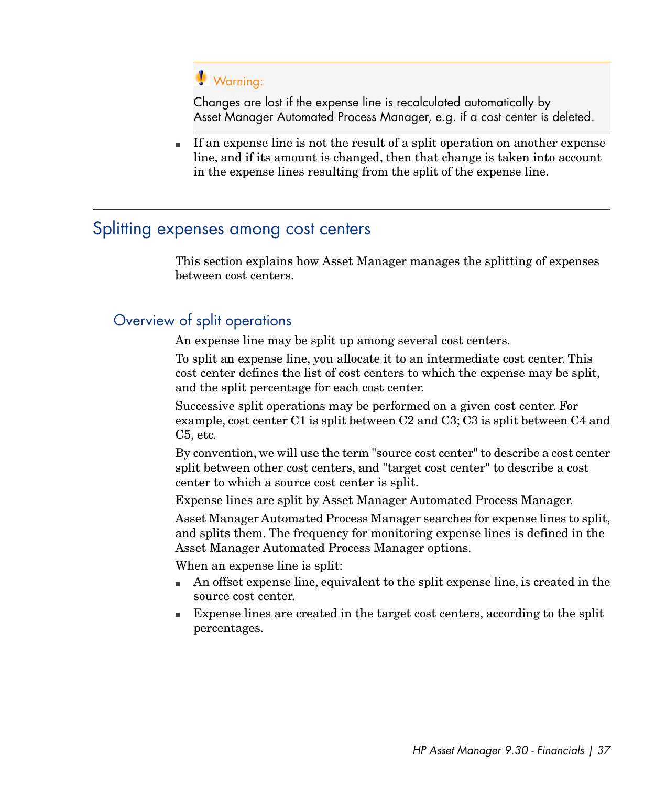Warning:

Changes are lost if the expense line is recalculated automatically by Asset Manager Automated Process Manager, e.g. if a cost center is deleted.

<sup>n</sup> If an expense line is not the result of a split operation on another expense line, and if its amount is changed, then that change is taken into account in the expense lines resulting from the split of the expense line.

## Splitting expenses among cost centers

This section explains how Asset Manager manages the splitting of expenses between cost centers.

## Overview of split operations

An expense line may be split up among several cost centers.

To split an expense line, you allocate it to an intermediate cost center. This cost center defines the list of cost centers to which the expense may be split, and the split percentage for each cost center.

Successive split operations may be performed on a given cost center. For example, cost center C1 is split between C2 and C3; C3 is split between C4 and C5, etc.

By convention, we will use the term "source cost center" to describe a cost center split between other cost centers, and "target cost center" to describe a cost center to which a source cost center is split.

Expense lines are split by Asset Manager Automated Process Manager.

Asset Manager Automated Process Manager searches for expense lines to split, and splits them. The frequency for monitoring expense lines is defined in the Asset Manager Automated Process Manager options.

When an expense line is split:

- <sup>n</sup> An offset expense line, equivalent to the split expense line, is created in the source cost center.
- <sup>n</sup> Expense lines are created in the target cost centers, according to the split percentages.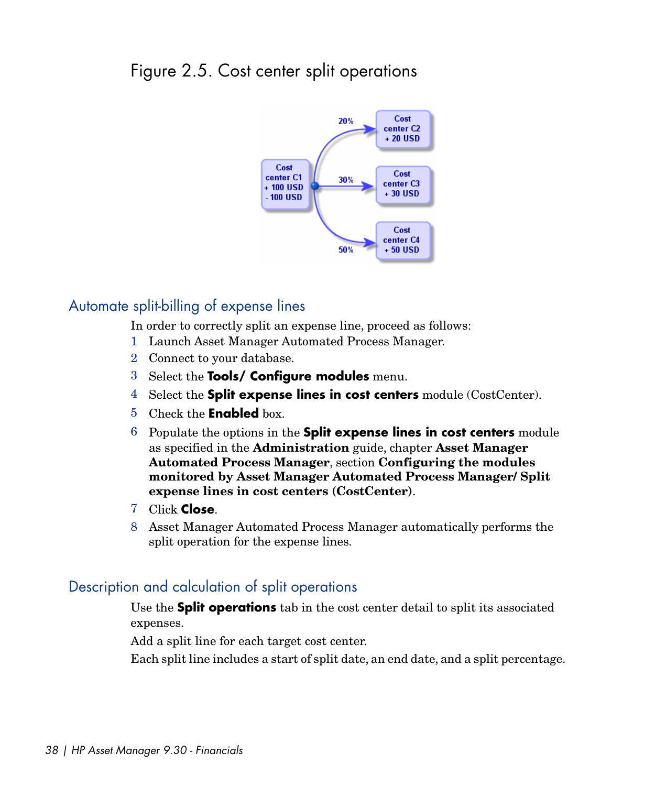# Figure 2.5. Cost center split operations



## Automate split-billing of expense lines

In order to correctly split an expense line, proceed as follows:

- 1 Launch Asset Manager Automated Process Manager.
- 2 Connect to your database.
- 3 Select the **Tools/ Configure modules** menu.
- 4 Select the **Split expense lines in cost centers** module (CostCenter).
- 5 Check the **Enabled** box.
- 6 Populate the options in the **Split expense lines in cost centers** module as specified in the **Administration** guide, chapter **Asset Manager Automated Process Manager**, section **Configuring the modules monitored by Asset Manager Automated Process Manager/ Split expense lines in cost centers (CostCenter)**.
- 7 Click **Close**.
- 8 Asset Manager Automated Process Manager automatically performs the split operation for the expense lines.

## Description and calculation of split operations

Use the **Split operations** tab in the cost center detail to split its associated expenses.

Add a split line for each target cost center.

Each split line includes a start of split date, an end date, and a split percentage.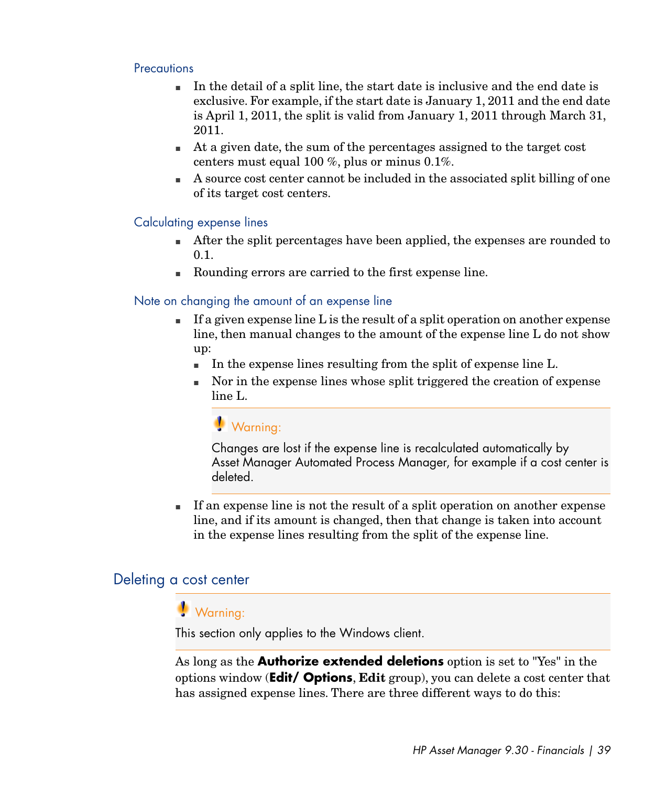#### **Precautions**

- n In the detail of a split line, the start date is inclusive and the end date is exclusive. For example, if the start date is January 1, 2011 and the end date is April 1, 2011, the split is valid from January 1, 2011 through March 31, 2011.
- $\blacksquare$  At a given date, the sum of the percentages assigned to the target cost centers must equal 100 %, plus or minus 0.1%.
- $\blacksquare$  A source cost center cannot be included in the associated split billing of one of its target cost centers.

#### Calculating expense lines

- <sup>n</sup> After the split percentages have been applied, the expenses are rounded to 0.1.
- <sup>n</sup> Rounding errors are carried to the first expense line.

#### Note on changing the amount of an expense line

- **If a given expense line L is the result of a split operation on another expense** line, then manual changes to the amount of the expense line L do not show up:
	- <sup>n</sup> In the expense lines resulting from the split of expense line L.
	- <sup>n</sup> Nor in the expense lines whose split triggered the creation of expense line L.

# Warning:

Changes are lost if the expense line is recalculated automatically by Asset Manager Automated Process Manager, for example if a cost center is deleted.

 $\blacksquare$  If an expense line is not the result of a split operation on another expense line, and if its amount is changed, then that change is taken into account in the expense lines resulting from the split of the expense line.

### Deleting a cost center

# Warning:

This section only applies to the Windows client.

As long as the **Authorize extended deletions** option is set to "Yes" in the options window (**Edit/ Options**, **Edit** group), you can delete a cost center that has assigned expense lines. There are three different ways to do this: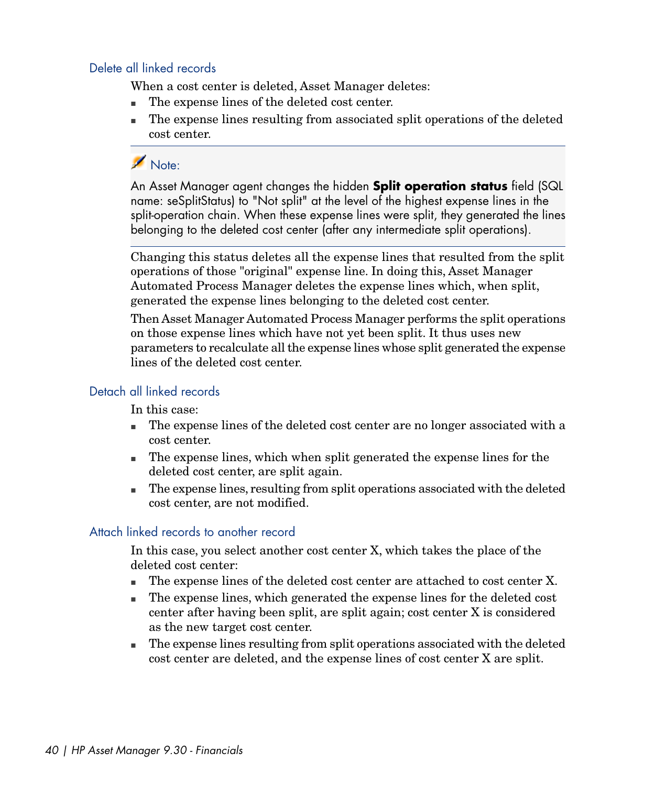#### Delete all linked records

When a cost center is deleted, Asset Manager deletes:

- n The expense lines of the deleted cost center.
- n The expense lines resulting from associated split operations of the deleted cost center.

# Note:

An Asset Manager agent changes the hidden **Split operation status** field (SQL name: seSplitStatus) to "Not split" at the level of the highest expense lines in the split-operation chain. When these expense lines were split, they generated the lines belonging to the deleted cost center (after any intermediate split operations).

Changing this status deletes all the expense lines that resulted from the split operations of those "original" expense line. In doing this, Asset Manager Automated Process Manager deletes the expense lines which, when split, generated the expense lines belonging to the deleted cost center.

Then Asset Manager Automated Process Manager performs the split operations on those expense lines which have not yet been split. It thus uses new parameters to recalculate all the expense lines whose split generated the expense lines of the deleted cost center.

#### Detach all linked records

In this case:

- $\blacksquare$  The expense lines of the deleted cost center are no longer associated with a cost center.
- <sup>n</sup> The expense lines, which when split generated the expense lines for the deleted cost center, are split again.
- n The expense lines, resulting from split operations associated with the deleted cost center, are not modified.

#### Attach linked records to another record

In this case, you select another cost center X, which takes the place of the deleted cost center:

- n The expense lines of the deleted cost center are attached to cost center X.
- <sup>n</sup> The expense lines, which generated the expense lines for the deleted cost center after having been split, are split again; cost center X is considered as the new target cost center.
- $\blacksquare$  The expense lines resulting from split operations associated with the deleted cost center are deleted, and the expense lines of cost center X are split.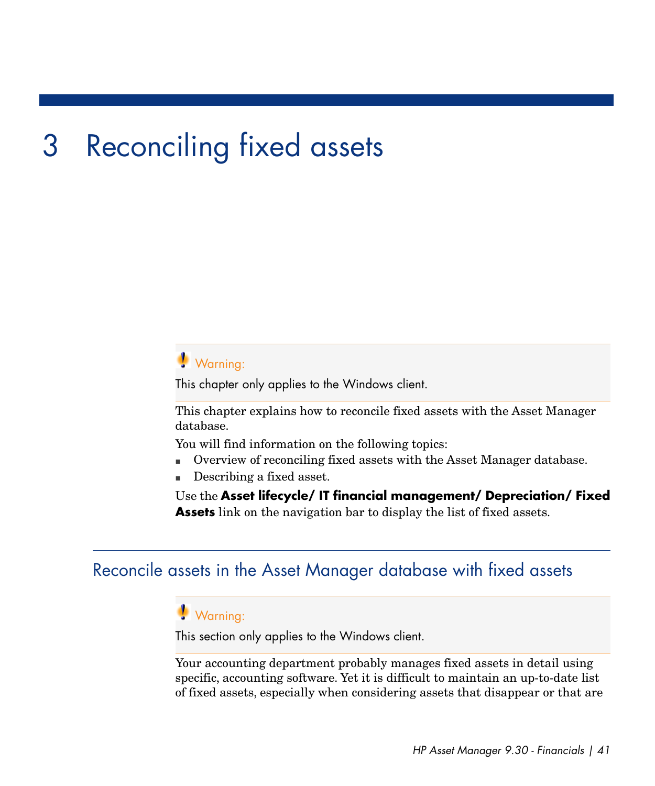# 3 Reconciling fixed assets

# **Warning:**

This chapter only applies to the Windows client.

This chapter explains how to reconcile fixed assets with the Asset Manager database.

You will find information on the following topics:

- <sup>n</sup> Overview of reconciling fixed assets with the Asset Manager database.
- Describing a fixed asset.

Use the **Asset lifecycle/ IT financial management/ Depreciation/ Fixed Assets** link on the navigation bar to display the list of fixed assets.

# Reconcile assets in the Asset Manager database with fixed assets

## Warning:

This section only applies to the Windows client.

Your accounting department probably manages fixed assets in detail using specific, accounting software. Yet it is difficult to maintain an up-to-date list of fixed assets, especially when considering assets that disappear or that are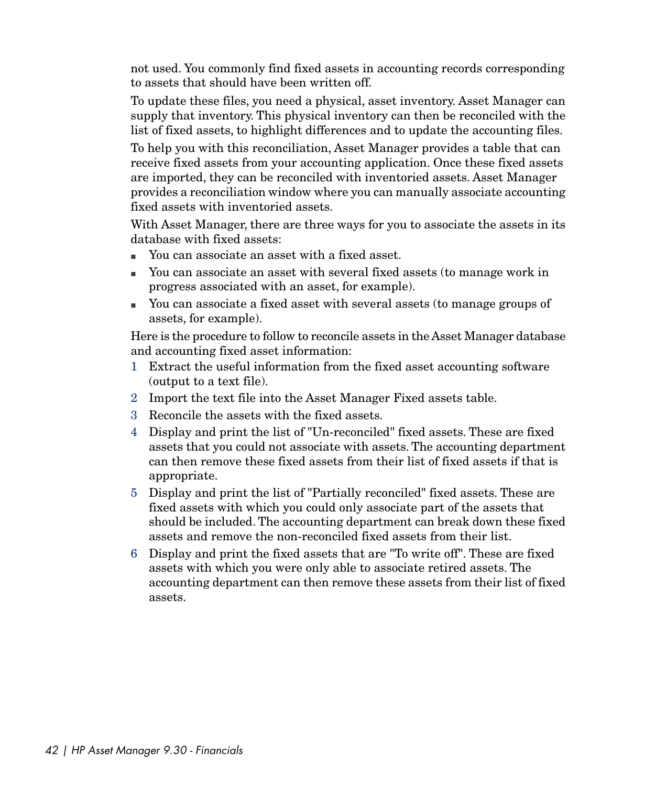not used. You commonly find fixed assets in accounting records corresponding to assets that should have been written off.

To update these files, you need a physical, asset inventory. Asset Manager can supply that inventory. This physical inventory can then be reconciled with the list of fixed assets, to highlight differences and to update the accounting files.

To help you with this reconciliation, Asset Manager provides a table that can receive fixed assets from your accounting application. Once these fixed assets are imported, they can be reconciled with inventoried assets. Asset Manager provides a reconciliation window where you can manually associate accounting fixed assets with inventoried assets.

With Asset Manager, there are three ways for you to associate the assets in its database with fixed assets:

- n You can associate an asset with a fixed asset.
- <sup>n</sup> You can associate an asset with several fixed assets (to manage work in progress associated with an asset, for example).
- <sup>n</sup> You can associate a fixed asset with several assets (to manage groups of assets, for example).

Here is the procedure to follow to reconcile assets in the Asset Manager database and accounting fixed asset information:

- 1 Extract the useful information from the fixed asset accounting software (output to a text file).
- 2 Import the text file into the Asset Manager Fixed assets table.
- 3 Reconcile the assets with the fixed assets.
- 4 Display and print the list of "Un-reconciled" fixed assets. These are fixed assets that you could not associate with assets. The accounting department can then remove these fixed assets from their list of fixed assets if that is appropriate.
- 5 Display and print the list of "Partially reconciled" fixed assets. These are fixed assets with which you could only associate part of the assets that should be included. The accounting department can break down these fixed assets and remove the non-reconciled fixed assets from their list.
- 6 Display and print the fixed assets that are "To write off". These are fixed assets with which you were only able to associate retired assets. The accounting department can then remove these assets from their list of fixed assets.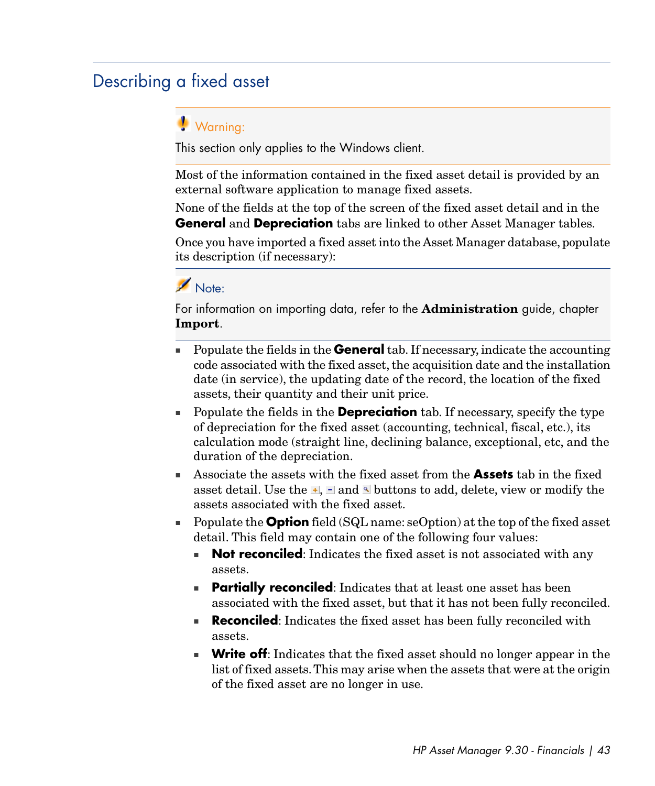# Describing a fixed asset

# Warning:

This section only applies to the Windows client.

Most of the information contained in the fixed asset detail is provided by an external software application to manage fixed assets.

None of the fields at the top of the screen of the fixed asset detail and in the **General** and **Depreciation** tabs are linked to other Asset Manager tables.

Once you have imported a fixed asset into the Asset Manager database, populate its description (if necessary):

# Note:

For information on importing data, refer to the **Administration** guide, chapter **Import**.

- <sup>n</sup> Populate the fields in the **General** tab. If necessary, indicate the accounting code associated with the fixed asset, the acquisition date and the installation date (in service), the updating date of the record, the location of the fixed assets, their quantity and their unit price.
- <sup>n</sup> Populate the fields in the **Depreciation** tab. If necessary, specify the type of depreciation for the fixed asset (accounting, technical, fiscal, etc.), its calculation mode (straight line, declining balance, exceptional, etc, and the duration of the depreciation.
- <sup>n</sup> Associate the assets with the fixed asset from the **Assets** tab in the fixed asset detail. Use the  $\pm$ ,  $\pm$  and  $\overline{\mathbb{S}}$  buttons to add, delete, view or modify the assets associated with the fixed asset.
- n Populate the **Option** field (SQL name: seOption) at the top of the fixed asset detail. This field may contain one of the following four values:
	- **Not reconciled**: Indicates the fixed asset is not associated with any assets.
	- **Partially reconciled**: Indicates that at least one asset has been associated with the fixed asset, but that it has not been fully reconciled.
	- **Reconciled:** Indicates the fixed asset has been fully reconciled with assets.
	- **Write off**: Indicates that the fixed asset should no longer appear in the list of fixed assets. This may arise when the assets that were at the origin of the fixed asset are no longer in use.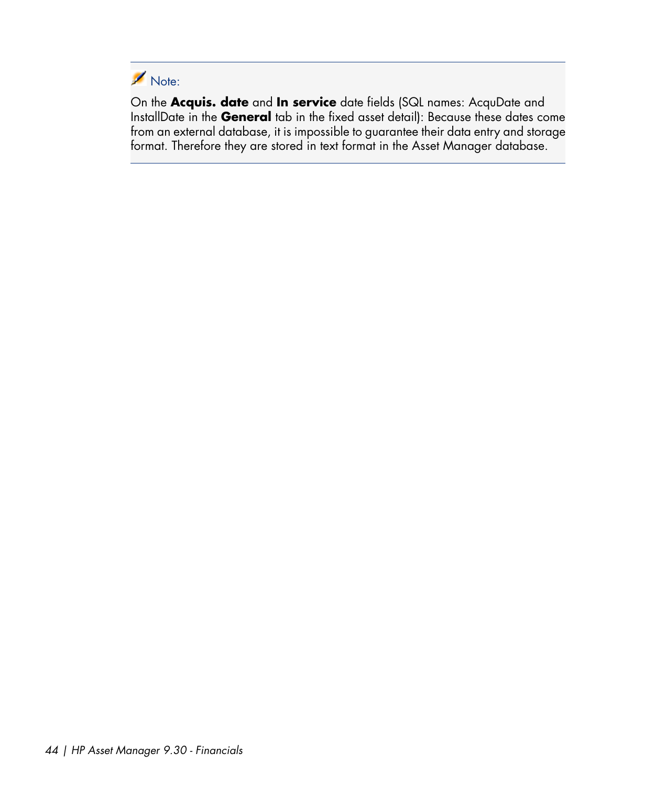

On the **Acquis. date** and **In service** date fields (SQL names: AcquDate and InstallDate in the **General** tab in the fixed asset detail): Because these dates come from an external database, it is impossible to guarantee their data entry and storage format. Therefore they are stored in text format in the Asset Manager database.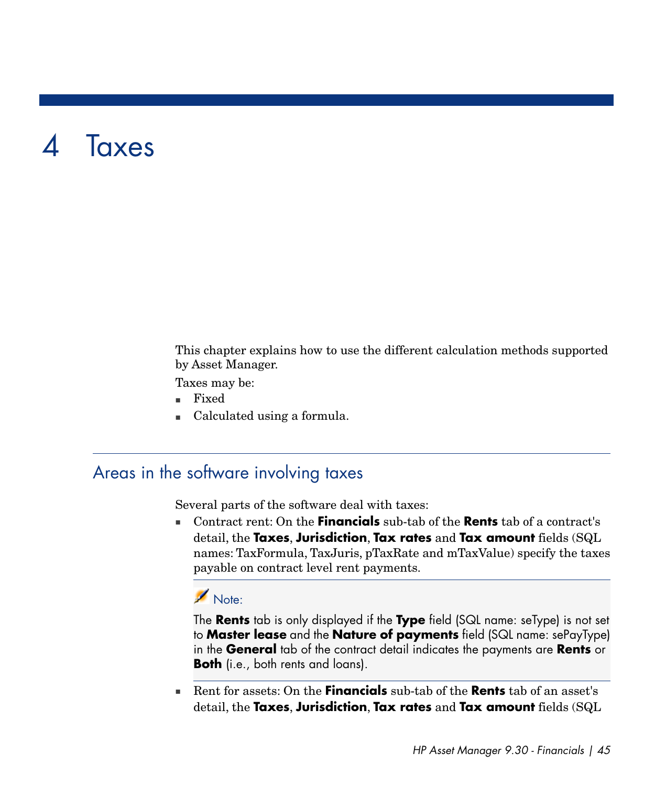# 4 Taxes

This chapter explains how to use the different calculation methods supported by Asset Manager.

Taxes may be:

- n Fixed
- Calculated using a formula.

# Areas in the software involving taxes

Several parts of the software deal with taxes:

<sup>n</sup> Contract rent: On the **Financials** sub-tab of the **Rents** tab of a contract's detail, the **Taxes**, **Jurisdiction**, **Tax rates** and **Tax amount** fields (SQL names: TaxFormula, TaxJuris, pTaxRate and mTaxValue) specify the taxes payable on contract level rent payments.

# Note:

The **Rents** tab is only displayed if the **Type** field (SQL name: seType) is not set to **Master lease** and the **Nature of payments** field (SQL name: sePayType) in the **General** tab of the contract detail indicates the payments are **Rents** or **Both** (i.e., both rents and loans).

<sup>n</sup> Rent for assets: On the **Financials** sub-tab of the **Rents** tab of an asset's detail, the **Taxes**, **Jurisdiction**, **Tax rates** and **Tax amount** fields (SQL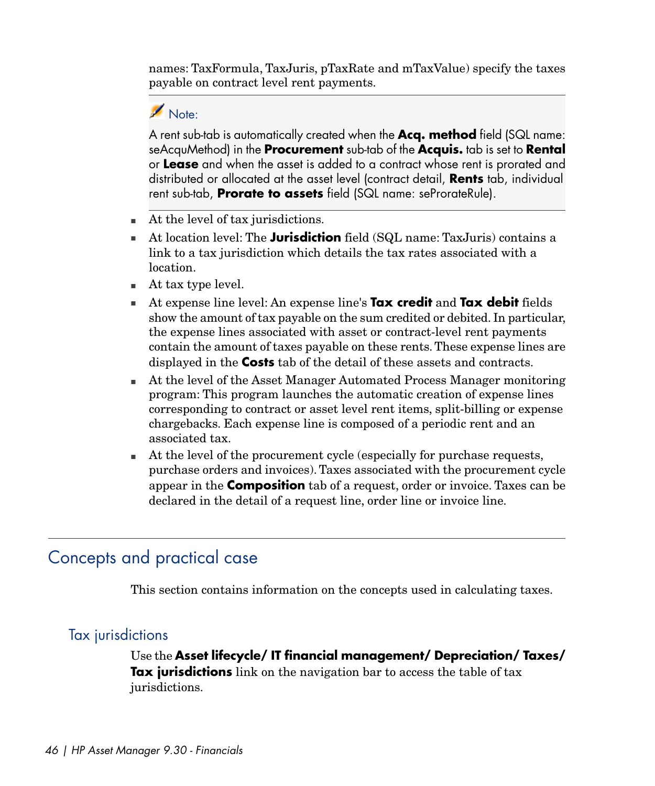names: TaxFormula, TaxJuris, pTaxRate and mTaxValue) specify the taxes payable on contract level rent payments.

# Note:

A rent sub-tab is automatically created when the **Acq. method** field (SQL name: seAcquMethod) in the **Procurement** sub-tab of the **Acquis.** tab is set to **Rental** or **Lease** and when the asset is added to a contract whose rent is prorated and distributed or allocated at the asset level (contract detail, **Rents** tab, individual rent sub-tab, **Prorate to assets** field (SQL name: seProrateRule).

- $\blacksquare$  At the level of tax jurisdictions.
- **n** At location level: The **Jurisdiction** field (SQL name: TaxJuris) contains a link to a tax jurisdiction which details the tax rates associated with a location.
- $\blacksquare$  At tax type level.
- <sup>n</sup> At expense line level: An expense line's **Tax credit** and **Tax debit** fields show the amount of tax payable on the sum credited or debited. In particular, the expense lines associated with asset or contract-level rent payments contain the amount of taxes payable on these rents. These expense lines are displayed in the **Costs** tab of the detail of these assets and contracts.
- <sup>n</sup> At the level of the Asset Manager Automated Process Manager monitoring program: This program launches the automatic creation of expense lines corresponding to contract or asset level rent items, split-billing or expense chargebacks. Each expense line is composed of a periodic rent and an associated tax.
- $\blacksquare$  At the level of the procurement cycle (especially for purchase requests, purchase orders and invoices). Taxes associated with the procurement cycle appear in the **Composition** tab of a request, order or invoice. Taxes can be declared in the detail of a request line, order line or invoice line.

# Concepts and practical case

This section contains information on the concepts used in calculating taxes.

## Tax jurisdictions

Use the **Asset lifecycle/ IT financial management/ Depreciation/ Taxes/ Tax jurisdictions** link on the navigation bar to access the table of tax jurisdictions.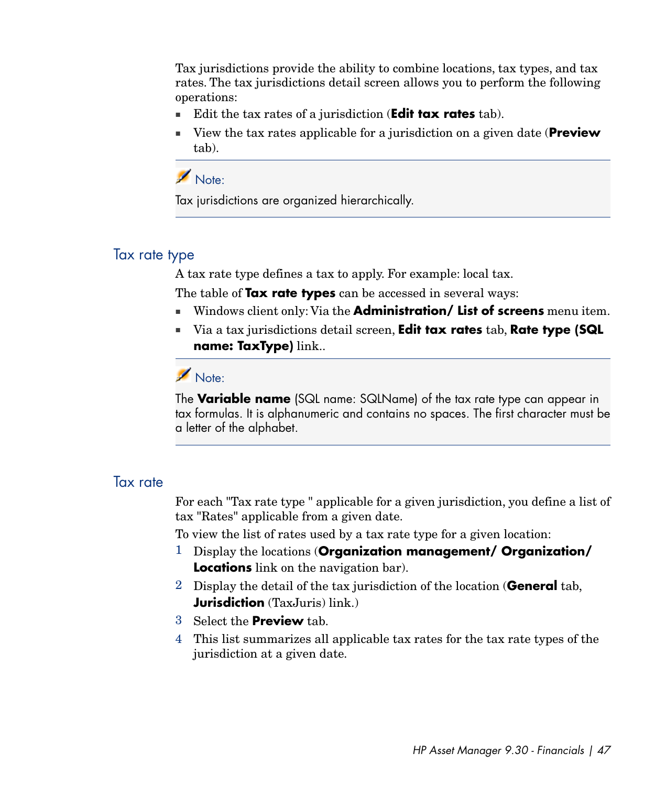Tax jurisdictions provide the ability to combine locations, tax types, and tax rates. The tax jurisdictions detail screen allows you to perform the following operations:

- <sup>n</sup> Edit the tax rates of a jurisdiction (**Edit tax rates** tab).
- <sup>n</sup> View the tax rates applicable for a jurisdiction on a given date (**Preview** tab).

 $N$ Note:

Tax jurisdictions are organized hierarchically.

#### Tax rate type

A tax rate type defines a tax to apply. For example: local tax.

The table of **Tax rate types** can be accessed in several ways:

- **Number 1** Windows client only: Via the **Administration/ List of screens** menu item.
- <sup>n</sup> Via a tax jurisdictions detail screen, **Edit tax rates** tab, **Rate type (SQL name: TaxType)** link..

# Note:

The **Variable name** (SQL name: SQLName) of the tax rate type can appear in tax formulas. It is alphanumeric and contains no spaces. The first character must be a letter of the alphabet.

#### Tax rate

For each "Tax rate type " applicable for a given jurisdiction, you define a list of tax "Rates" applicable from a given date.

To view the list of rates used by a tax rate type for a given location:

- 1 Display the locations (**Organization management/ Organization/ Locations** link on the navigation bar).
- 2 Display the detail of the tax jurisdiction of the location (**General** tab, **Jurisdiction** (TaxJuris) link.)
- 3 Select the **Preview** tab.
- 4 This list summarizes all applicable tax rates for the tax rate types of the jurisdiction at a given date.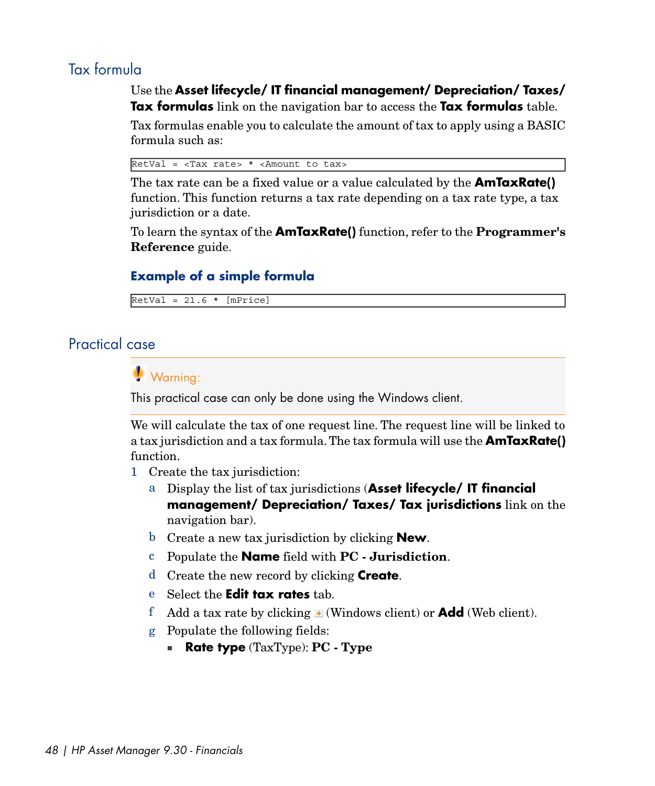## Tax formula

Use the **Asset lifecycle/ IT financial management/ Depreciation/ Taxes/ Tax formulas** link on the navigation bar to access the **Tax formulas** table.

Tax formulas enable you to calculate the amount of tax to apply using a BASIC formula such as:

RetVal = <Tax rate> \* <Amount to tax>

The tax rate can be a fixed value or a value calculated by the **AmTaxRate()** function. This function returns a tax rate depending on a tax rate type, a tax jurisdiction or a date.

To learn the syntax of the **AmTaxRate()** function, refer to the **Programmer's Reference** guide.

## **Example of a simple formula**

 $RetVal = 21.6 * [mPrice]$ 

## Practical case

Warning:

This practical case can only be done using the Windows client.

We will calculate the tax of one request line. The request line will be linked to a tax jurisdiction and a tax formula. The tax formula will use the **AmTaxRate()** function.

- 1 Create the tax jurisdiction:
	- a Display the list of tax jurisdictions (**Asset lifecycle/ IT financial management/ Depreciation/ Taxes/ Tax jurisdictions** link on the navigation bar).
	- b Create a new tax jurisdiction by clicking **New**.
	- c Populate the **Name** field with **PC Jurisdiction**.
	- d Create the new record by clicking **Create**.
	- e Select the **Edit tax rates** tab.
	- f Add a tax rate by clicking  $\pm$  (Windows client) or **Add** (Web client).
	- g Populate the following fields:
		- <sup>n</sup> **Rate type** (TaxType): **PC Type**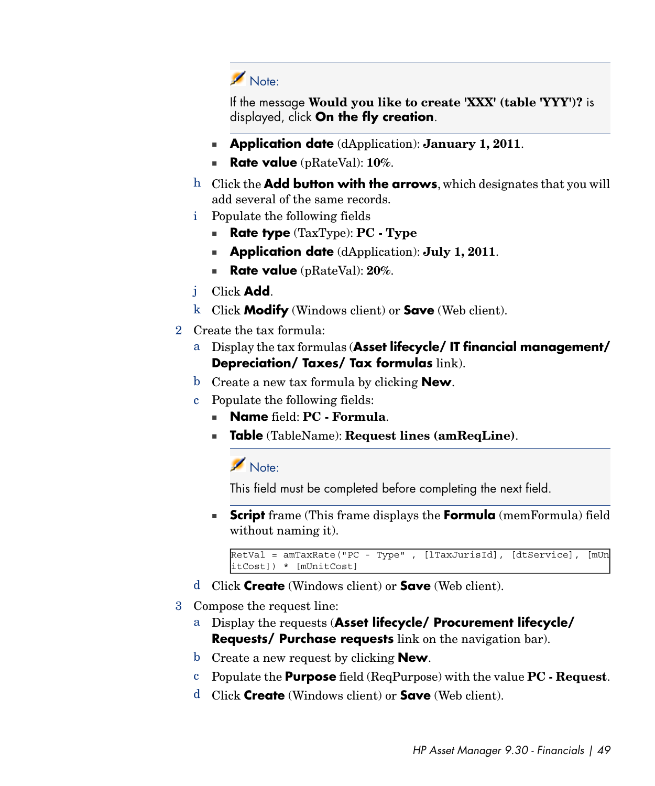# Note:

If the message **Would you like to create 'XXX' (table 'YYY')?** is displayed, click **On the fly creation**.

- **Application date** (dApplication): **January 1, 2011**.
- <sup>n</sup> **Rate value** (pRateVal): **10%**.
- h Click the **Add button with the arrows**, which designates that you will add several of the same records.
- i Populate the following fields
	- <sup>n</sup> **Rate type** (TaxType): **PC Type**
	- **Application date** (dApplication): **July 1, 2011**.
	- <sup>n</sup> **Rate value** (pRateVal): **20%**.
- j Click **Add**.
- k Click **Modify** (Windows client) or **Save** (Web client).
- 2 Create the tax formula:
	- a Display the tax formulas (**Asset lifecycle/ IT financial management/ Depreciation/ Taxes/ Tax formulas** link).
	- b Create a new tax formula by clicking **New**.
	- c Populate the following fields:
		- <sup>n</sup> **Name** field: **PC Formula**.
		- **n Table** (TableName): **Request lines (amReqLine).**

## Note:

This field must be completed before completing the next field.

**Script** frame (This frame displays the **Formula** (memFormula) field without naming it).

```
RetVal = amTaxRate("PC - Type" , [lTaxJurisId], [dtService], [mUn
itCost]) * [mUnitCost]
```
- d Click **Create** (Windows client) or **Save** (Web client).
- 3 Compose the request line:
	- a Display the requests (**Asset lifecycle/ Procurement lifecycle/ Requests/ Purchase requests** link on the navigation bar).
	- b Create a new request by clicking **New**.
	- c Populate the **Purpose** field (ReqPurpose) with the value **PC Request**.
	- d Click **Create** (Windows client) or **Save** (Web client).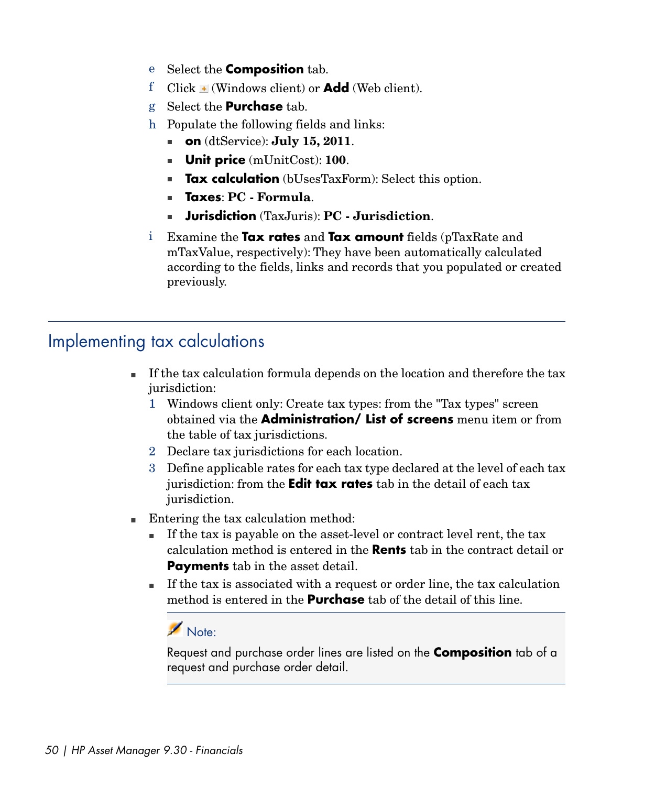- e Select the **Composition** tab.
- f Click  $\blacksquare$  (Windows client) or **Add** (Web client).
- g Select the **Purchase** tab.
- h Populate the following fields and links:
	- **on** (dtService): **July 15, 2011**.
	- <sup>n</sup> **Unit price** (mUnitCost): **100**.
	- **Tax calculation** (bUsesTaxForm): Select this option.
	- <sup>n</sup> **Taxes**: **PC Formula**.
	- <sup>n</sup> **Jurisdiction** (TaxJuris): **PC Jurisdiction**.
- i Examine the **Tax rates** and **Tax amount** fields (pTaxRate and mTaxValue, respectively): They have been automatically calculated according to the fields, links and records that you populated or created previously.

# Implementing tax calculations

- $\blacksquare$  If the tax calculation formula depends on the location and therefore the tax jurisdiction:
	- 1 Windows client only: Create tax types: from the "Tax types" screen obtained via the **Administration/ List of screens** menu item or from the table of tax jurisdictions.
	- 2 Declare tax jurisdictions for each location.
	- 3 Define applicable rates for each tax type declared at the level of each tax jurisdiction: from the **Edit tax rates** tab in the detail of each tax jurisdiction.
- Entering the tax calculation method:
	- $\blacksquare$  If the tax is payable on the asset-level or contract level rent, the tax calculation method is entered in the **Rents** tab in the contract detail or **Payments** tab in the asset detail.
	- <sup>n</sup> If the tax is associated with a request or order line, the tax calculation method is entered in the **Purchase** tab of the detail of this line.

# Note:

Request and purchase order lines are listed on the **Composition** tab of a request and purchase order detail.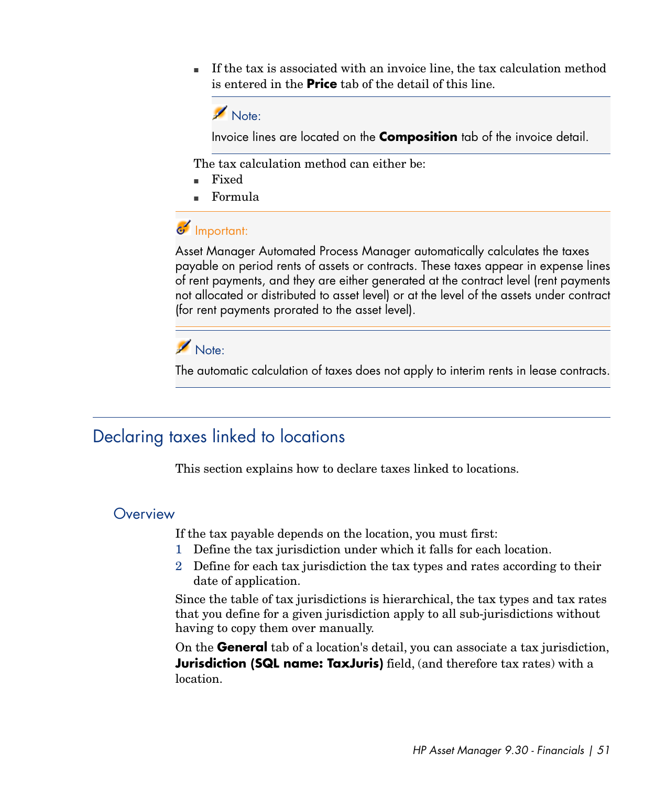<sup>n</sup> If the tax is associated with an invoice line, the tax calculation method is entered in the **Price** tab of the detail of this line.

# Note:

Invoice lines are located on the **Composition** tab of the invoice detail.

The tax calculation method can either be:

- Fixed
- <sup>n</sup> Formula

## Important:

Asset Manager Automated Process Manager automatically calculates the taxes payable on period rents of assets or contracts. These taxes appear in expense lines of rent payments, and they are either generated at the contract level (rent payments not allocated or distributed to asset level) or at the level of the assets under contract (for rent payments prorated to the asset level).

# Note:

The automatic calculation of taxes does not apply to interim rents in lease contracts.

# Declaring taxes linked to locations

This section explains how to declare taxes linked to locations.

#### **Overview**

If the tax payable depends on the location, you must first:

- 1 Define the tax jurisdiction under which it falls for each location.
- 2 Define for each tax jurisdiction the tax types and rates according to their date of application.

Since the table of tax jurisdictions is hierarchical, the tax types and tax rates that you define for a given jurisdiction apply to all sub-jurisdictions without having to copy them over manually.

On the **General** tab of a location's detail, you can associate a tax jurisdiction, **Jurisdiction (SQL name: TaxJuris)** field, (and therefore tax rates) with a location.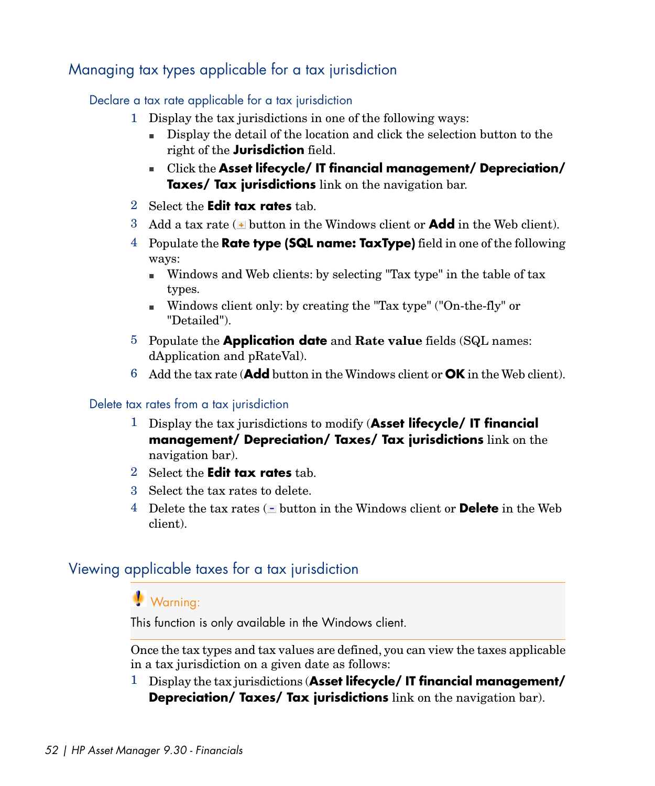## Managing tax types applicable for a tax jurisdiction

Declare a tax rate applicable for a tax jurisdiction

- 1 Display the tax jurisdictions in one of the following ways:
	- n Display the detail of the location and click the selection button to the right of the **Jurisdiction** field.
	- <sup>n</sup> Click the **Asset lifecycle/ IT financial management/ Depreciation/ Taxes/ Tax jurisdictions** link on the navigation bar.
- 2 Select the **Edit tax rates** tab.
- 3 Add a tax rate  $\left( \cdot \right)$  button in the Windows client or **Add** in the Web client).
- 4 Populate the **Rate type (SQL name: TaxType)** field in one of the following ways:
	- <sup>n</sup> Windows and Web clients: by selecting "Tax type" in the table of tax types.
	- <sup>n</sup> Windows client only: by creating the "Tax type" ("On-the-fly" or "Detailed").
- 5 Populate the **Application date** and **Rate value** fields (SQL names: dApplication and pRateVal).
- 6 Add the tax rate (**Add** button in the Windows client or **OK** in the Web client).

#### Delete tax rates from a tax jurisdiction

- 1 Display the tax jurisdictions to modify (**Asset lifecycle/ IT financial management/ Depreciation/ Taxes/ Tax jurisdictions** link on the navigation bar).
- 2 Select the **Edit tax rates** tab.
- 3 Select the tax rates to delete.
- 4 Delete the tax rates  $\equiv$  button in the Windows client or **Delete** in the Web client).

## Viewing applicable taxes for a tax jurisdiction

# **Warning:**

This function is only available in the Windows client.

Once the tax types and tax values are defined, you can view the taxes applicable in a tax jurisdiction on a given date as follows:

1 Display the tax jurisdictions (**Asset lifecycle/ IT financial management/ Depreciation/ Taxes/ Tax jurisdictions** link on the navigation bar).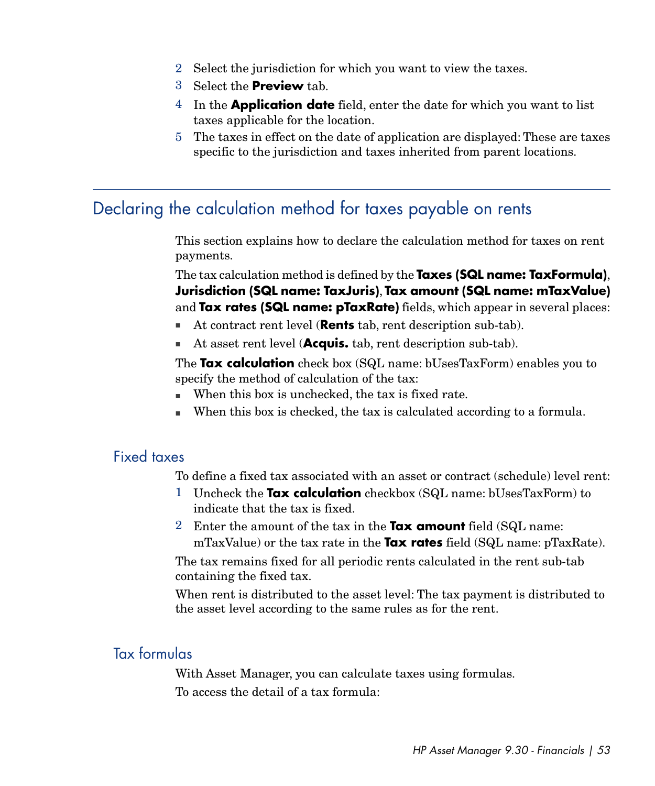- 2 Select the jurisdiction for which you want to view the taxes.
- 3 Select the **Preview** tab.
- 4 In the **Application date** field, enter the date for which you want to list taxes applicable for the location.
- 5 The taxes in effect on the date of application are displayed: These are taxes specific to the jurisdiction and taxes inherited from parent locations.

# Declaring the calculation method for taxes payable on rents

This section explains how to declare the calculation method for taxes on rent payments.

The tax calculation method is defined by the **Taxes (SQL name: TaxFormula)**, **Jurisdiction (SQL name: TaxJuris)**, **Tax amount (SQL name: mTaxValue)** and **Tax rates (SQL name: pTaxRate)** fields, which appear in several places:

- <sup>n</sup> At contract rent level (**Rents** tab, rent description sub-tab).
- At asset rent level (**Acquis.** tab, rent description sub-tab).

The **Tax calculation** check box (SQL name: bUsesTaxForm) enables you to specify the method of calculation of the tax:

- $\blacksquare$  When this box is unchecked, the tax is fixed rate.
- When this box is checked, the tax is calculated according to a formula.

## Fixed taxes

To define a fixed tax associated with an asset or contract (schedule) level rent:

- 1 Uncheck the **Tax calculation** checkbox (SQL name: bUsesTaxForm) to indicate that the tax is fixed.
- 2 Enter the amount of the tax in the **Tax amount** field (SQL name: mTaxValue) or the tax rate in the **Tax rates** field (SQL name: pTaxRate).

The tax remains fixed for all periodic rents calculated in the rent sub-tab containing the fixed tax.

When rent is distributed to the asset level: The tax payment is distributed to the asset level according to the same rules as for the rent.

## Tax formulas

With Asset Manager, you can calculate taxes using formulas. To access the detail of a tax formula: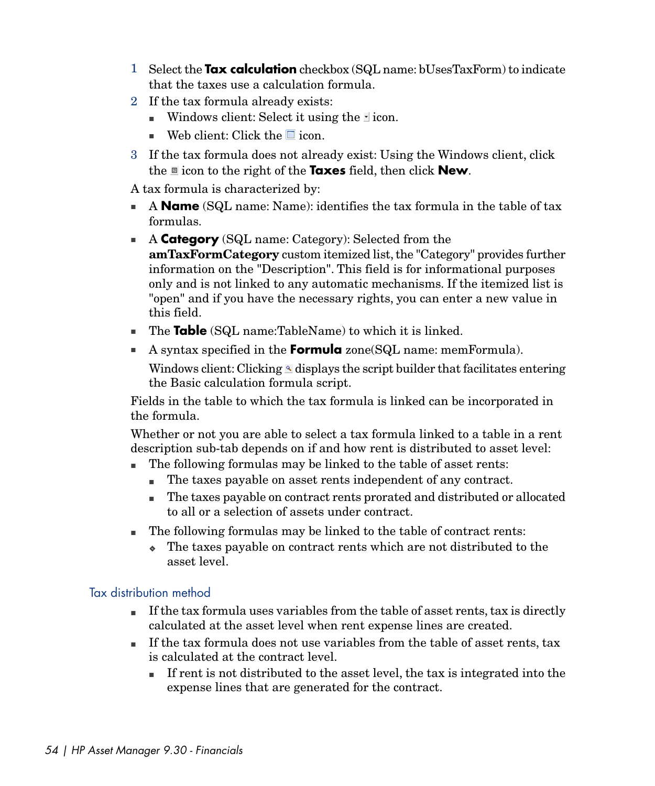- 1 Select the **Tax calculation** checkbox (SQL name: bUsesTaxForm) to indicate that the taxes use a calculation formula.
- 2 If the tax formula already exists:
	- Windows client: Select it using the  $\exists$  icon.
	- $\blacksquare$  Web client: Click the  $\blacksquare$  icon.
- 3 If the tax formula does not already exist: Using the Windows client, click the icon to the right of the **Taxes** field, then click **New**.

A tax formula is characterized by:

- **A Name** (SQL name: Name): identifies the tax formula in the table of tax formulas.
- <sup>n</sup> A **Category** (SQL name: Category): Selected from the **amTaxFormCategory** custom itemized list, the "Category" provides further information on the "Description". This field is for informational purposes only and is not linked to any automatic mechanisms. If the itemized list is "open" and if you have the necessary rights, you can enter a new value in this field.
- The **Table** (SQL name:TableName) to which it is linked.
- <sup>n</sup> A syntax specified in the **Formula** zone(SQL name: memFormula).

Windows client: Clicking  $\triangleleft$  displays the script builder that facilitates entering the Basic calculation formula script.

Fields in the table to which the tax formula is linked can be incorporated in the formula.

Whether or not you are able to select a tax formula linked to a table in a rent description sub-tab depends on if and how rent is distributed to asset level:

- $\blacksquare$  The following formulas may be linked to the table of asset rents:
	- <sup>n</sup> The taxes payable on asset rents independent of any contract.
	- n The taxes payable on contract rents prorated and distributed or allocated to all or a selection of assets under contract.
- n The following formulas may be linked to the table of contract rents:
	- $\bullet$  The taxes payable on contract rents which are not distributed to the asset level.

#### Tax distribution method

- $\blacksquare$  If the tax formula uses variables from the table of asset rents, tax is directly calculated at the asset level when rent expense lines are created.
- $\blacksquare$  If the tax formula does not use variables from the table of asset rents, tax is calculated at the contract level.
	- $\blacksquare$  If rent is not distributed to the asset level, the tax is integrated into the expense lines that are generated for the contract.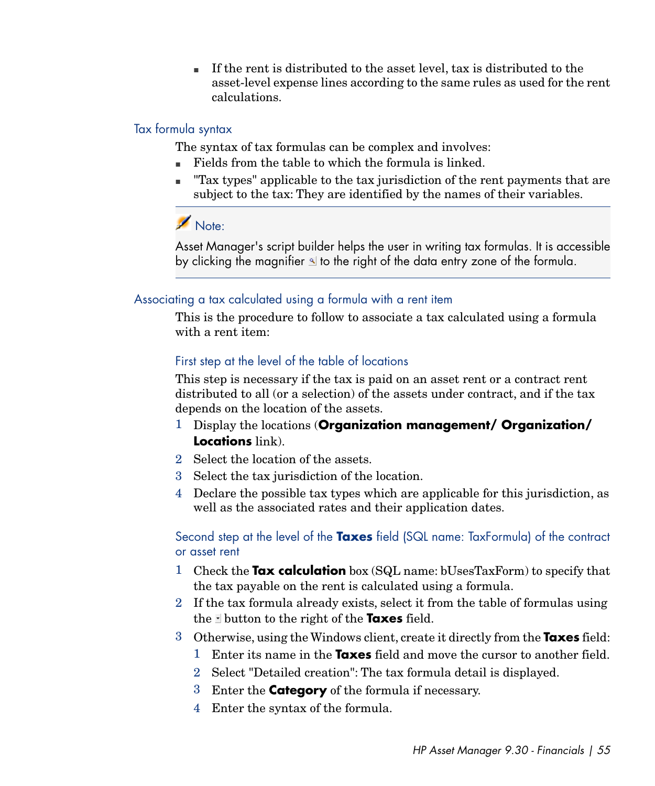<sup>n</sup> If the rent is distributed to the asset level, tax is distributed to the asset-level expense lines according to the same rules as used for the rent calculations.

#### Tax formula syntax

The syntax of tax formulas can be complex and involves:

- <sup>n</sup> Fields from the table to which the formula is linked.
- "Tax types" applicable to the tax jurisdiction of the rent payments that are subject to the tax: They are identified by the names of their variables.

# Note:

Asset Manager's script builder helps the user in writing tax formulas. It is accessible by clicking the magnifier  $\leq$  to the right of the data entry zone of the formula.

#### Associating a tax calculated using a formula with a rent item

This is the procedure to follow to associate a tax calculated using a formula with a rent item:

#### First step at the level of the table of locations

This step is necessary if the tax is paid on an asset rent or a contract rent distributed to all (or a selection) of the assets under contract, and if the tax depends on the location of the assets.

- 1 Display the locations (**Organization management/ Organization/ Locations** link).
- 2. Select the location of the assets.
- 3 Select the tax jurisdiction of the location.
- 4 Declare the possible tax types which are applicable for this jurisdiction, as well as the associated rates and their application dates.

Second step at the level of the **Taxes** field (SQL name: TaxFormula) of the contract or asset rent

- 1 Check the **Tax calculation** box (SQL name: bUsesTaxForm) to specify that the tax payable on the rent is calculated using a formula.
- 2 If the tax formula already exists, select it from the table of formulas using the button to the right of the **Taxes** field.
- 3 Otherwise, using the Windows client, create it directly from the **Taxes** field:
	- 1 Enter its name in the **Taxes** field and move the cursor to another field.
	- 2 Select "Detailed creation": The tax formula detail is displayed.
	- 3 Enter the **Category** of the formula if necessary.
	- 4 Enter the syntax of the formula.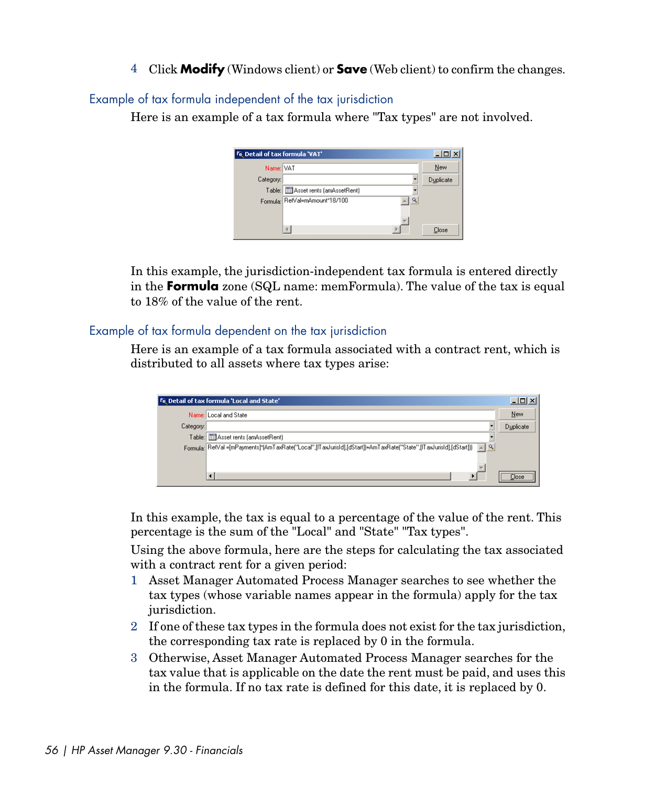4 Click **Modify** (Windows client) or **Save** (Web client) to confirm the changes.

#### Example of tax formula independent of the tax jurisdiction

Here is an example of a tax formula where "Tax types" are not involved.

| Fe Detail of tax formula 'VAT' |                                     | $\Box$ lol $\times$ l |
|--------------------------------|-------------------------------------|-----------------------|
| Name: VAT                      |                                     | New                   |
| Category:                      |                                     | Duplicate             |
|                                | Table: El Asset rents (amAssetRent) |                       |
|                                | Formula: RetVal=mAmount*18/100      |                       |
|                                |                                     | Close                 |

In this example, the jurisdiction-independent tax formula is entered directly in the **Formula** zone (SQL name: memFormula). The value of the tax is equal to 18% of the value of the rent.

#### Example of tax formula dependent on the tax jurisdiction

Here is an example of a tax formula associated with a contract rent, which is distributed to all assets where tax types arise:

|           | Fe Detail of tax formula 'Local and State'                                                                             | $\Box$    |
|-----------|------------------------------------------------------------------------------------------------------------------------|-----------|
|           | Name: Local and State                                                                                                  | New       |
| Category: |                                                                                                                        | Duplicate |
|           | Table: El Asset rents (amAssetRent)                                                                                    |           |
|           | Formula: RetVal =[mPayments]*(AmTaxRate("Local",[ITaxJurisId],[dStart]]+AmTaxRate("State",[ITaxJurisId],[dStart]]) = Q |           |
|           |                                                                                                                        | Jose.     |

In this example, the tax is equal to a percentage of the value of the rent. This percentage is the sum of the "Local" and "State" "Tax types".

Using the above formula, here are the steps for calculating the tax associated with a contract rent for a given period:

- 1 Asset Manager Automated Process Manager searches to see whether the tax types (whose variable names appear in the formula) apply for the tax jurisdiction.
- 2 If one of these tax types in the formula does not exist for the tax jurisdiction, the corresponding tax rate is replaced by 0 in the formula.
- 3 Otherwise, Asset Manager Automated Process Manager searches for the tax value that is applicable on the date the rent must be paid, and uses this in the formula. If no tax rate is defined for this date, it is replaced by 0.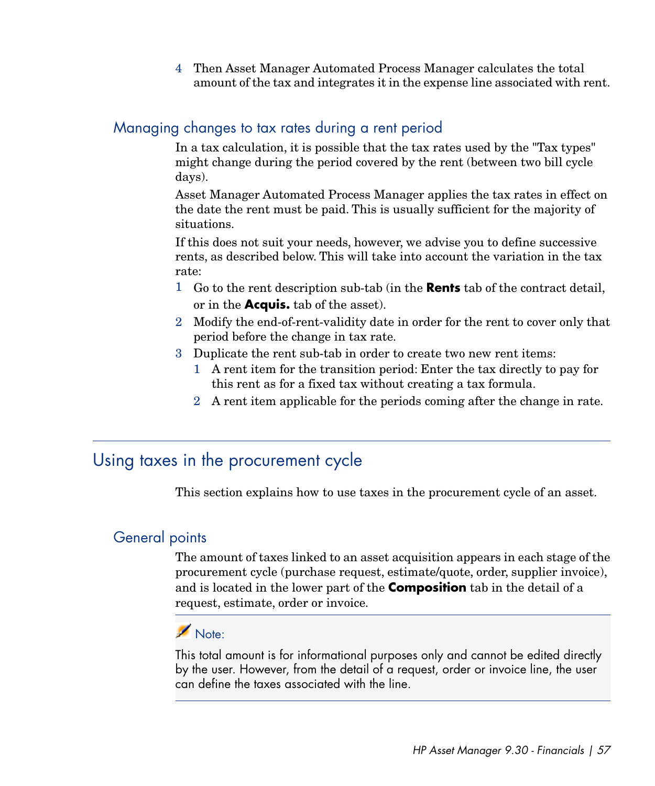4 Then Asset Manager Automated Process Manager calculates the total amount of the tax and integrates it in the expense line associated with rent.

### Managing changes to tax rates during a rent period

In a tax calculation, it is possible that the tax rates used by the "Tax types" might change during the period covered by the rent (between two bill cycle days).

Asset Manager Automated Process Manager applies the tax rates in effect on the date the rent must be paid. This is usually sufficient for the majority of situations.

If this does not suit your needs, however, we advise you to define successive rents, as described below. This will take into account the variation in the tax rate:

- 1 Go to the rent description sub-tab (in the **Rents** tab of the contract detail, or in the **Acquis.** tab of the asset).
- 2 Modify the end-of-rent-validity date in order for the rent to cover only that period before the change in tax rate.
- 3 Duplicate the rent sub-tab in order to create two new rent items:
	- 1 A rent item for the transition period: Enter the tax directly to pay for this rent as for a fixed tax without creating a tax formula.
	- 2 A rent item applicable for the periods coming after the change in rate.

# Using taxes in the procurement cycle

This section explains how to use taxes in the procurement cycle of an asset.

## General points

The amount of taxes linked to an asset acquisition appears in each stage of the procurement cycle (purchase request, estimate/quote, order, supplier invoice), and is located in the lower part of the **Composition** tab in the detail of a request, estimate, order or invoice.

# Note:

This total amount is for informational purposes only and cannot be edited directly by the user. However, from the detail of a request, order or invoice line, the user can define the taxes associated with the line.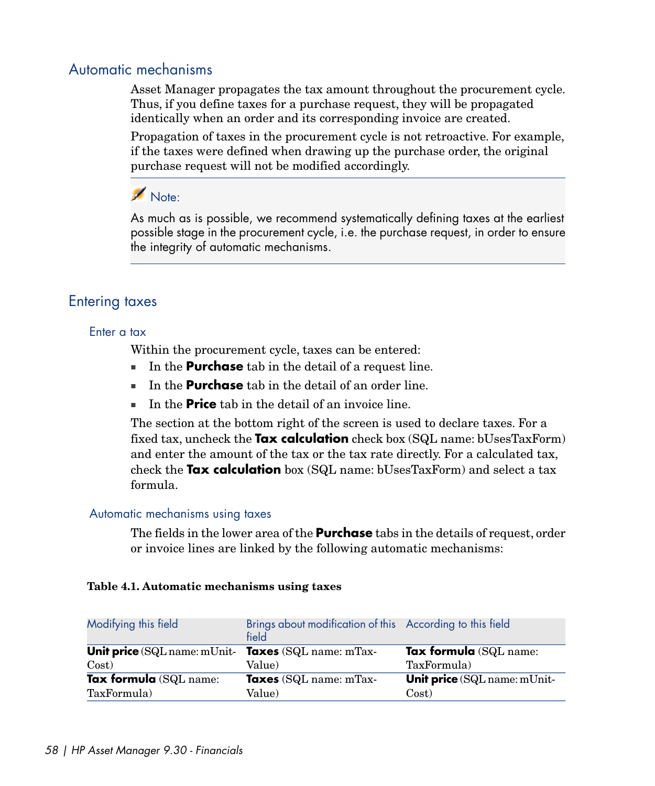## Automatic mechanisms

Asset Manager propagates the tax amount throughout the procurement cycle. Thus, if you define taxes for a purchase request, they will be propagated identically when an order and its corresponding invoice are created.

Propagation of taxes in the procurement cycle is not retroactive. For example, if the taxes were defined when drawing up the purchase order, the original purchase request will not be modified accordingly.

## Note:

As much as is possible, we recommend systematically defining taxes at the earliest possible stage in the procurement cycle, i.e. the purchase request, in order to ensure the integrity of automatic mechanisms.

## Entering taxes

#### Enter a tax

Within the procurement cycle, taxes can be entered:

- In the **Purchase** tab in the detail of a request line.
- <sup>n</sup> In the **Purchase** tab in the detail of an order line.
- <sup>n</sup> In the **Price** tab in the detail of an invoice line.

The section at the bottom right of the screen is used to declare taxes. For a fixed tax, uncheck the **Tax calculation** check box (SQL name: bUsesTaxForm) and enter the amount of the tax or the tax rate directly. For a calculated tax, check the **Tax calculation** box (SQL name: bUsesTaxForm) and select a tax formula.

#### Automatic mechanisms using taxes

The fields in the lower area of the **Purchase** tabs in the details of request, order or invoice lines are linked by the following automatic mechanisms:

#### **Table 4.1. Automatic mechanisms using taxes**

| Modifying this field         | Brings about modification of this According to this field<br>field |                              |
|------------------------------|--------------------------------------------------------------------|------------------------------|
| Unit price (SQL name: mUnit- | <b>Taxes</b> (SQL name: $m\text{Tax}$                              | Tax formula (SQL name:       |
| Cost)                        | Value)                                                             | TaxFormula)                  |
| Tax formula (SQL name:       | <b>Taxes</b> (SQL name: $m$ Tax-                                   | Unit price (SQL name: mUnit- |
| TaxFormula)                  | Value)                                                             | Cost)                        |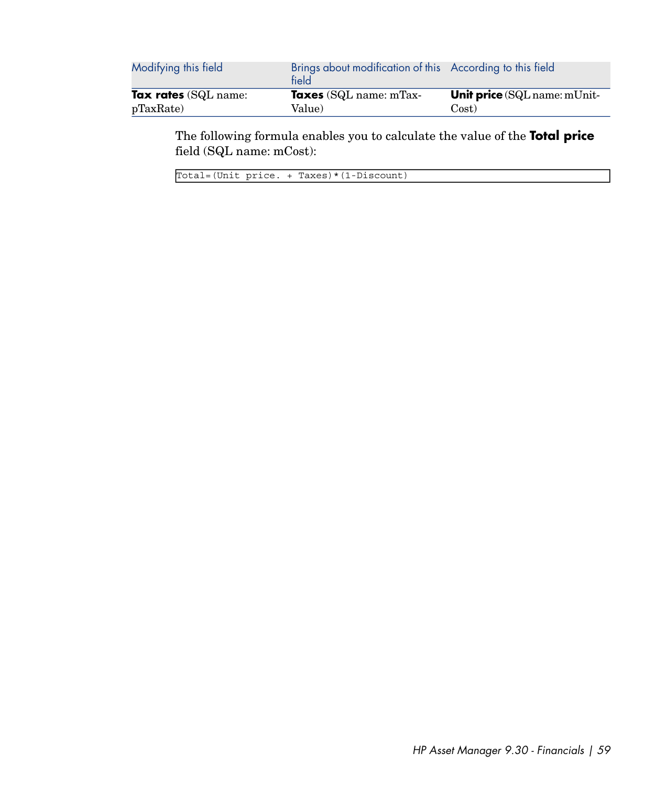| Modifying this field | Brings about modification of this According to this field<br>field |                              |
|----------------------|--------------------------------------------------------------------|------------------------------|
| Tax rates (SQL name: | Taxes $(SQL name: mTax-$                                           | Unit price (SQL name: mUnit- |
| pTaxRate)            | Value)                                                             | Cost)                        |

The following formula enables you to calculate the value of the **Total price** field (SQL name: mCost):

```
Total=(Unit price. + Taxes)*(1-Discount)
```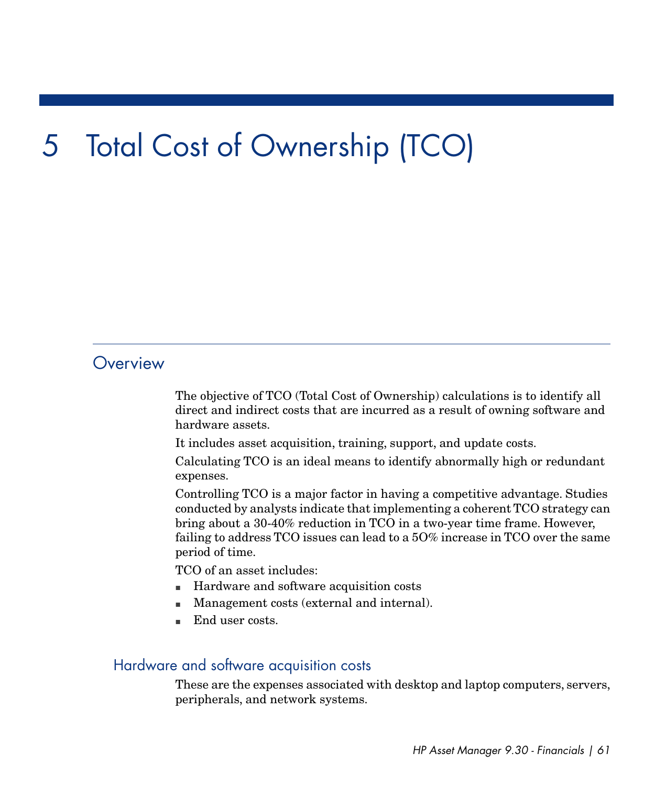# 5 Total Cost of Ownership (TCO)

# **Overview**

The objective of TCO (Total Cost of Ownership) calculations is to identify all direct and indirect costs that are incurred as a result of owning software and hardware assets.

It includes asset acquisition, training, support, and update costs.

Calculating TCO is an ideal means to identify abnormally high or redundant expenses.

Controlling TCO is a major factor in having a competitive advantage. Studies conducted by analysts indicate that implementing a coherent TCO strategy can bring about a 30-40% reduction in TCO in a two-year time frame. However, failing to address TCO issues can lead to a 5O% increase in TCO over the same period of time.

TCO of an asset includes:

- Hardware and software acquisition costs
- Management costs (external and internal).
- End user costs.

#### Hardware and software acquisition costs

These are the expenses associated with desktop and laptop computers, servers, peripherals, and network systems.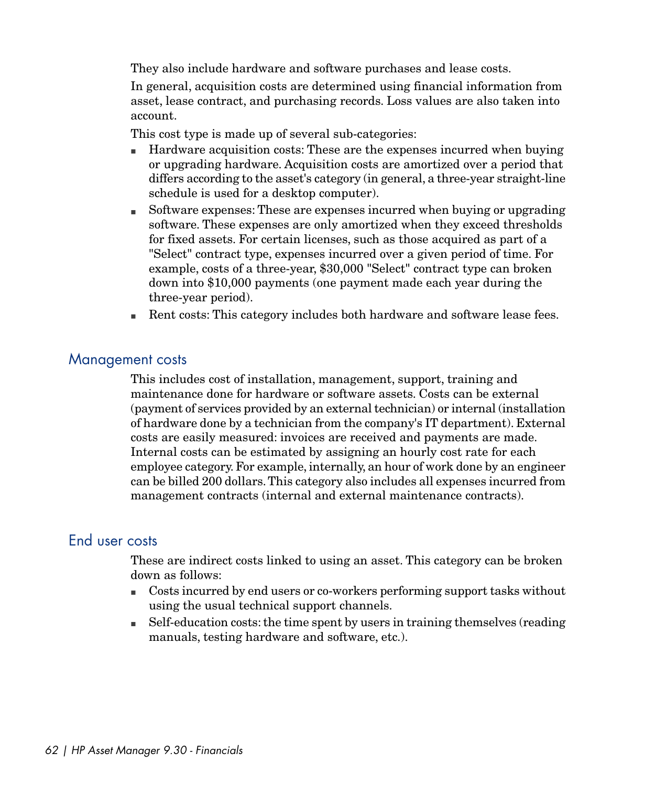They also include hardware and software purchases and lease costs.

In general, acquisition costs are determined using financial information from asset, lease contract, and purchasing records. Loss values are also taken into account.

This cost type is made up of several sub-categories:

- <sup>n</sup> Hardware acquisition costs: These are the expenses incurred when buying or upgrading hardware. Acquisition costs are amortized over a period that differs according to the asset's category (in general, a three-year straight-line schedule is used for a desktop computer).
- <sup>n</sup> Software expenses: These are expenses incurred when buying or upgrading software. These expenses are only amortized when they exceed thresholds for fixed assets. For certain licenses, such as those acquired as part of a "Select" contract type, expenses incurred over a given period of time. For example, costs of a three-year, \$30,000 "Select" contract type can broken down into \$10,000 payments (one payment made each year during the three-year period).
- n Rent costs: This category includes both hardware and software lease fees.

### Management costs

This includes cost of installation, management, support, training and maintenance done for hardware or software assets. Costs can be external (payment of services provided by an external technician) or internal (installation of hardware done by a technician from the company's IT department). External costs are easily measured: invoices are received and payments are made. Internal costs can be estimated by assigning an hourly cost rate for each employee category. For example, internally, an hour of work done by an engineer can be billed 200 dollars.This category also includes all expenses incurred from management contracts (internal and external maintenance contracts).

## End user costs

These are indirect costs linked to using an asset. This category can be broken down as follows:

- <sup>n</sup> Costs incurred by end users or co-workers performing support tasks without using the usual technical support channels.
- <sup>n</sup> Self-education costs: the time spent by users in training themselves (reading manuals, testing hardware and software, etc.).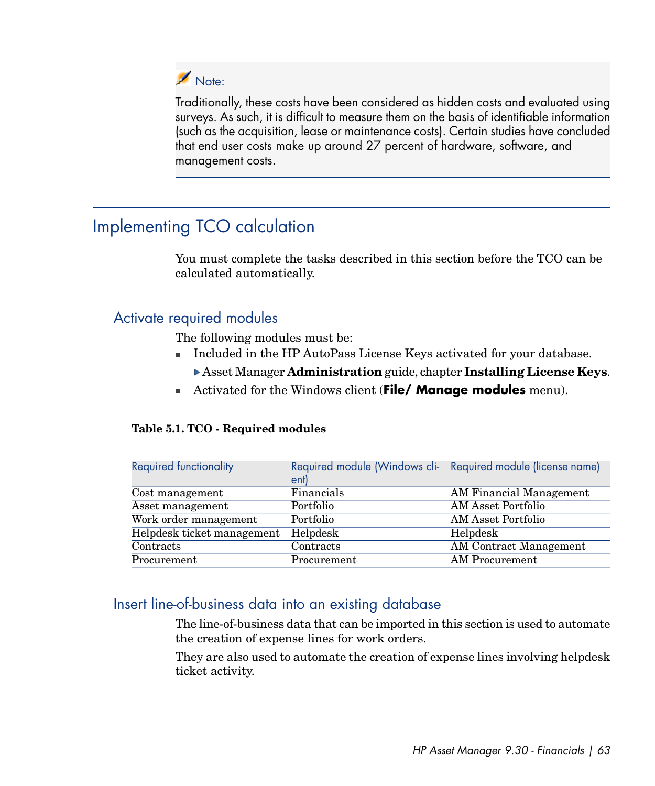# Note:

Traditionally, these costs have been considered as hidden costs and evaluated using surveys. As such, it is difficult to measure them on the basis of identifiable information (such as the acquisition, lease or maintenance costs). Certain studies have concluded that end user costs make up around 27 percent of hardware, software, and management costs.

# Implementing TCO calculation

You must complete the tasks described in this section before the TCO can be calculated automatically.

## Activate required modules

The following modules must be:

- n Included in the HP AutoPass License Keys activated for your database.
	- Asset Manager **Administration** guide, chapter **Installing License Keys**.
- **Exercise 1** Activated for the Windows client (**File/ Manage modules** menu).

#### **Table 5.1. TCO - Required modules**

| <b>Required functionality</b> | Required module (Windows cli- Required module (license name)<br>ent) |                                |
|-------------------------------|----------------------------------------------------------------------|--------------------------------|
| Cost management               | Financials                                                           | <b>AM Financial Management</b> |
| Asset management              | Portfolio                                                            | <b>AM Asset Portfolio</b>      |
| Work order management         | Portfolio                                                            | AM Asset Portfolio             |
| Helpdesk ticket management    | Helpdesk                                                             | Helpdesk                       |
| Contracts                     | $\mathop{\text{Contracts}}$                                          | <b>AM Contract Management</b>  |
| Procurement                   | Procurement                                                          | <b>AM Procurement</b>          |

## Insert line-of-business data into an existing database

The line-of-business data that can be imported in this section is used to automate the creation of expense lines for work orders.

They are also used to automate the creation of expense lines involving helpdesk ticket activity.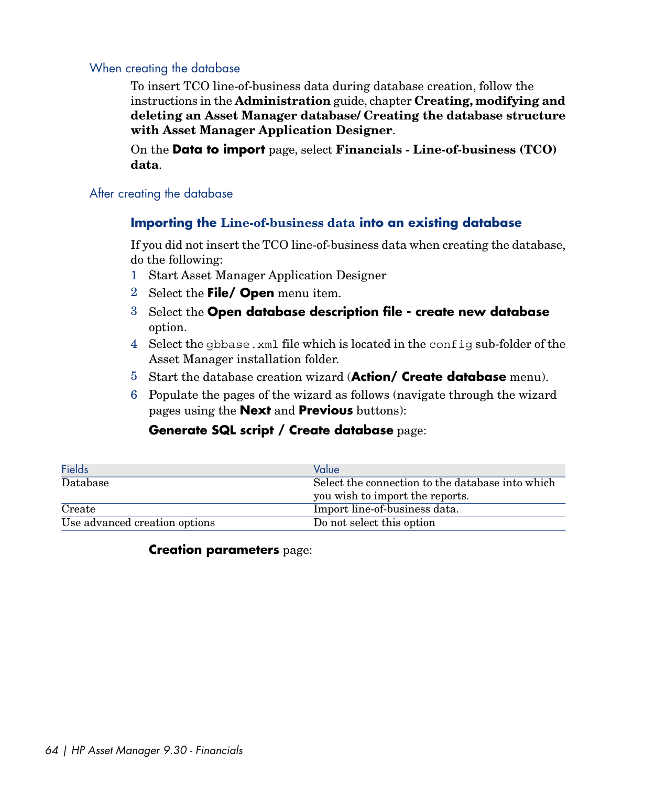#### When creating the database

To insert TCO line-of-business data during database creation, follow the instructions in the **Administration** guide, chapter **Creating, modifying and deleting an Asset Manager database/ Creating the database structure with Asset Manager Application Designer**.

On the **Data to import** page, select **Financials - Line-of-business (TCO) data**.

#### After creating the database

#### **Importing the Line-of-business data into an existing database**

If you did not insert the TCO line-of-business data when creating the database, do the following:

- 1 Start Asset Manager Application Designer
- 2 Select the **File/ Open** menu item.
- 3 Select the **Open database description file create new database** option.
- 4 Select the gbbase.xml file which is located in the config sub-folder of the Asset Manager installation folder.
- 5 Start the database creation wizard (**Action/ Create database** menu).
- 6 Populate the pages of the wizard as follows (navigate through the wizard pages using the **Next** and **Previous** buttons):

#### **Generate SQL script / Create database** page:

| <b>Fields</b>                 | Value                                            |
|-------------------------------|--------------------------------------------------|
| Database                      | Select the connection to the database into which |
|                               | you wish to import the reports.                  |
| Create                        | Import line-of-business data.                    |
| Use advanced creation options | Do not select this option                        |

#### **Creation parameters** page: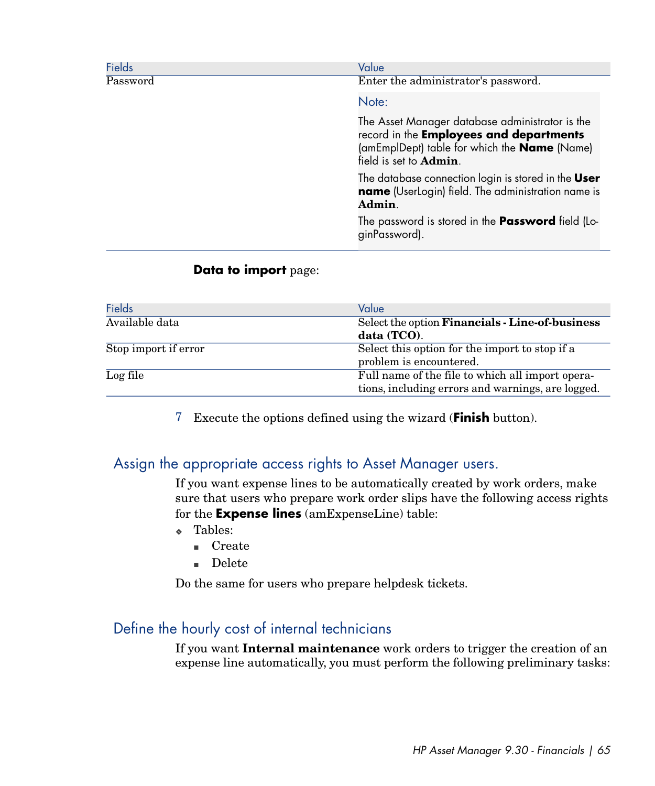| <b>Fields</b> | Value                                                                                                                                                                               |
|---------------|-------------------------------------------------------------------------------------------------------------------------------------------------------------------------------------|
| Password      | Enter the administrator's password.                                                                                                                                                 |
|               | Note:                                                                                                                                                                               |
|               | The Asset Manager database administrator is the<br>record in the <b>Employees and departments</b><br>(amEmplDept) table for which the Name (Name)<br>field is set to <b>Admin</b> . |
|               | The database connection login is stored in the User<br>name (UserLogin) field. The administration name is<br>Admin.                                                                 |
|               | The password is stored in the <b>Password</b> field (Lo-<br>ginPassword).                                                                                                           |

#### **Data to import** page:

| <b>Fields</b>        | Value                                                  |
|----------------------|--------------------------------------------------------|
| Available data       | Select the option <b>Financials</b> - Line-of-business |
|                      | data (TCO).                                            |
| Stop import if error | Select this option for the import to stop if a         |
|                      | problem is encountered.                                |
| Log file             | Full name of the file to which all import opera-       |
|                      | tions, including errors and warnings, are logged.      |

7 Execute the options defined using the wizard (**Finish** button).

#### Assign the appropriate access rights to Asset Manager users.

If you want expense lines to be automatically created by work orders, make sure that users who prepare work order slips have the following access rights for the **Expense lines** (amExpenseLine) table:

- $\bullet$  Tables:
	- <sup>n</sup> Create
	- <sup>n</sup> Delete

Do the same for users who prepare helpdesk tickets.

## Define the hourly cost of internal technicians

If you want **Internal maintenance** work orders to trigger the creation of an expense line automatically, you must perform the following preliminary tasks: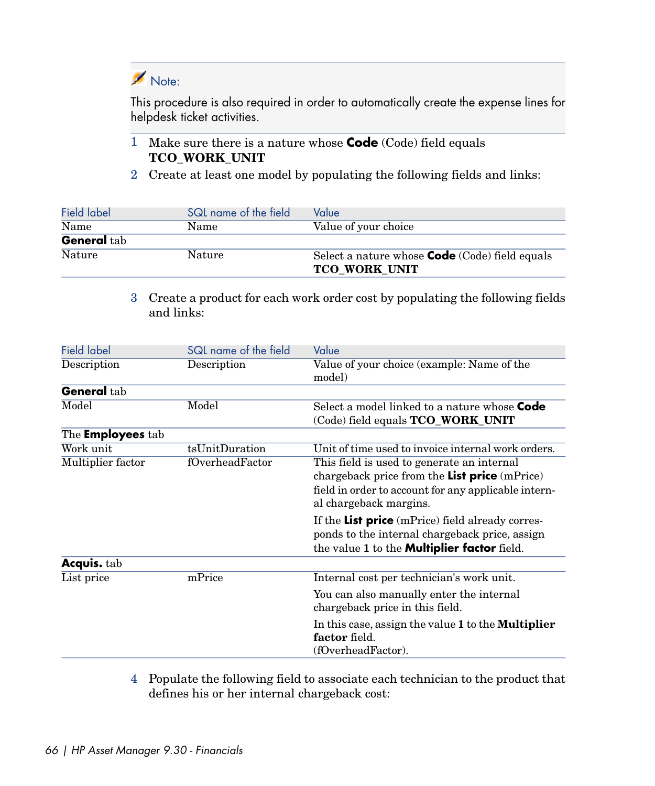# Note:

This procedure is also required in order to automatically create the expense lines for helpdesk ticket activities.

- 1 Make sure there is a nature whose **Code** (Code) field equals **TCO\_WORK\_UNIT**
- 2 Create at least one model by populating the following fields and links:

| <b>Field label</b> | SQL name of the field | Value                                                                  |
|--------------------|-----------------------|------------------------------------------------------------------------|
| Name               | Name                  | Value of your choice                                                   |
| <b>General</b> tab |                       |                                                                        |
| Nature             | Nature                | Select a nature whose Code (Code) field equals<br><b>TCO WORK UNIT</b> |

3 Create a product for each work order cost by populating the following fields and links:

| Field label              | SQL name of the field | Value                                                     |
|--------------------------|-----------------------|-----------------------------------------------------------|
| Description              | Description           | Value of your choice (example: Name of the                |
|                          |                       | model)                                                    |
| <b>General</b> tab       |                       |                                                           |
| Model                    | Model                 | Select a model linked to a nature whose <b>Code</b>       |
|                          |                       | (Code) field equals <b>TCO_WORK_UNIT</b>                  |
| The <b>Employees</b> tab |                       |                                                           |
| Work unit                | tsUnitDuration        | Unit of time used to invoice internal work orders.        |
| Multiplier factor        | fOverheadFactor       | This field is used to generate an internal                |
|                          |                       | chargeback price from the List price (mPrice)             |
|                          |                       | field in order to account for any applicable intern-      |
|                          |                       | al chargeback margins.                                    |
|                          |                       | If the List price (mPrice) field already corres-          |
|                          |                       | ponds to the internal chargeback price, assign            |
|                          |                       | the value 1 to the <b>Multiplier factor</b> field.        |
| Acquis. tab              |                       |                                                           |
| List price               | mPrice                | Internal cost per technician's work unit.                 |
|                          |                       | You can also manually enter the internal                  |
|                          |                       | chargeback price in this field.                           |
|                          |                       | In this case, assign the value 1 to the <b>Multiplier</b> |
|                          |                       | factor field.                                             |
|                          |                       | (fOverheadFactor).                                        |

4 Populate the following field to associate each technician to the product that defines his or her internal chargeback cost: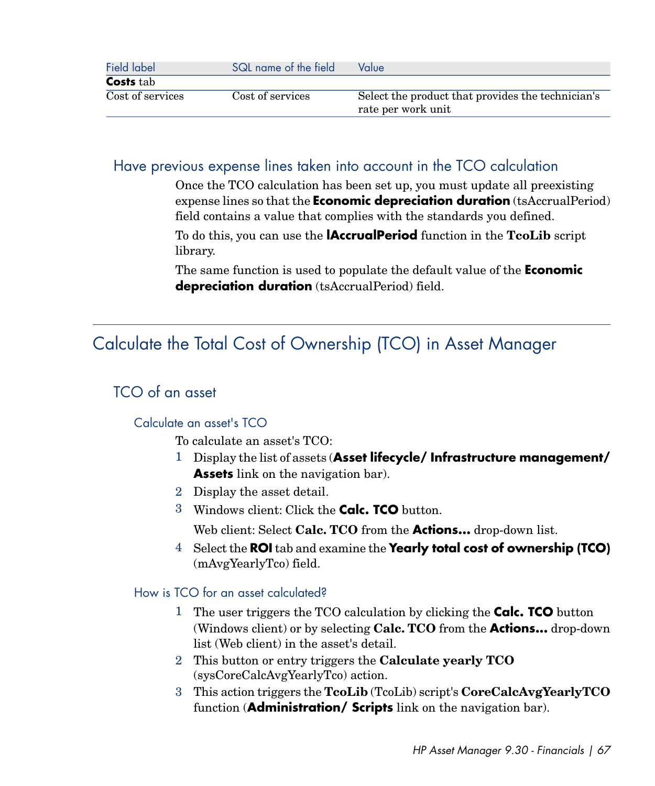| Field label      | SQL name of the field | Value                                                                   |
|------------------|-----------------------|-------------------------------------------------------------------------|
| <b>Costs</b> tab |                       |                                                                         |
| Cost of services | Cost of services      | Select the product that provides the technician's<br>rate per work unit |

## Have previous expense lines taken into account in the TCO calculation

Once the TCO calculation has been set up, you must update all preexisting expense lines so that the **Economic depreciation duration** (tsAccrualPeriod) field contains a value that complies with the standards you defined.

To do this, you can use the **lAccrualPeriod** function in the **TcoLib** script library.

The same function is used to populate the default value of the **Economic depreciation duration** (tsAccrualPeriod) field.

# <span id="page-66-0"></span>Calculate the Total Cost of Ownership (TCO) in Asset Manager

## TCO of an asset

#### Calculate an asset's TCO

To calculate an asset's TCO:

- 1 Display the list of assets (**Asset lifecycle/ Infrastructure management/ Assets** link on the navigation bar).
- 2 Display the asset detail.
- 3 Windows client: Click the **Calc. TCO** button.

Web client: Select **Calc. TCO** from the **Actions...** drop-down list.

4 Select the **ROI** tab and examine the **Yearly total cost of ownership (TCO)** (mAvgYearlyTco) field.

#### How is TCO for an asset calculated?

- 1 The user triggers the TCO calculation by clicking the **Calc. TCO** button (Windows client) or by selecting **Calc. TCO** from the **Actions...** drop-down list (Web client) in the asset's detail.
- 2 This button or entry triggers the **Calculate yearly TCO** (sysCoreCalcAvgYearlyTco) action.
- 3 This action triggers the **TcoLib** (TcoLib) script's **CoreCalcAvgYearlyTCO** function (**Administration/ Scripts** link on the navigation bar).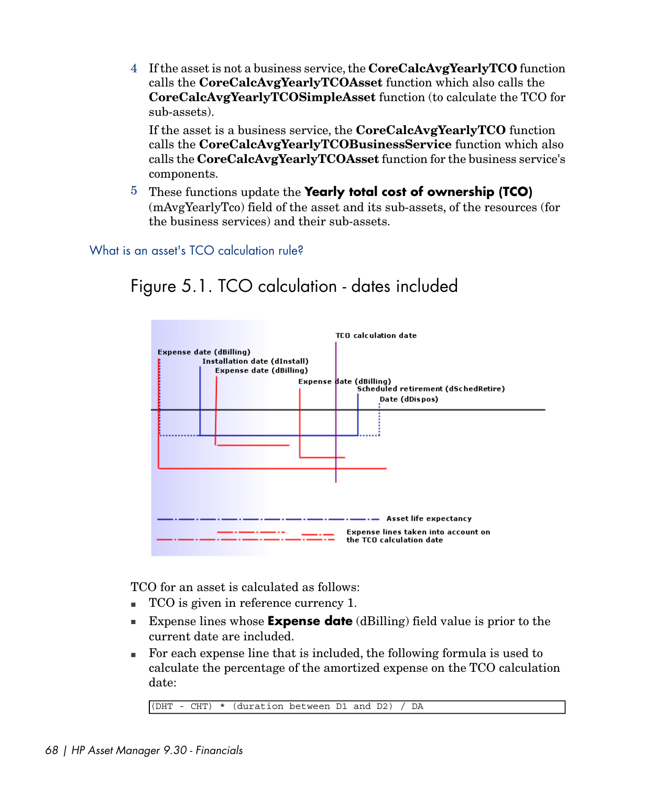4 If the asset is not a business service, the **CoreCalcAvgYearlyTCO** function calls the **CoreCalcAvgYearlyTCOAsset** function which also calls the **CoreCalcAvgYearlyTCOSimpleAsset** function (to calculate the TCO for sub-assets).

If the asset is a business service, the **CoreCalcAvgYearlyTCO** function calls the **CoreCalcAvgYearlyTCOBusinessService** function which also calls the **CoreCalcAvgYearlyTCOAsset** function for the business service's components.

5 These functions update the **Yearly total cost of ownership (TCO)** (mAvgYearlyTco) field of the asset and its sub-assets, of the resources (for the business services) and their sub-assets.

#### What is an asset's TCO calculation rule?

# Figure 5.1. TCO calculation - dates included



TCO for an asset is calculated as follows:

- $\blacksquare$  TCO is given in reference currency 1.
- <sup>n</sup> Expense lines whose **Expense date** (dBilling) field value is prior to the current date are included.
- For each expense line that is included, the following formula is used to calculate the percentage of the amortized expense on the TCO calculation date:

(DHT - CHT) \* (duration between D1 and D2) / DA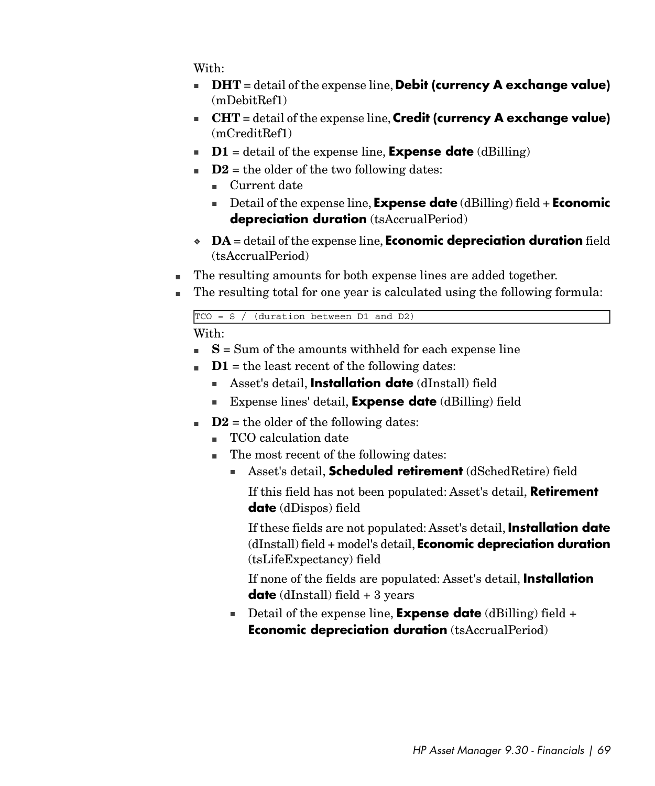With:

- **n DHT** = detail of the expense line, **Debit (currency A exchange value)** (mDebitRef1)
- <sup>n</sup> **CHT** = detail of the expense line, **Credit (currency A exchange value)** (mCreditRef1)
- **D1** = detail of the expense line, **Expense date** (dBilling)
- $\blacksquare$  **D2** = the older of the two following dates:
	- Current date
	- <sup>n</sup> Detail of the expense line, **Expense date** (dBilling) field + **Economic depreciation duration** (tsAccrualPeriod)
- <sup>u</sup> **DA** = detail of the expense line, **Economic depreciation duration** field (tsAccrualPeriod)
- n The resulting amounts for both expense lines are added together.
- <sup>n</sup> The resulting total for one year is calculated using the following formula:

 $TCO = S / (duration between D1 and D2)$ 

With:

- $S = Sum of the amounts with held for each expense line$
- $\blacksquare$  **D1** = the least recent of the following dates:
	- **n** Asset's detail, **Installation date** (dInstall) field
	- <sup>n</sup> Expense lines' detail, **Expense date** (dBilling) field
- $\blacksquare$  **D2** = the older of the following dates:
	- TCO calculation date
	- $\blacksquare$  The most recent of the following dates:
		- <sup>n</sup> Asset's detail, **Scheduled retirement** (dSchedRetire) field

If this field has not been populated: Asset's detail, **Retirement date** (dDispos) field

If these fields are not populated: Asset's detail, **Installation date** (dInstall) field + model's detail, **Economic depreciation duration** (tsLifeExpectancy) field

If none of the fields are populated: Asset's detail, **Installation date** (dInstall) field + 3 years

■ Detail of the expense line, **Expense date** (dBilling) field + **Economic depreciation duration** (tsAccrualPeriod)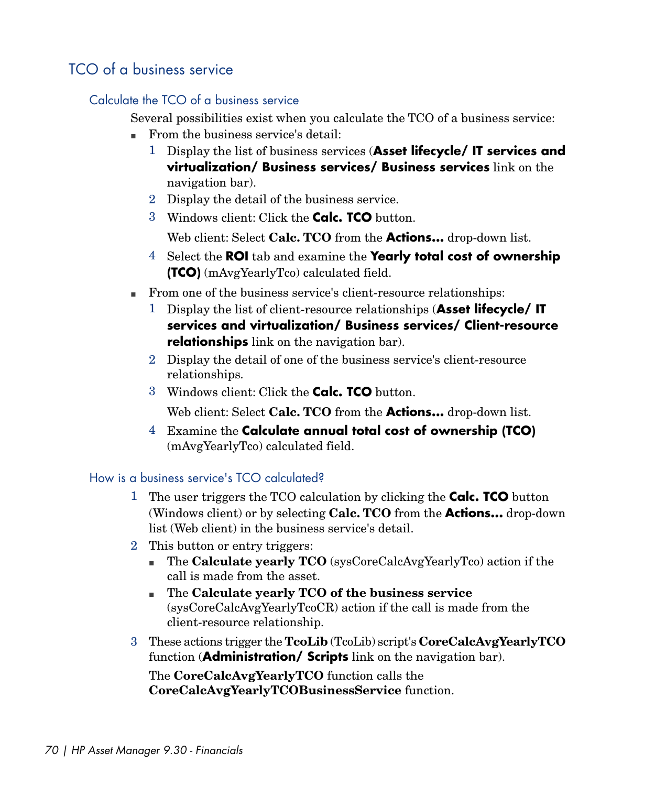# TCO of a business service

#### Calculate the TCO of a business service

Several possibilities exist when you calculate the TCO of a business service:

- From the business service's detail:
	- 1 Display the list of business services (**Asset lifecycle/ IT services and virtualization/ Business services/ Business services** link on the navigation bar).
	- 2 Display the detail of the business service.
	- 3 Windows client: Click the **Calc. TCO** button.

Web client: Select **Calc. TCO** from the **Actions...** drop-down list.

- 4 Select the **ROI** tab and examine the **Yearly total cost of ownership (TCO)** (mAvgYearlyTco) calculated field.
- From one of the business service's client-resource relationships:
	- 1 Display the list of client-resource relationships (**Asset lifecycle/ IT services and virtualization/ Business services/ Client-resource relationships** link on the navigation bar).
	- 2 Display the detail of one of the business service's client-resource relationships.
	- 3 Windows client: Click the **Calc. TCO** button.

Web client: Select **Calc. TCO** from the **Actions...** drop-down list.

4 Examine the **Calculate annual total cost of ownership (TCO)** (mAvgYearlyTco) calculated field.

## How is a business service's TCO calculated?

- 1 The user triggers the TCO calculation by clicking the **Calc. TCO** button (Windows client) or by selecting **Calc. TCO** from the **Actions...** drop-down list (Web client) in the business service's detail.
- 2 This button or entry triggers:
	- n The **Calculate yearly TCO** (sysCoreCalcAvgYearlyTco) action if the call is made from the asset.
	- <sup>n</sup> The **Calculate yearly TCO of the business service** (sysCoreCalcAvgYearlyTcoCR) action if the call is made from the client-resource relationship.
- 3 These actions trigger the **TcoLib** (TcoLib) script's **CoreCalcAvgYearlyTCO** function (**Administration/ Scripts** link on the navigation bar).

The **CoreCalcAvgYearlyTCO** function calls the **CoreCalcAvgYearlyTCOBusinessService** function.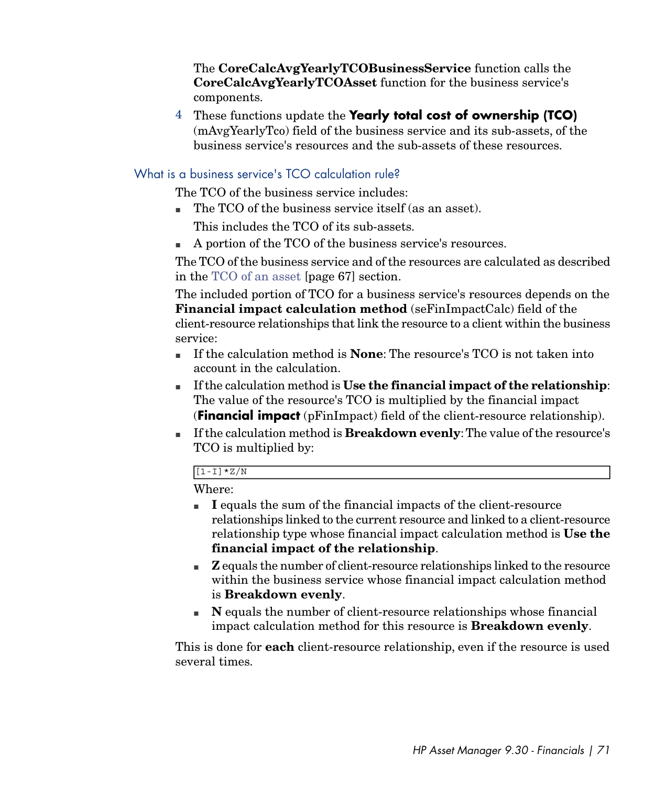The **CoreCalcAvgYearlyTCOBusinessService** function calls the **CoreCalcAvgYearlyTCOAsset** function for the business service's components.

4 These functions update the **Yearly total cost of ownership (TCO)** (mAvgYearlyTco) field of the business service and its sub-assets, of the business service's resources and the sub-assets of these resources.

#### What is a business service's TCO calculation rule?

The TCO of the business service includes:

- <sup>n</sup> The TCO of the business service itself (as an asset).
	- This includes the TCO of its sub-assets.
- <sup>n</sup> A portion of the TCO of the business service's resources.

The TCO of the business service and of the resources are calculated as described in the [TCO of an asset](#page-66-0) [page 67] section.

The included portion of TCO for a business service's resources depends on the **Financial impact calculation method** (seFinImpactCalc) field of the client-resource relationships that link the resource to a client within the business service:

- <sup>n</sup> If the calculation method is **None**: The resource's TCO is not taken into account in the calculation.
- <sup>n</sup> If the calculation method is **Use the financial impact of the relationship**: The value of the resource's TCO is multiplied by the financial impact (**Financial impact** (pFinImpact) field of the client-resource relationship).
- <sup>n</sup> If the calculation method is **Breakdown evenly**:The value of the resource's TCO is multiplied by:

#### $[1-I]*Z/N$

Where:

- <sup>n</sup> **I** equals the sum of the financial impacts of the client-resource relationships linked to the current resource and linked to a client-resource relationship type whose financial impact calculation method is **Use the financial impact of the relationship**.
- <sup>n</sup> **Z** equals the number of client-resource relationships linked to the resource within the business service whose financial impact calculation method is **Breakdown evenly**.
- **N** equals the number of client-resource relationships whose financial impact calculation method for this resource is **Breakdown evenly**.

This is done for **each** client-resource relationship, even if the resource is used several times.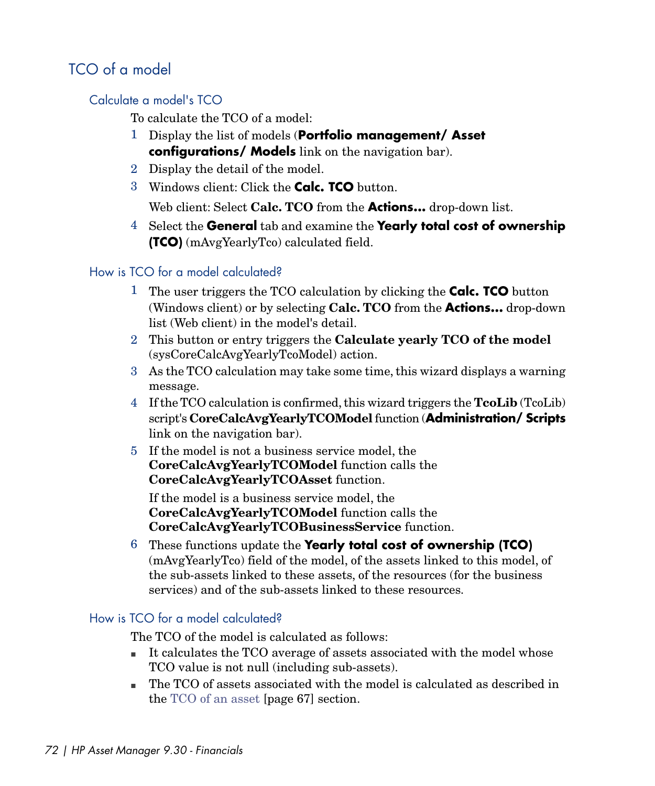# TCO of a model

## Calculate a model's TCO

To calculate the TCO of a model:

- 1 Display the list of models (**Portfolio management/ Asset configurations/ Models** link on the navigation bar).
- 2 Display the detail of the model.
- 3 Windows client: Click the **Calc. TCO** button. Web client: Select **Calc. TCO** from the **Actions...** drop-down list.
- 4 Select the **General** tab and examine the **Yearly total cost of ownership (TCO)** (mAvgYearlyTco) calculated field.

#### How is TCO for a model calculated?

- 1 The user triggers the TCO calculation by clicking the **Calc. TCO** button (Windows client) or by selecting **Calc. TCO** from the **Actions...** drop-down list (Web client) in the model's detail.
- 2 This button or entry triggers the **Calculate yearly TCO of the model** (sysCoreCalcAvgYearlyTcoModel) action.
- 3 As the TCO calculation may take some time, this wizard displays a warning message.
- 4 If the TCO calculation is confirmed, this wizard triggers the **TcoLib** (TcoLib) script's **CoreCalcAvgYearlyTCOModel** function (**Administration/ Scripts** link on the navigation bar).
- 5 If the model is not a business service model, the **CoreCalcAvgYearlyTCOModel** function calls the **CoreCalcAvgYearlyTCOAsset** function.

If the model is a business service model, the **CoreCalcAvgYearlyTCOModel** function calls the **CoreCalcAvgYearlyTCOBusinessService** function.

6 These functions update the **Yearly total cost of ownership (TCO)** (mAvgYearlyTco) field of the model, of the assets linked to this model, of the sub-assets linked to these assets, of the resources (for the business services) and of the sub-assets linked to these resources.

#### How is TCO for a model calculated?

The TCO of the model is calculated as follows:

- $\blacksquare$  It calculates the TCO average of assets associated with the model whose TCO value is not null (including sub-assets).
- n The TCO of assets associated with the model is calculated as described in the [TCO of an asset](#page-66-0) [page 67] section.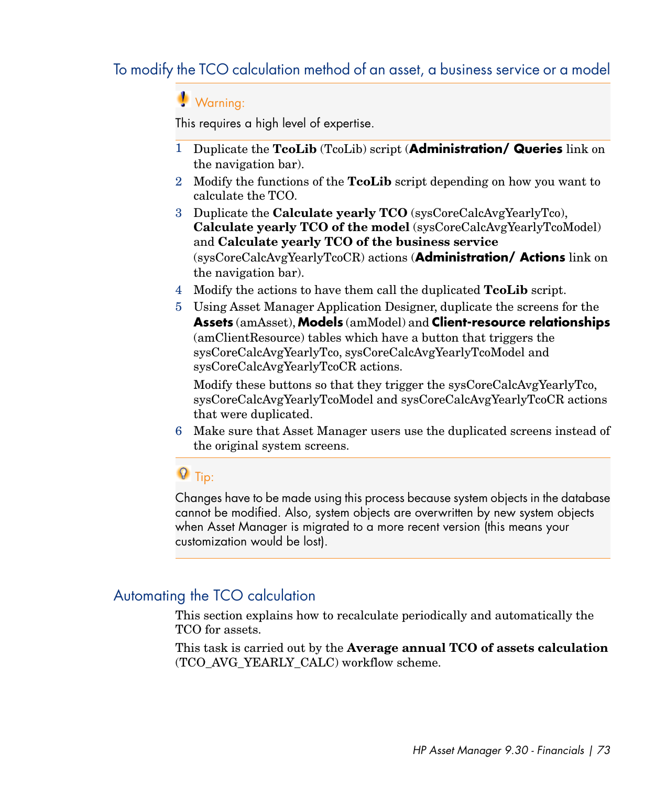# To modify the TCO calculation method of an asset, a business service or a model

# Warning:

This requires a high level of expertise.

- 1 Duplicate the **TcoLib** (TcoLib) script (**Administration/ Queries** link on the navigation bar).
- 2 Modify the functions of the **TcoLib** script depending on how you want to calculate the TCO.
- 3 Duplicate the **Calculate yearly TCO** (sysCoreCalcAvgYearlyTco), **Calculate yearly TCO of the model** (sysCoreCalcAvgYearlyTcoModel) and **Calculate yearly TCO of the business service** (sysCoreCalcAvgYearlyTcoCR) actions (**Administration/ Actions** link on the navigation bar).
- 4 Modify the actions to have them call the duplicated **TcoLib** script.
- 5 Using Asset Manager Application Designer, duplicate the screens for the **Assets** (amAsset), **Models** (amModel) and **Client-resource relationships** (amClientResource) tables which have a button that triggers the sysCoreCalcAvgYearlyTco, sysCoreCalcAvgYearlyTcoModel and sysCoreCalcAvgYearlyTcoCR actions.

Modify these buttons so that they trigger the sysCoreCalcAvgYearlyTco, sysCoreCalcAvgYearlyTcoModel and sysCoreCalcAvgYearlyTcoCR actions that were duplicated.

6 Make sure that Asset Manager users use the duplicated screens instead of the original system screens.

# $Q$  Tip:

Changes have to be made using this process because system objects in the database cannot be modified. Also, system objects are overwritten by new system objects when Asset Manager is migrated to a more recent version (this means your customization would be lost).

# Automating the TCO calculation

This section explains how to recalculate periodically and automatically the TCO for assets.

This task is carried out by the **Average annual TCO of assets calculation** (TCO\_AVG\_YEARLY\_CALC) workflow scheme.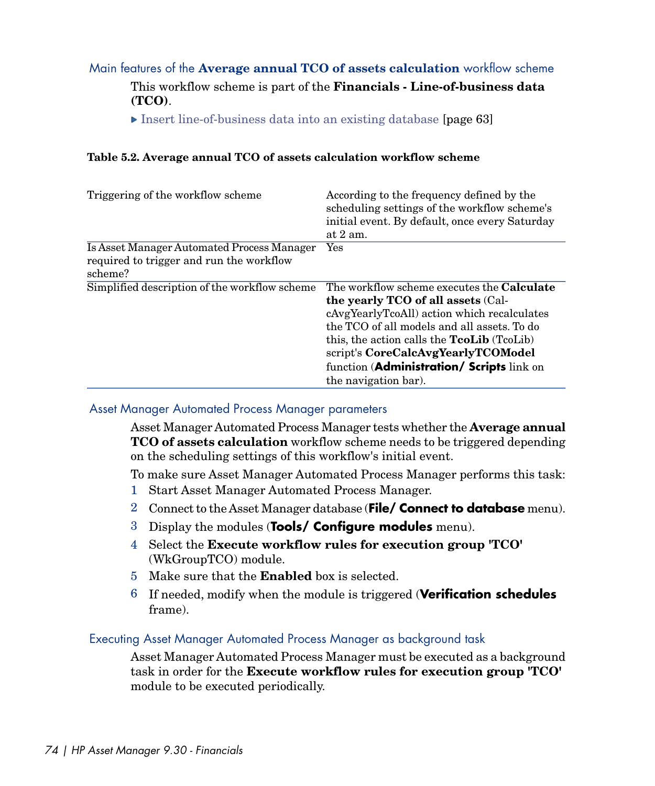## Main features of the **Average annual TCO of assets calculation** workflow scheme

This workflow scheme is part of the **Financials - Line-of-business data (TCO)**.

[Insert line-of-business data into an existing database](#page-62-0) [page 63]

#### **Table 5.2. Average annual TCO of assets calculation workflow scheme**

| Triggering of the workflow scheme                                                                 | According to the frequency defined by the<br>scheduling settings of the workflow scheme's<br>initial event. By default, once every Saturday<br>at $2 \text{ am}$ .                                                                                                                                                                                    |
|---------------------------------------------------------------------------------------------------|-------------------------------------------------------------------------------------------------------------------------------------------------------------------------------------------------------------------------------------------------------------------------------------------------------------------------------------------------------|
| Is Asset Manager Automated Process Manager<br>required to trigger and run the workflow<br>scheme? | Yes                                                                                                                                                                                                                                                                                                                                                   |
| Simplified description of the workflow scheme                                                     | The workflow scheme executes the <b>Calculate</b><br>the yearly TCO of all assets (Cal-<br>cAvgYearlyTcoAll) action which recalculates<br>the TCO of all models and all assets. To do<br>this, the action calls the <b>TcoLib</b> (TcoLib)<br>script's CoreCalcAvgYearlyTCOModel<br>function (Administration/ Scripts link on<br>the navigation bar). |

#### Asset Manager Automated Process Manager parameters

Asset Manager Automated Process Manager tests whether the **Average annual TCO of assets calculation** workflow scheme needs to be triggered depending on the scheduling settings of this workflow's initial event.

To make sure Asset Manager Automated Process Manager performs this task:

- 1 Start Asset Manager Automated Process Manager.
- 2 Connect to the Asset Manager database (**File/ Connect to database** menu).
- 3 Display the modules (**Tools/ Configure modules** menu).
- 4 Select the **Execute workflow rules for execution group 'TCO'** (WkGroupTCO) module.
- 5 Make sure that the **Enabled** box is selected.
- 6 If needed, modify when the module is triggered (**Verification schedules** frame).

#### Executing Asset Manager Automated Process Manager as background task

Asset Manager Automated Process Manager must be executed as a background task in order for the **Execute workflow rules for execution group 'TCO'** module to be executed periodically.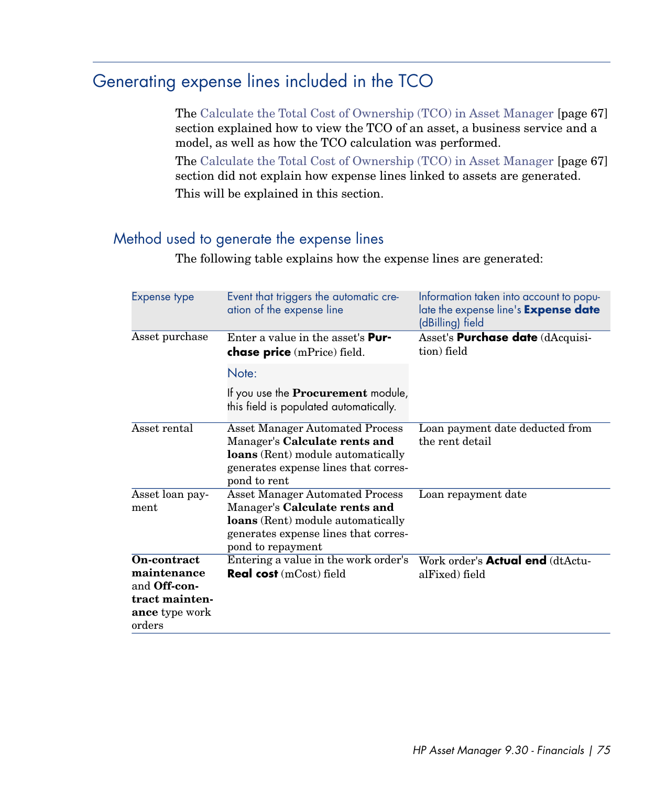# Generating expense lines included in the TCO

The [Calculate the Total Cost of Ownership \(TCO\) in Asset Manager](#page-66-0) [page 67] section explained how to view the TCO of an asset, a business service and a model, as well as how the TCO calculation was performed.

The [Calculate the Total Cost of Ownership \(TCO\) in Asset Manager](#page-66-0) [page 67] section did not explain how expense lines linked to assets are generated. This will be explained in this section.

# Method used to generate the expense lines

The following table explains how the expense lines are generated:

| Expense type                                                                             | Event that triggers the automatic cre-<br>ation of the expense line                                                                                                              | Information taken into account to popu-<br>late the expense line's <b>Expense date</b><br>(dBilling) field |
|------------------------------------------------------------------------------------------|----------------------------------------------------------------------------------------------------------------------------------------------------------------------------------|------------------------------------------------------------------------------------------------------------|
| Asset purchase                                                                           | Enter a value in the asset's <b>Pur-</b><br><b>chase price</b> (mPrice) field.                                                                                                   | Asset's Purchase date (dAcquisi-<br>tion) field                                                            |
|                                                                                          | Note:                                                                                                                                                                            |                                                                                                            |
|                                                                                          | If you use the <b>Procurement</b> module,<br>this field is populated automatically.                                                                                              |                                                                                                            |
| Asset rental                                                                             | <b>Asset Manager Automated Process</b><br>Manager's Calculate rents and<br><b>loans</b> (Rent) module automatically<br>generates expense lines that corres-<br>pond to rent      | Loan payment date deducted from<br>the rent detail                                                         |
| Asset loan pay-<br>ment                                                                  | <b>Asset Manager Automated Process</b><br>Manager's Calculate rents and<br><b>loans</b> (Rent) module automatically<br>generates expense lines that corres-<br>pond to repayment | Loan repayment date                                                                                        |
| On-contract<br>maintenance<br>and Off-con-<br>tract mainten-<br>ance type work<br>orders | Entering a value in the work order's<br><b>Real cost</b> (mCost) field                                                                                                           | Work order's Actual end (dtActu-<br>alFixed) field                                                         |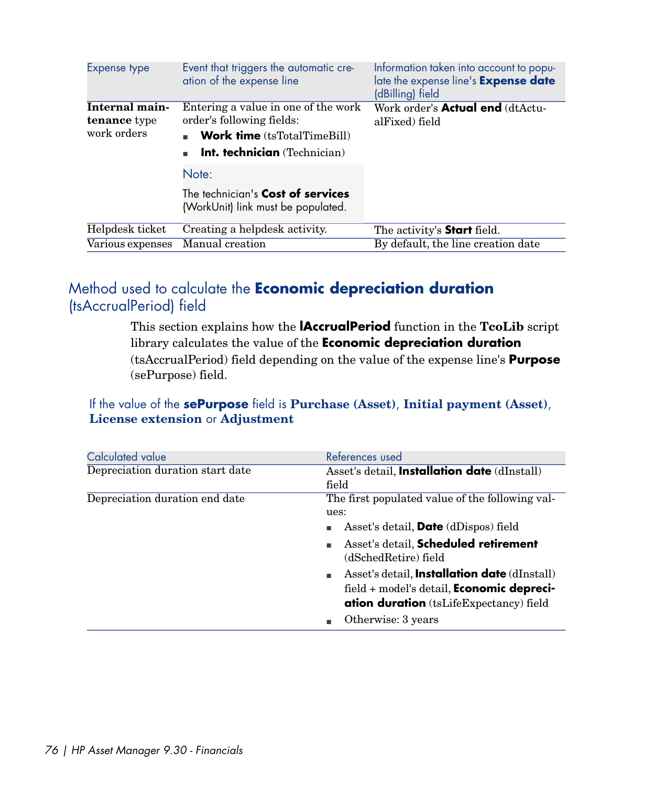| Expense type                                         | Event that triggers the automatic cre-<br>ation of the expense line                                                                    | Information taken into account to popu-<br>late the expense line's <b>Expense date</b><br>(dBilling) field |
|------------------------------------------------------|----------------------------------------------------------------------------------------------------------------------------------------|------------------------------------------------------------------------------------------------------------|
| Internal main-<br><b>tenance</b> type<br>work orders | Entering a value in one of the work<br>order's following fields:<br><b>Work time</b> (tsTotalTimeBill)<br>Int. technician (Technician) | Work order's <b>Actual end</b> (dtActu-<br>alFixed) field                                                  |
|                                                      | Note:<br>The technician's Cost of services<br>(WorkUnit) link must be populated.                                                       |                                                                                                            |
| Helpdesk ticket<br>Various expenses                  | Creating a helpdesk activity.<br>Manual creation                                                                                       | The activity's <b>Start</b> field.<br>By default, the line creation date                                   |
|                                                      |                                                                                                                                        |                                                                                                            |

# Method used to calculate the **Economic depreciation duration** (tsAccrualPeriod) field

This section explains how the **lAccrualPeriod** function in the **TcoLib** script library calculates the value of the **Economic depreciation duration** (tsAccrualPeriod) field depending on the value of the expense line's **Purpose** (sePurpose) field.

#### If the value of the **sePurpose** field is **Purchase (Asset)**, **Initial payment (Asset)**, **License extension** or **Adjustment**

| Calculated value                 | References used                                                                                                                             |
|----------------------------------|---------------------------------------------------------------------------------------------------------------------------------------------|
| Depreciation duration start date | Asset's detail, Installation date (dInstall)                                                                                                |
|                                  | field                                                                                                                                       |
| Depreciation duration end date   | The first populated value of the following val-                                                                                             |
|                                  | ues:                                                                                                                                        |
|                                  | Asset's detail, Date (dDispos) field                                                                                                        |
|                                  | Asset's detail, Scheduled retirement<br>(dSchedRetire) field                                                                                |
|                                  | Asset's detail, Installation date (dInstall)<br>field + model's detail, Economic depreci-<br><b>ation duration</b> (tsLifeExpectancy) field |
|                                  | Otherwise: 3 years                                                                                                                          |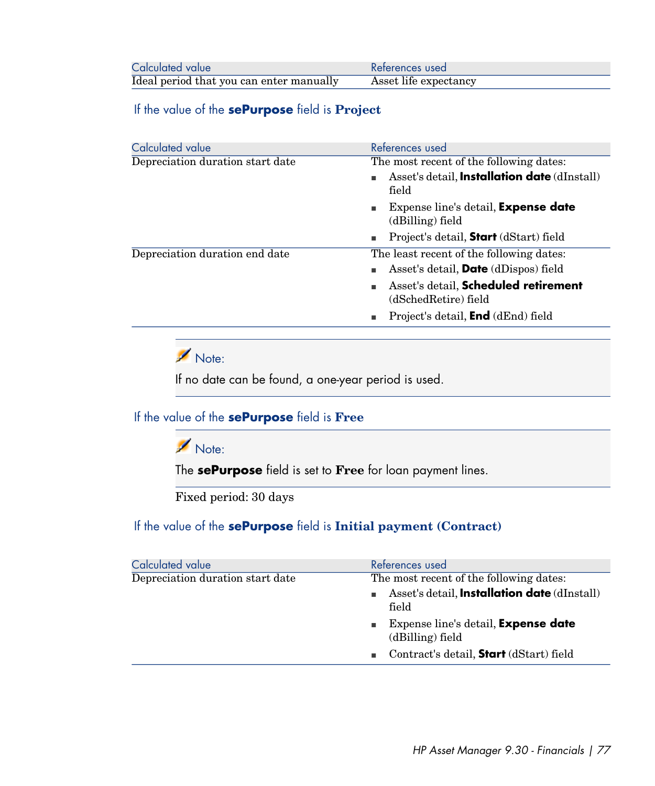| Calculated value                         | References used       |
|------------------------------------------|-----------------------|
| Ideal period that you can enter manually | Asset life expectancy |

## If the value of the **sePurpose** field is **Project**

| Calculated value                 | References used                                                       |
|----------------------------------|-----------------------------------------------------------------------|
| Depreciation duration start date | The most recent of the following dates:                               |
|                                  | Asset's detail, Installation date (dInstall)<br>field                 |
|                                  | Expense line's detail, <b>Expense date</b><br>٠<br>$(dBilling)$ field |
|                                  | Project's detail, Start (dStart) field<br>٠                           |
| Depreciation duration end date   | The least recent of the following dates:                              |
|                                  | Asset's detail, <b>Date</b> (dDispos) field<br>٠                      |
|                                  | Asset's detail, Scheduled retirement<br>(dSchedRetire) field          |
|                                  | Project's detail, <b>End</b> (dEnd) field                             |
|                                  |                                                                       |

Note:

If no date can be found, a one-year period is used.

# If the value of the **sePurpose** field is **Free**

# Note:

<span id="page-76-0"></span>The **sePurpose** field is set to **Free** for loan payment lines.

Fixed period: 30 days

## If the value of the **sePurpose** field is **Initial payment (Contract)**

| Calculated value                 | References used                                                |
|----------------------------------|----------------------------------------------------------------|
| Depreciation duration start date | The most recent of the following dates:                        |
|                                  | Asset's detail, Installation date (dInstall)<br>field          |
|                                  | Expense line's detail, <b>Expense date</b><br>(dBilling) field |
|                                  | Contract's detail, Start (dStart) field                        |
|                                  |                                                                |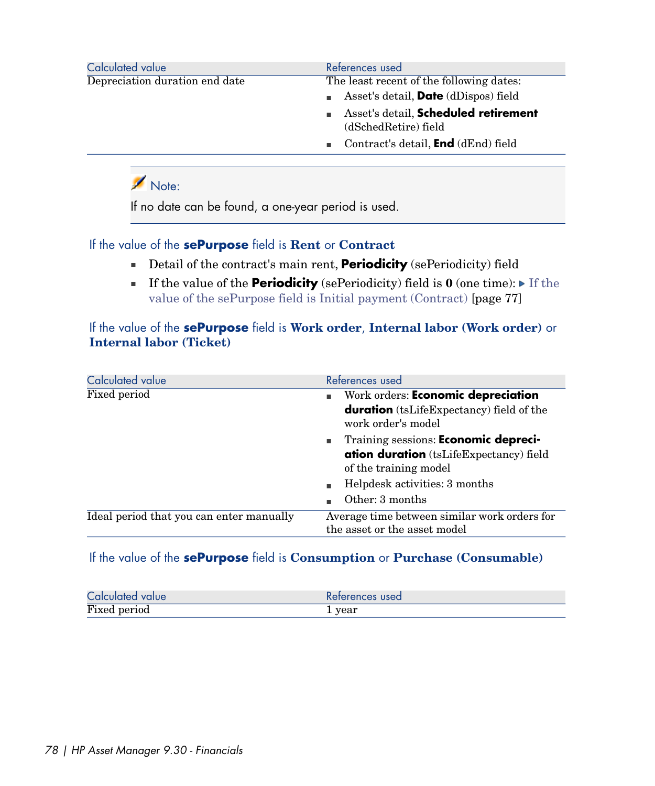| Calculated value               | References used                                              |
|--------------------------------|--------------------------------------------------------------|
| Depreciation duration end date | The least recent of the following dates:                     |
|                                | Asset's detail, <b>Date</b> (dDispos) field                  |
|                                | Asset's detail, Scheduled retirement<br>(dSchedRetire) field |
|                                | Contract's detail, End (dEnd) field                          |
|                                |                                                              |



If no date can be found, a one-year period is used.

#### If the value of the **sePurpose** field is **Rent** or **Contract**

- <sup>n</sup> Detail of the contract's main rent, **Periodicity** (sePeriodicity) field
- **n** [If the](#page-76-0) value of the **Periodicity** (sePeriodicity) field is  $\mathbf{0}$  (one time): If the [value of the sePurpose field is Initial payment \(Contract\)](#page-76-0) [page 77]

## If the value of the **sePurpose** field is **Work order**, **Internal labor (Work order)** or **Internal labor (Ticket)**

| Calculated value                         | References used                                                       |
|------------------------------------------|-----------------------------------------------------------------------|
| Fixed period                             | Work orders: Economic depreciation                                    |
|                                          | <b>duration</b> (tsLifeExpectancy) field of the<br>work order's model |
|                                          | Training sessions: Economic depreci-                                  |
|                                          | ation duration (tsLifeExpectancy) field                               |
|                                          | of the training model                                                 |
|                                          | Helpdesk activities: 3 months                                         |
|                                          | Other: 3 months                                                       |
| Ideal period that you can enter manually | Average time between similar work orders for                          |
|                                          | the asset or the asset model                                          |

## If the value of the **sePurpose** field is **Consumption** or **Purchase (Consumable)**

| Calculated value    | Keferences used |
|---------------------|-----------------|
| <b>Fixed period</b> | year            |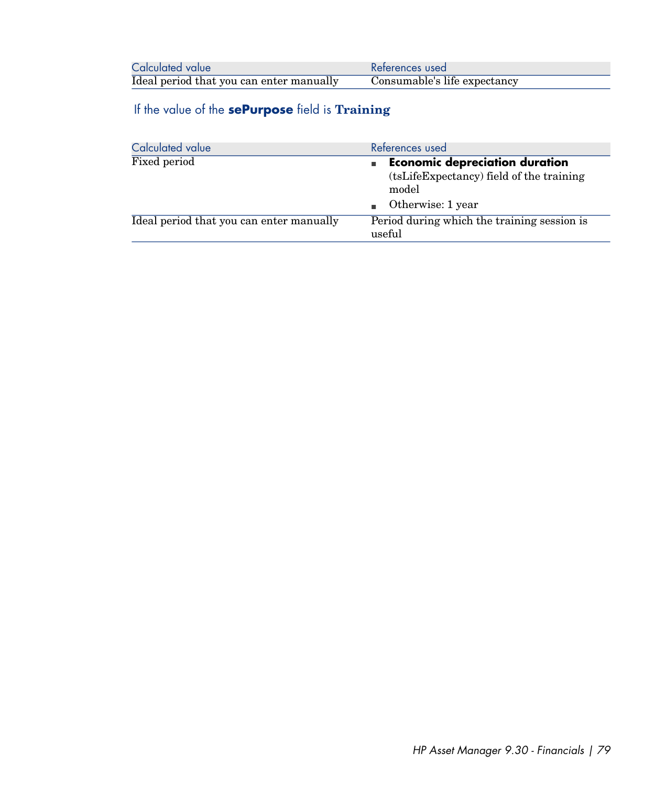| Calculated value                         | References used              |
|------------------------------------------|------------------------------|
| Ideal period that you can enter manually | Consumable's life expectancy |

# If the value of the **sePurpose** field is **Training**

| Calculated value                         | References used                                                                                                 |
|------------------------------------------|-----------------------------------------------------------------------------------------------------------------|
| Fixed period                             | <b>Economic depreciation duration</b><br>(tsLifeExpectancy) field of the training<br>model<br>Otherwise: 1 year |
| Ideal period that you can enter manually | Period during which the training session is<br>useful                                                           |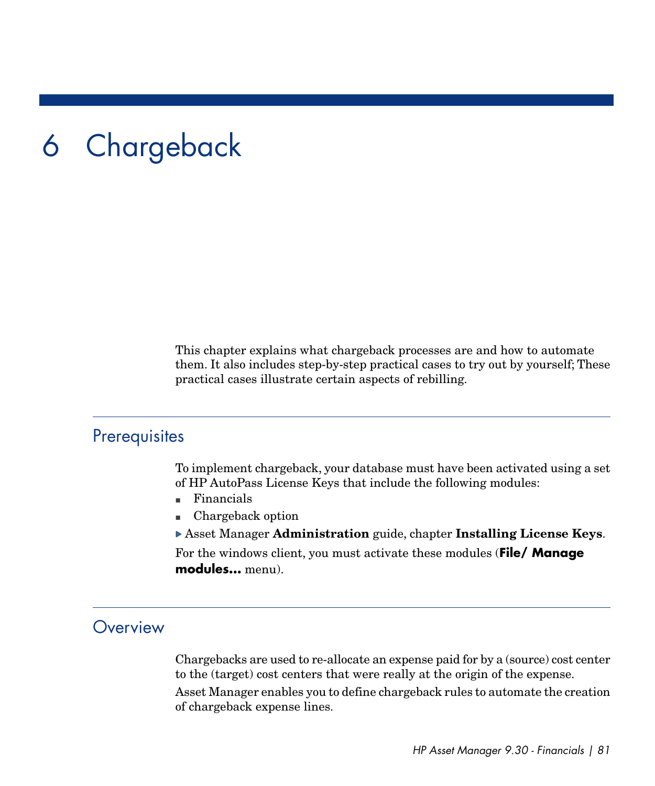# 6 Chargeback

This chapter explains what chargeback processes are and how to automate them. It also includes step-by-step practical cases to try out by yourself; These practical cases illustrate certain aspects of rebilling.

# **Prerequisites**

To implement chargeback, your database must have been activated using a set of HP AutoPass License Keys that include the following modules:

- $\blacksquare$  Financials
- Chargeback option
- Asset Manager **Administration** guide, chapter **Installing License Keys**.

For the windows client, you must activate these modules (**File/ Manage modules...** menu).

# **Overview**

Chargebacks are used to re-allocate an expense paid for by a (source) cost center to the (target) cost centers that were really at the origin of the expense.

Asset Manager enables you to define chargeback rules to automate the creation of chargeback expense lines.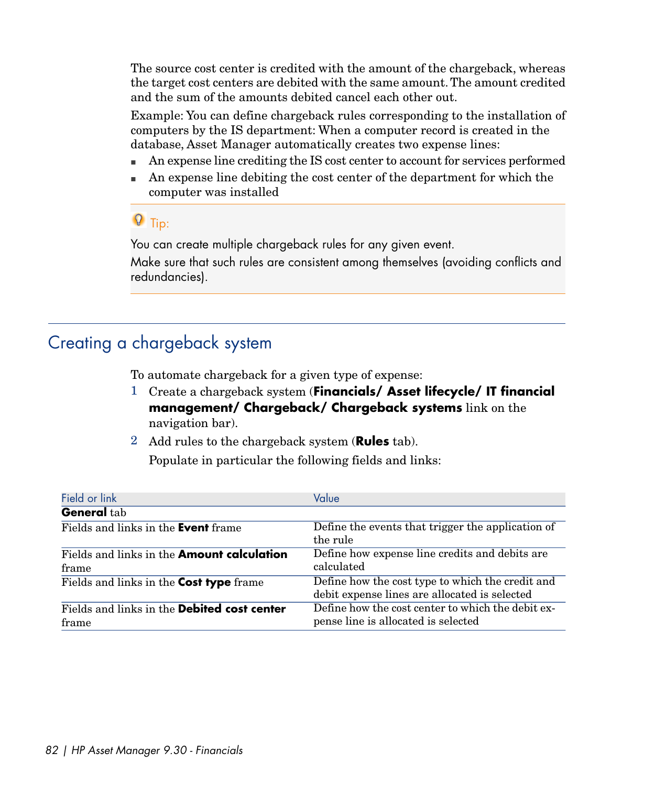The source cost center is credited with the amount of the chargeback, whereas the target cost centers are debited with the same amount. The amount credited and the sum of the amounts debited cancel each other out.

Example: You can define chargeback rules corresponding to the installation of computers by the IS department: When a computer record is created in the database, Asset Manager automatically creates two expense lines:

- <sup>n</sup> An expense line crediting the IS cost center to account for services performed
- n An expense line debiting the cost center of the department for which the computer was installed

# $Q$  Tip:

You can create multiple chargeback rules for any given event.

<span id="page-81-0"></span>Make sure that such rules are consistent among themselves (avoiding conflicts and redundancies).

# Creating a chargeback system

To automate chargeback for a given type of expense:

- 1 Create a chargeback system (**Financials/ Asset lifecycle/ IT financial management/ Chargeback/ Chargeback systems** link on the navigation bar).
- 2 Add rules to the chargeback system (**Rules** tab).

Populate in particular the following fields and links:

| Field or link                                              | Value                                                                                             |
|------------------------------------------------------------|---------------------------------------------------------------------------------------------------|
| <b>General</b> tab                                         |                                                                                                   |
| Fields and links in the <b>Event</b> frame                 | Define the events that trigger the application of<br>the rule                                     |
| Fields and links in the <b>Amount calculation</b><br>frame | Define how expense line credits and debits are<br>calculated                                      |
| Fields and links in the Cost type frame                    | Define how the cost type to which the credit and<br>debit expense lines are allocated is selected |
| Fields and links in the Debited cost center<br>frame       | Define how the cost center to which the debit ex-<br>pense line is allocated is selected          |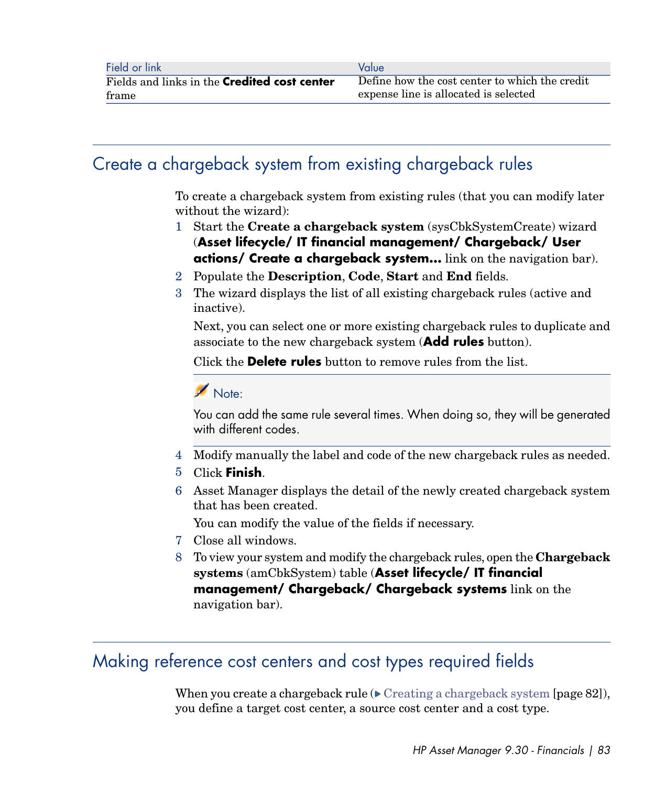# Create a chargeback system from existing chargeback rules

To create a chargeback system from existing rules (that you can modify later without the wizard):

- 1 Start the **Create a chargeback system** (sysCbkSystemCreate) wizard (**Asset lifecycle/ IT financial management/ Chargeback/ User actions/ Create a chargeback system...** link on the navigation bar).
- 2 Populate the **Description**, **Code**, **Start** and **End** fields.
- 3 The wizard displays the list of all existing chargeback rules (active and inactive).

Next, you can select one or more existing chargeback rules to duplicate and associate to the new chargeback system (**Add rules** button).

Click the **Delete rules** button to remove rules from the list.

# Note:

You can add the same rule several times. When doing so, they will be generated with different codes.

- 4 Modify manually the label and code of the new chargeback rules as needed.
- 5 Click **Finish**.
- 6 Asset Manager displays the detail of the newly created chargeback system that has been created.

You can modify the value of the fields if necessary.

- 7 Close all windows.
- 8 To view your system and modify the chargeback rules, open the **Chargeback systems** (amCbkSystem) table (**Asset lifecycle/ IT financial management/ Chargeback/ Chargeback systems** link on the navigation bar).

# Making reference cost centers and cost types required fields

When you create a chargeback rule ( $\triangleright$  [Creating a chargeback system](#page-81-0) [page 82]), you define a target cost center, a source cost center and a cost type.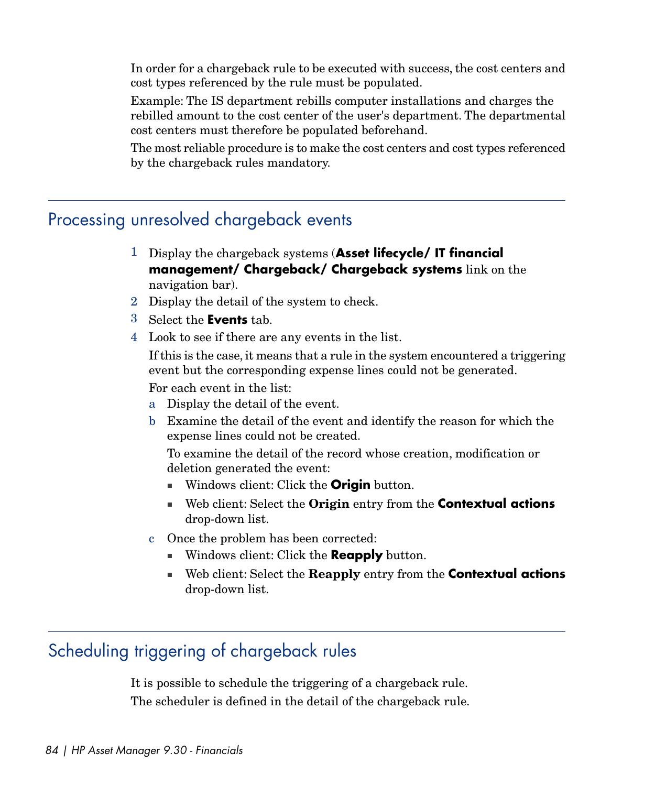In order for a chargeback rule to be executed with success, the cost centers and cost types referenced by the rule must be populated.

Example: The IS department rebills computer installations and charges the rebilled amount to the cost center of the user's department. The departmental cost centers must therefore be populated beforehand.

The most reliable procedure is to make the cost centers and cost types referenced by the chargeback rules mandatory.

# Processing unresolved chargeback events

- 1 Display the chargeback systems (**Asset lifecycle/ IT financial management/ Chargeback/ Chargeback systems** link on the navigation bar).
- 2 Display the detail of the system to check.
- 3 Select the **Events** tab.
- 4 Look to see if there are any events in the list.

If this is the case, it means that a rule in the system encountered a triggering event but the corresponding expense lines could not be generated.

For each event in the list:

- a Display the detail of the event.
- b Examine the detail of the event and identify the reason for which the expense lines could not be created.

To examine the detail of the record whose creation, modification or deletion generated the event:

- **Number 1.1** Windows client: Click the **Origin** button.
- <sup>n</sup> Web client: Select the **Origin** entry from the **Contextual actions** drop-down list.
- c Once the problem has been corrected:
	- <sup>n</sup> Windows client: Click the **Reapply** button.
	- <sup>n</sup> Web client: Select the **Reapply** entry from the **Contextual actions** drop-down list.

# Scheduling triggering of chargeback rules

It is possible to schedule the triggering of a chargeback rule. The scheduler is defined in the detail of the chargeback rule.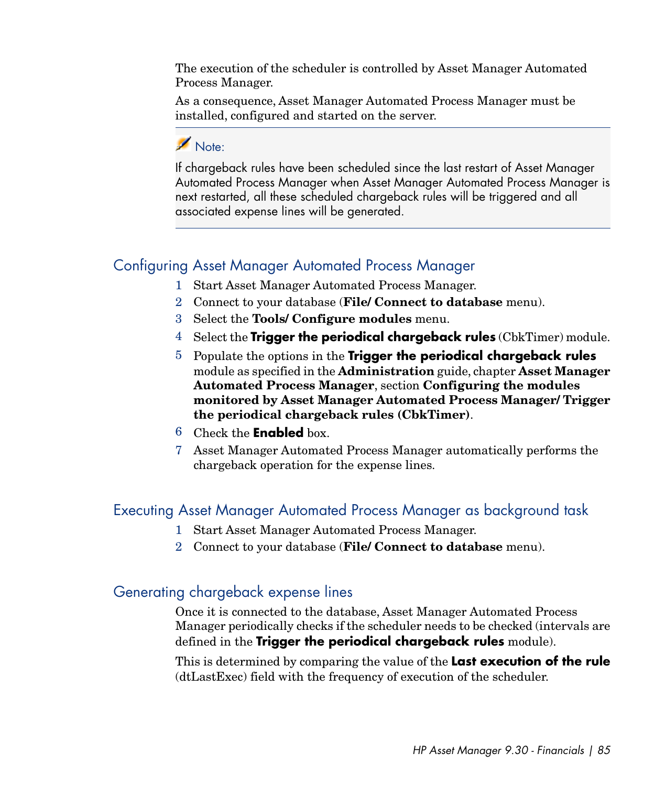The execution of the scheduler is controlled by Asset Manager Automated Process Manager.

As a consequence, Asset Manager Automated Process Manager must be installed, configured and started on the server.

# $N$ Note:

If chargeback rules have been scheduled since the last restart of Asset Manager Automated Process Manager when Asset Manager Automated Process Manager is next restarted, all these scheduled chargeback rules will be triggered and all associated expense lines will be generated.

# Configuring Asset Manager Automated Process Manager

- 1 Start Asset Manager Automated Process Manager.
- 2 Connect to your database (**File/ Connect to database** menu).
- 3 Select the **Tools/ Configure modules** menu.
- 4 Select the **Trigger the periodical chargeback rules** (CbkTimer) module.
- 5 Populate the options in the **Trigger the periodical chargeback rules** module as specified in the **Administration** guide, chapter **Asset Manager Automated Process Manager**, section **Configuring the modules monitored by Asset Manager Automated Process Manager/ Trigger the periodical chargeback rules (CbkTimer)**.
- 6 Check the **Enabled** box.
- 7 Asset Manager Automated Process Manager automatically performs the chargeback operation for the expense lines.

# Executing Asset Manager Automated Process Manager as background task

- 1 Start Asset Manager Automated Process Manager.
- 2 Connect to your database (**File/ Connect to database** menu).

# Generating chargeback expense lines

Once it is connected to the database, Asset Manager Automated Process Manager periodically checks if the scheduler needs to be checked (intervals are defined in the **Trigger the periodical chargeback rules** module).

This is determined by comparing the value of the **Last execution of the rule** (dtLastExec) field with the frequency of execution of the scheduler.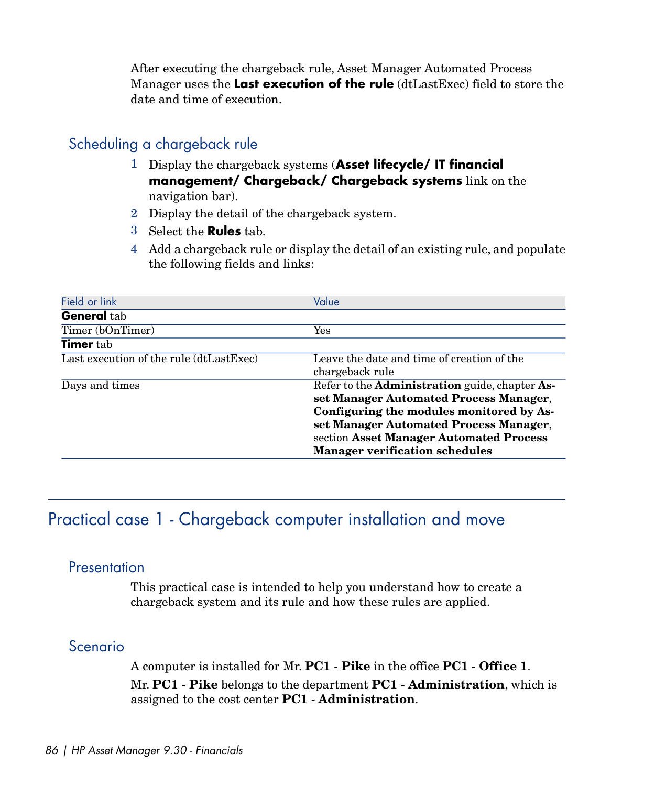After executing the chargeback rule, Asset Manager Automated Process Manager uses the **Last execution of the rule** (dtLastExec) field to store the date and time of execution.

# Scheduling a chargeback rule

- 1 Display the chargeback systems (**Asset lifecycle/ IT financial management/ Chargeback/ Chargeback systems** link on the navigation bar).
- 2 Display the detail of the chargeback system.
- 3 Select the **Rules** tab.
- 4 Add a chargeback rule or display the detail of an existing rule, and populate the following fields and links:

| Field or link                           | Value                                                 |
|-----------------------------------------|-------------------------------------------------------|
| <b>General</b> tab                      |                                                       |
| Timer (bOnTimer)                        | $\operatorname{Yes}$                                  |
| <b>Timer</b> tab                        |                                                       |
| Last execution of the rule (dtLastExec) | Leave the date and time of creation of the            |
|                                         | chargeback rule                                       |
| Days and times                          | Refer to the <b>Administration</b> guide, chapter As- |
|                                         | set Manager Automated Process Manager,                |
|                                         | Configuring the modules monitored by As-              |
|                                         | set Manager Automated Process Manager,                |
|                                         | section Asset Manager Automated Process               |
|                                         | <b>Manager verification schedules</b>                 |

# <span id="page-85-0"></span>Practical case 1 - Chargeback computer installation and move

#### **Presentation**

This practical case is intended to help you understand how to create a chargeback system and its rule and how these rules are applied.

# Scenario

A computer is installed for Mr. **PC1 - Pike** in the office **PC1 - Office 1**. Mr. **PC1 - Pike** belongs to the department **PC1 - Administration**, which is assigned to the cost center **PC1 - Administration**.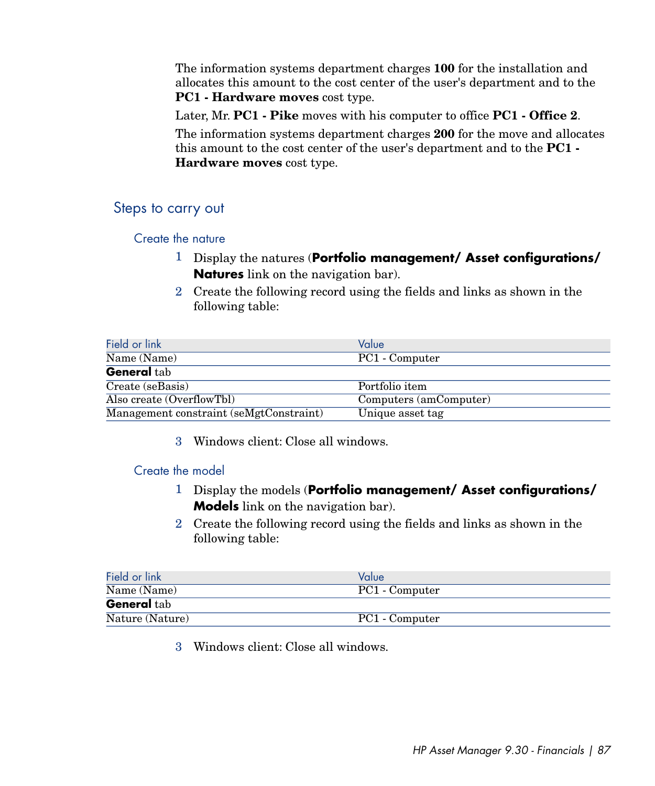The information systems department charges **100** for the installation and allocates this amount to the cost center of the user's department and to the **PC1 - Hardware moves** cost type.

Later, Mr. **PC1 - Pike** moves with his computer to office **PC1 - Office 2**.

The information systems department charges **200** for the move and allocates this amount to the cost center of the user's department and to the **PC1 - Hardware moves** cost type.

# Steps to carry out

#### Create the nature

- 1 Display the natures (**Portfolio management/ Asset configurations/ Natures** link on the navigation bar).
- 2 Create the following record using the fields and links as shown in the following table:

| Field or link                           | Value                  |
|-----------------------------------------|------------------------|
| Name (Name)                             | PC1 - Computer         |
| General tab                             |                        |
| $\overline{\text{Create (seBasis)}}$    | Portfolio item         |
| Also create (OverflowTbl)               | Computers (amComputer) |
| Management constraint (seMgtConstraint) | Unique asset tag       |

3 Windows client: Close all windows.

#### Create the model

- 1 Display the models (**Portfolio management/ Asset configurations/ Models** link on the navigation bar).
- 2 Create the following record using the fields and links as shown in the following table:

| Field or link      | Value          |
|--------------------|----------------|
| Name (Name)        | PC1 - Computer |
| <b>General</b> tab |                |
| Nature (Nature)    | PC1 - Computer |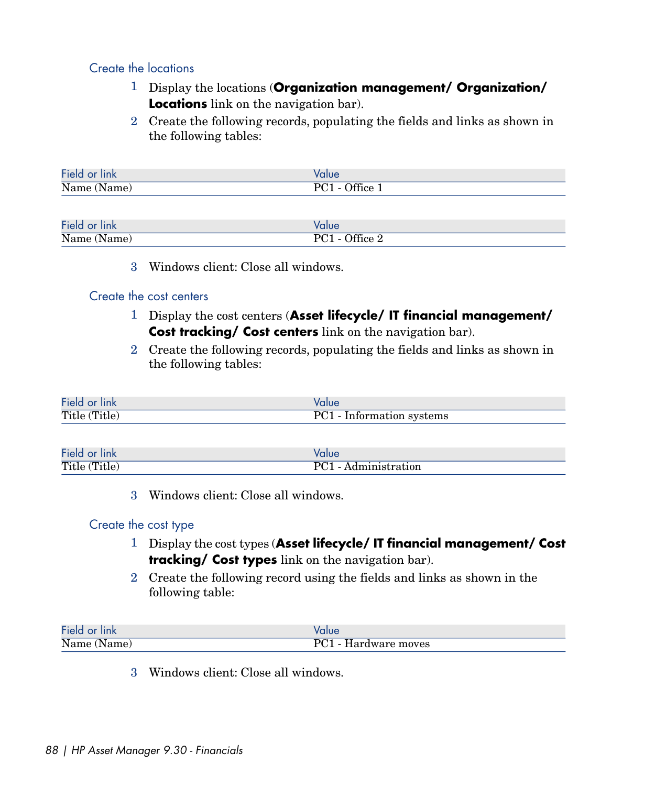#### Create the locations

- 1 Display the locations (**Organization management/ Organization/ Locations** link on the navigation bar).
- 2 Create the following records, populating the fields and links as shown in the following tables:

| Field<br>link<br>or | 'alue                  |
|---------------------|------------------------|
| Name<br>(Name)      | $?$ ffice.<br>◡<br>. . |

| Field or link | Value                        |
|---------------|------------------------------|
| Name (Name)   | Office 2<br>P <sub>0</sub> 1 |

3 Windows client: Close all windows.

#### Create the cost centers

- 1 Display the cost centers (**Asset lifecycle/ IT financial management/ Cost tracking/ Cost centers** link on the navigation bar).
- 2 Create the following records, populating the fields and links as shown in the following tables:

| Field or link | <b>Value</b>              |
|---------------|---------------------------|
| Title (Title) | PC1 - Information systems |

| Field or<br>link | ′alue  |
|------------------|--------|
| Title            | РC     |
| ritie)           | ration |

3 Windows client: Close all windows.

#### Create the cost type

- 1 Display the cost types (**Asset lifecycle/ IT financial management/ Cost tracking/ Cost types** link on the navigation bar).
- 2 Create the following record using the fields and links as shown in the following table:

| Field or<br><b>link</b> | alue                       |
|-------------------------|----------------------------|
| Name<br>(Name)          | PC1<br>Hardware moves<br>. |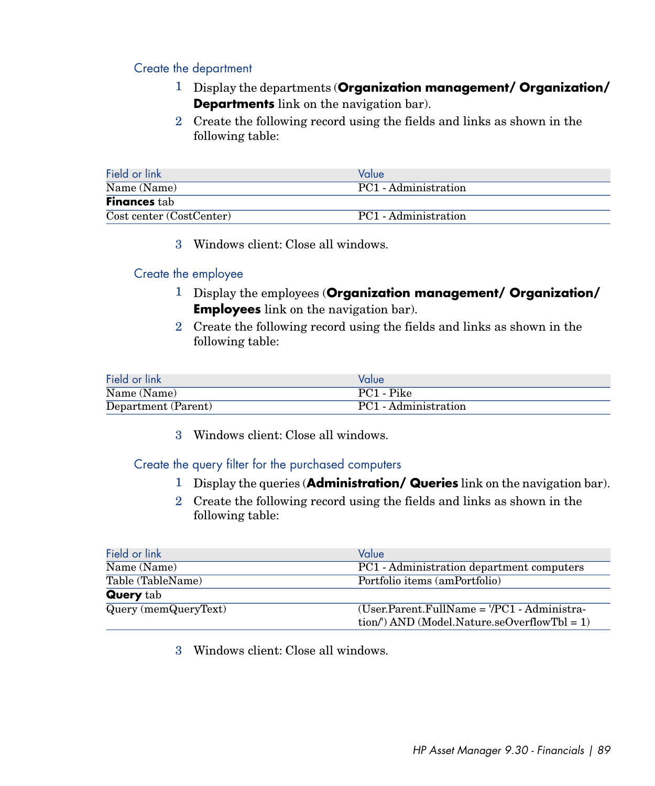#### Create the department

- 1 Display the departments (**Organization management/ Organization/ Departments** link on the navigation bar).
- 2 Create the following record using the fields and links as shown in the following table:

| Field or link            | Value                |
|--------------------------|----------------------|
| Name (Name)              | PC1 - Administration |
| <b>Finances tab</b>      |                      |
| Cost center (CostCenter) | PC1 - Administration |

3 Windows client: Close all windows.

#### Create the employee

- 1 Display the employees (**Organization management/ Organization/ Employees** link on the navigation bar).
- 2 Create the following record using the fields and links as shown in the following table:

| Field or link       | Value                  |
|---------------------|------------------------|
| Name (Name)         | PC <sub>1</sub> - Pike |
| Department (Parent) | PC1 - Administration   |

3 Windows client: Close all windows.

Create the query filter for the purchased computers

- 1 Display the queries (**Administration/ Queries** link on the navigation bar).
- 2 Create the following record using the fields and links as shown in the following table:

| Field or link        | Value                                                      |
|----------------------|------------------------------------------------------------|
| Name (Name)          | PC1 - Administration department computers                  |
| Table (TableName)    | Portfolio items (amPortfolio)                              |
| <b>Query</b> tab     |                                                            |
| Query (memQueryText) | $(User.Parent.FullName = 'PC1 - Administra-$               |
|                      | $\frac{1}{2}$ tion/') AND (Model.Nature.seOverflowTbl = 1) |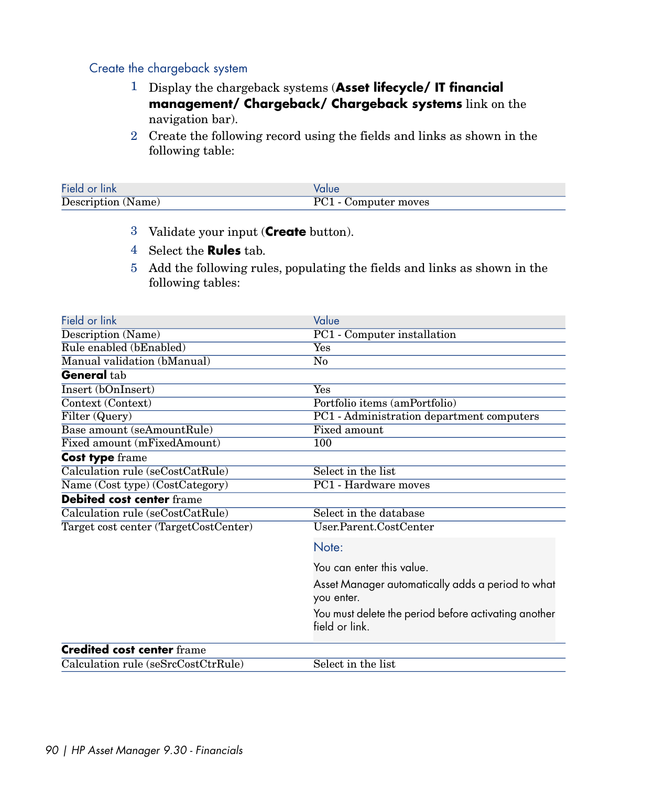#### Create the chargeback system

- 1 Display the chargeback systems (**Asset lifecycle/ IT financial management/ Chargeback/ Chargeback systems** link on the navigation bar).
- 2 Create the following record using the fields and links as shown in the following table:

| Field or link      |                      |
|--------------------|----------------------|
| Description (Name) | PC1 - Computer moves |

- 3 Validate your input (**Create** button).
- 4 Select the **Rules** tab.
- 5 Add the following rules, populating the fields and links as shown in the following tables:

| Field or link                         | Value                                                                  |
|---------------------------------------|------------------------------------------------------------------------|
| Description (Name)                    | PC1 - Computer installation                                            |
| Rule enabled (bEnabled)               | Yes                                                                    |
| Manual validation (bManual)           | No                                                                     |
| General tab                           |                                                                        |
| Insert (bOnInsert)                    | <b>Yes</b>                                                             |
| Context (Context)                     | Portfolio items (amPortfolio)                                          |
| Filter (Query)                        | PC1 - Administration department computers                              |
| Base amount (seAmountRule)            | Fixed amount                                                           |
| Fixed amount (mFixedAmount)           | 100                                                                    |
| Cost type frame                       |                                                                        |
| Calculation rule (seCostCatRule)      | Select in the list                                                     |
| Name (Cost type) (CostCategory)       | PC1 - Hardware moves                                                   |
| Debited cost center frame             |                                                                        |
| Calculation rule (seCostCatRule)      | Select in the database                                                 |
| Target cost center (TargetCostCenter) | User.Parent.CostCenter                                                 |
|                                       | Note:                                                                  |
|                                       | You can enter this value.                                              |
|                                       | Asset Manager automatically adds a period to what<br>you enter.        |
|                                       | You must delete the period before activating another<br>field or link. |
| <b>Credited cost center frame</b>     |                                                                        |
| Calculation rule (seSrcCostCtrRule)   | Select in the list                                                     |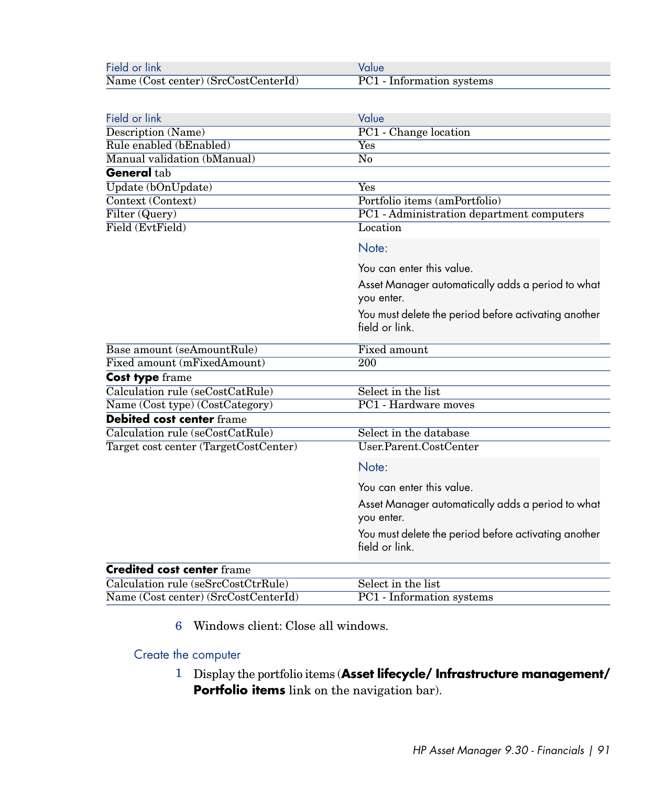| Field or link                        | Value                     |
|--------------------------------------|---------------------------|
| Name (Cost center) (SrcCostCenterId) | PC1 - Information systems |

| Field or link                         | Value                                                                  |
|---------------------------------------|------------------------------------------------------------------------|
| Description (Name)                    | PC1 - Change location                                                  |
| Rule enabled (bEnabled)               | Yes                                                                    |
| Manual validation (bManual)           | $\overline{\text{No}}$                                                 |
| General tab                           |                                                                        |
| Update (bOnUpdate)                    | Yes                                                                    |
| Context (Context)                     | Portfolio items (amPortfolio)                                          |
| Filter (Query)                        | PC1 - Administration department computers                              |
| Field (EvtField)                      | Location                                                               |
|                                       | Note:                                                                  |
|                                       | You can enter this value.                                              |
|                                       | Asset Manager automatically adds a period to what<br>you enter.        |
|                                       | You must delete the period before activating another<br>field or link. |
| Base amount (seAmountRule)            | <b>Fixed amount</b>                                                    |
| Fixed amount (mFixedAmount)           | $\overline{200}$                                                       |
| Cost type frame                       |                                                                        |
| Calculation rule (seCostCatRule)      | Select in the list                                                     |
| Name (Cost type) (CostCategory)       | PC1 - Hardware moves                                                   |
| Debited cost center frame             |                                                                        |
| Calculation rule (seCostCatRule)      | Select in the database                                                 |
| Target cost center (TargetCostCenter) | User.Parent.CostCenter                                                 |
|                                       | Note:                                                                  |
|                                       | You can enter this value.                                              |
|                                       | Asset Manager automatically adds a period to what<br>you enter.        |
|                                       | You must delete the period before activating another<br>field or link. |
| <b>Credited cost center frame</b>     |                                                                        |
| Calculation rule (seSrcCostCtrRule)   | Select in the list                                                     |
| Name (Cost center) (SrcCostCenterId)  | PC1 - Information systems                                              |

6 Windows client: Close all windows.

## Create the computer

1 Display the portfolio items (**Asset lifecycle/ Infrastructure management/ Portfolio items** link on the navigation bar).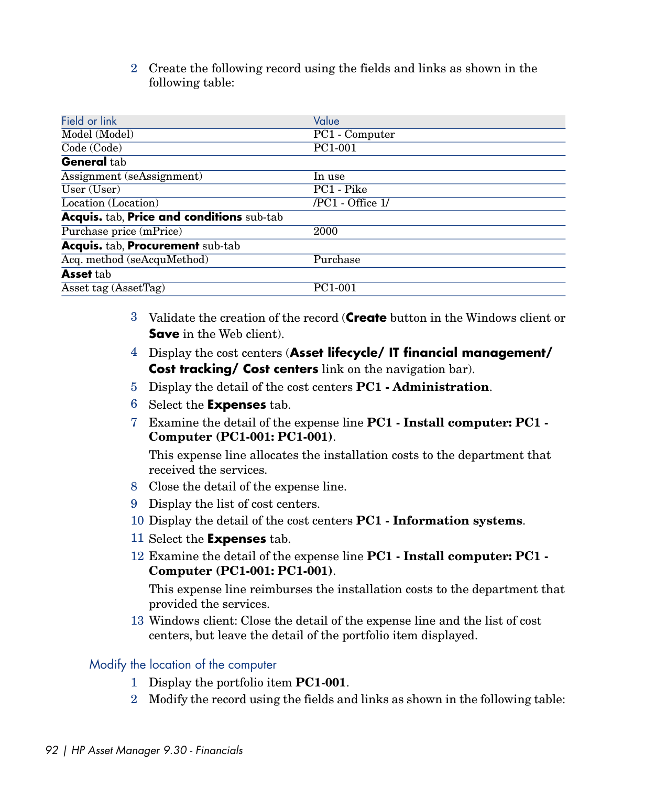2 Create the following record using the fields and links as shown in the following table:

| Field or link                             | Value                       |
|-------------------------------------------|-----------------------------|
| Model (Model)                             | $\overline{PC1}$ - Computer |
| Code (Code)                               | PC1-001                     |
| <b>General</b> tab                        |                             |
| Assignment (seAssignment)                 | In use                      |
| User (User)                               | PC1 - Pike                  |
| Location (Location)                       | $/PC1 - Office 1/$          |
| Acquis. tab, Price and conditions sub-tab |                             |
| Purchase price (mPrice)                   | 2000                        |
| Acquis. tab, Procurement sub-tab          |                             |
| Acq. method (seAcquMethod)                | Purchase                    |
| Asset tab                                 |                             |
| Asset tag $(ssetTag)$                     | PC1-001                     |

- 3 Validate the creation of the record (**Create** button in the Windows client or **Save** in the Web client).
- 4 Display the cost centers (**Asset lifecycle/ IT financial management/ Cost tracking/ Cost centers** link on the navigation bar).
- 5 Display the detail of the cost centers **PC1 Administration**.
- 6 Select the **Expenses** tab.
- 7 Examine the detail of the expense line **PC1 Install computer: PC1 - Computer (PC1-001: PC1-001)**.

This expense line allocates the installation costs to the department that received the services.

- 8 Close the detail of the expense line.
- 9 Display the list of cost centers.
- 10 Display the detail of the cost centers **PC1 Information systems**.
- 11 Select the **Expenses** tab.
- 12 Examine the detail of the expense line **PC1 Install computer: PC1 - Computer (PC1-001: PC1-001)**.

This expense line reimburses the installation costs to the department that provided the services.

13 Windows client: Close the detail of the expense line and the list of cost centers, but leave the detail of the portfolio item displayed.

#### Modify the location of the computer

- 1 Display the portfolio item **PC1-001**.
- 2 Modify the record using the fields and links as shown in the following table: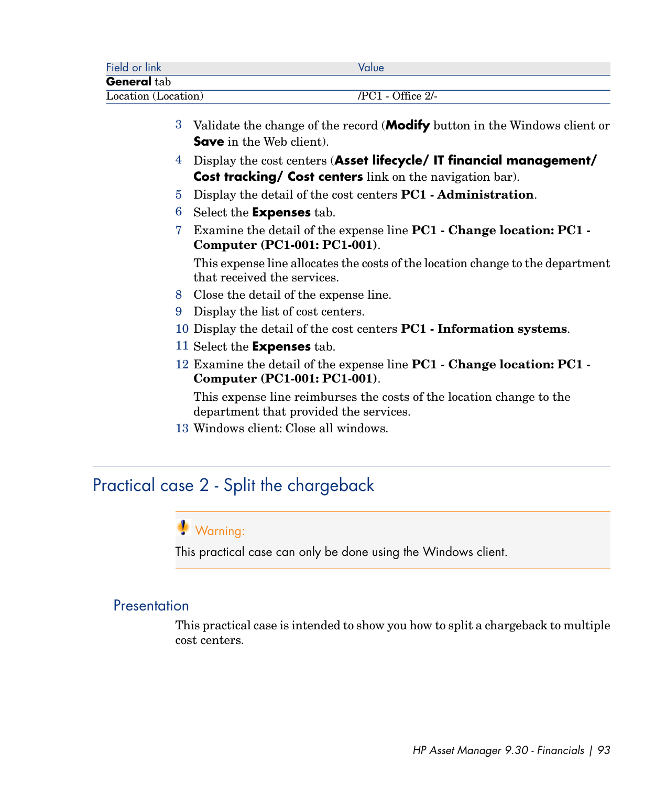| Field or link       | Value                 |
|---------------------|-----------------------|
| <b>General</b> tab  |                       |
| Location (Location) | $/PC1$ - Office $2/-$ |

- 3 Validate the change of the record (**Modify** button in the Windows client or **Save** in the Web client).
- 4 Display the cost centers (**Asset lifecycle/ IT financial management/ Cost tracking/ Cost centers** link on the navigation bar).
- 5 Display the detail of the cost centers **PC1 Administration**.
- 6 Select the **Expenses** tab.
- 7 Examine the detail of the expense line **PC1 Change location: PC1 - Computer (PC1-001: PC1-001)**.

This expense line allocates the costs of the location change to the department that received the services.

- 8 Close the detail of the expense line.
- 9 Display the list of cost centers.
- 10 Display the detail of the cost centers **PC1 Information systems**.
- 11 Select the **Expenses** tab.
- 12 Examine the detail of the expense line **PC1 Change location: PC1 - Computer (PC1-001: PC1-001)**.

This expense line reimburses the costs of the location change to the department that provided the services.

13 Windows client: Close all windows.

# Practical case 2 - Split the chargeback

# Warning:

This practical case can only be done using the Windows client.

## **Presentation**

This practical case is intended to show you how to split a chargeback to multiple cost centers.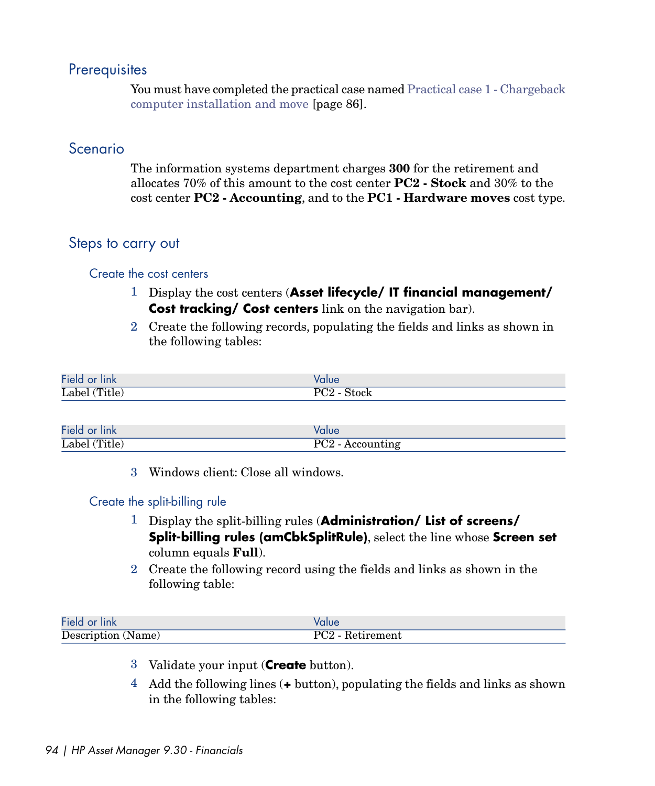# **Prerequisites**

You must have completed the practical case named [Practical case 1 - Chargeback](#page-85-0) [computer installation and move](#page-85-0) [page 86].

# Scenario

The information systems department charges **300** for the retirement and allocates 70% of this amount to the cost center **PC2 - Stock** and 30% to the cost center **PC2 - Accounting**, and to the **PC1 - Hardware moves** cost type.

# Steps to carry out

#### Create the cost centers

- 1 Display the cost centers (**Asset lifecycle/ IT financial management/ Cost tracking/ Cost centers** link on the navigation bar).
- 2 Create the following records, populating the fields and links as shown in the following tables:

| Field or<br><b>link</b> | 'alue  |
|-------------------------|--------|
| Label                   | DΙ     |
| $\sqrt{m}$ : $\sqrt{m}$ | 5tock. |
| ritle)                  | ◡▵     |

| Field or link | 'alue                 |
|---------------|-----------------------|
| Label (Title) | $PC2$ -<br>Accounting |

3 Windows client: Close all windows.

#### Create the split-billing rule

- 1 Display the split-billing rules (**Administration/ List of screens/ Split-billing rules (amCbkSplitRule)**, select the line whose **Screen set** column equals **Full**).
- 2 Create the following record using the fields and links as shown in the following table:

| Field or link      | 'alue               |
|--------------------|---------------------|
| Description (Name) | PC2 -<br>Retirement |

- 3 Validate your input (**Create** button).
- 4 Add the following lines (**+** button), populating the fields and links as shown in the following tables: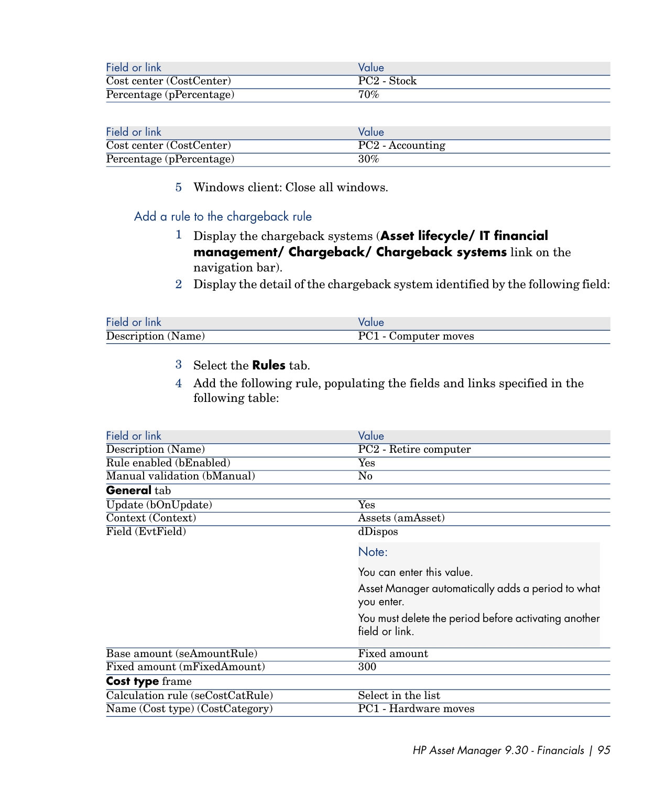| Field or link            | Value                   |
|--------------------------|-------------------------|
| Cost center (CostCenter) | PC <sub>2</sub> - Stock |
| Percentage (pPercentage) | 70%                     |

| Field or link            | Value                        |
|--------------------------|------------------------------|
| Cost center (CostCenter) | PC <sub>2</sub> - Accounting |
| Percentage (pPercentage) | 30%                          |

5 Windows client: Close all windows.

# Add a rule to the chargeback rule

- 1 Display the chargeback systems (**Asset lifecycle/ IT financial management/ Chargeback/ Chargeback systems** link on the navigation bar).
- 2 Display the detail of the chargeback system identified by the following field:

| Field or link      |                      |
|--------------------|----------------------|
| Description (Name) | PC1 - Computer moves |

# 3 Select the **Rules** tab.

4 Add the following rule, populating the fields and links specified in the following table:

| Field or link                    | Value                                                                  |  |
|----------------------------------|------------------------------------------------------------------------|--|
| Description (Name)               | PC2 - Retire computer                                                  |  |
| Rule enabled (bEnabled)          | $\operatorname{Yes}$                                                   |  |
| Manual validation (bManual)      | $\rm No$                                                               |  |
| General tab                      |                                                                        |  |
| Update (bOnUpdate)               | Yes                                                                    |  |
| Context (Context)                | Assets (amAsset)                                                       |  |
| Field (EvtField)                 | dDispos                                                                |  |
|                                  | Note:                                                                  |  |
|                                  | You can enter this value.                                              |  |
|                                  | Asset Manager automatically adds a period to what<br>you enter.        |  |
|                                  | You must delete the period before activating another<br>field or link. |  |
| Base amount (seAmountRule)       | Fixed amount                                                           |  |
| Fixed amount (mFixedAmount)      | 300                                                                    |  |
| <b>Cost type frame</b>           |                                                                        |  |
| Calculation rule (seCostCatRule) | Select in the list                                                     |  |
| Name (Cost type) (CostCategory)  | PC1 - Hardware moves                                                   |  |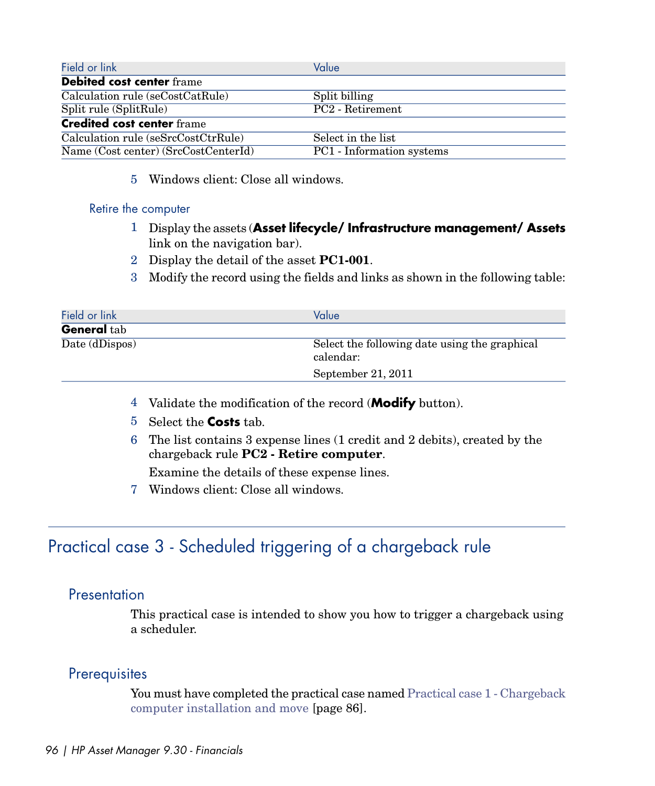| Field or link                        | Value                        |
|--------------------------------------|------------------------------|
| Debited cost center frame            |                              |
| Calculation rule (seCostCatRule)     | Split billing                |
| Split rule (SplitRule)               | PC <sub>2</sub> - Retirement |
| <b>Credited cost center frame</b>    |                              |
| Calculation rule (seSrcCostCtrRule)  | Select in the list           |
| Name (Cost center) (SrcCostCenterId) | PC1 - Information systems    |

5 Windows client: Close all windows.

#### Retire the computer

- 1 Display the assets (**Asset lifecycle/ Infrastructure management/ Assets** link on the navigation bar).
- 2 Display the detail of the asset **PC1-001**.
- 3 Modify the record using the fields and links as shown in the following table:

| Field or link      | Value                                                      |
|--------------------|------------------------------------------------------------|
| <b>General</b> tab |                                                            |
| Date (dDispos)     | Select the following date using the graphical<br>calendar: |
|                    | September 21, 2011                                         |

- 4 Validate the modification of the record (**Modify** button).
- 5 Select the **Costs** tab.
- 6 The list contains 3 expense lines (1 credit and 2 debits), created by the chargeback rule **PC2 - Retire computer**.
	- Examine the details of these expense lines.
- 7 Windows client: Close all windows.

# Practical case 3 - Scheduled triggering of a chargeback rule

## **Presentation**

This practical case is intended to show you how to trigger a chargeback using a scheduler.

## **Prerequisites**

You must have completed the practical case named [Practical case 1 - Chargeback](#page-85-0) [computer installation and move](#page-85-0) [page 86].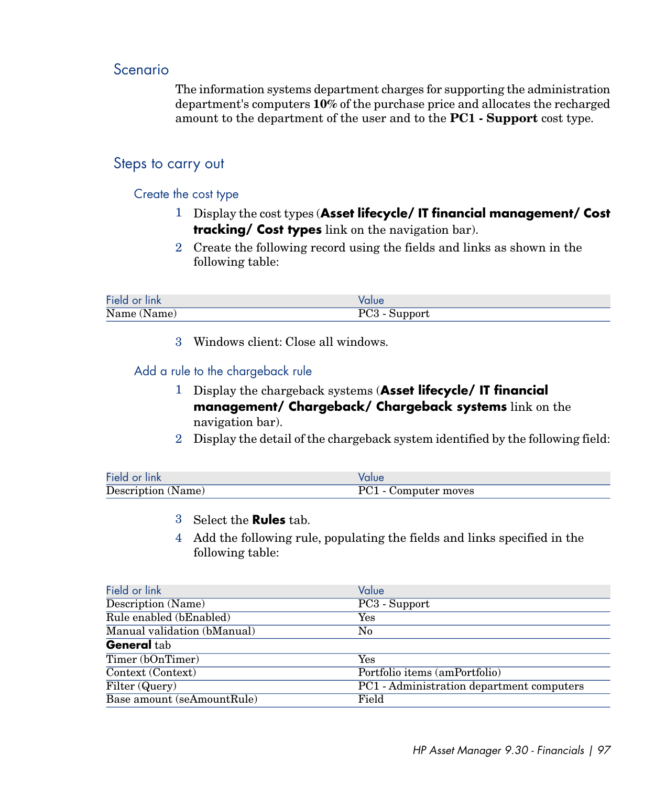## Scenario

The information systems department charges for supporting the administration department's computers **10%** of the purchase price and allocates the recharged amount to the department of the user and to the **PC1 - Support** cost type.

# Steps to carry out

#### Create the cost type

- 1 Display the cost types (**Asset lifecycle/ IT financial management/ Cost tracking/ Cost types** link on the navigation bar).
- 2 Create the following record using the fields and links as shown in the following table:

| Field or link | Value.                         |
|---------------|--------------------------------|
| Name (Name)   | $\sim$<br>$PC3 - f$<br>Support |

3 Windows client: Close all windows.

#### Add a rule to the chargeback rule

- 1 Display the chargeback systems (**Asset lifecycle/ IT financial management/ Chargeback/ Chargeback systems** link on the navigation bar).
- 2 Display the detail of the chargeback system identified by the following field:

| Field or link      |                      |
|--------------------|----------------------|
| Description (Name) | PC1 - Computer moves |

- 3 Select the **Rules** tab.
- 4 Add the following rule, populating the fields and links specified in the following table:

| Field or link               | Value                                     |
|-----------------------------|-------------------------------------------|
| Description (Name)          | PC3 - Support                             |
| Rule enabled (bEnabled)     | $\operatorname{Yes}$                      |
| Manual validation (bManual) | No                                        |
| General tab                 |                                           |
| Timer (bOnTimer)            | Yes                                       |
| Context (Context)           | Portfolio items (amPortfolio)             |
| Filter (Query)              | PC1 - Administration department computers |
| Base amount (seAmountRule)  | Field                                     |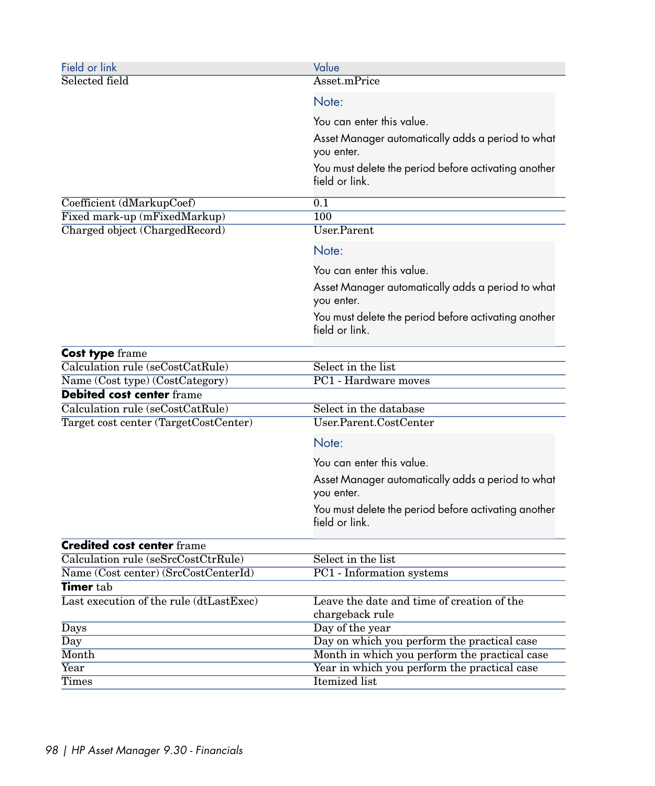| Field or link                           | Value                                                                  |  |
|-----------------------------------------|------------------------------------------------------------------------|--|
| Selected field                          | Asset.mPrice                                                           |  |
|                                         | Note:                                                                  |  |
|                                         | You can enter this value.                                              |  |
|                                         | Asset Manager automatically adds a period to what<br>you enter.        |  |
|                                         | You must delete the period before activating another<br>field or link. |  |
| Coefficient (dMarkupCoef)               | 0.1                                                                    |  |
| Fixed mark-up (mFixedMarkup)            | 100                                                                    |  |
| Charged object (ChargedRecord)          | User.Parent                                                            |  |
|                                         | Note:                                                                  |  |
|                                         | You can enter this value.                                              |  |
|                                         | Asset Manager automatically adds a period to what<br>you enter.        |  |
|                                         | You must delete the period before activating another<br>field or link. |  |
| Cost type frame                         |                                                                        |  |
| Calculation rule (seCostCatRule)        | Select in the list                                                     |  |
| Name (Cost type) (CostCategory)         | PC1 - Hardware moves                                                   |  |
| Debited cost center frame               |                                                                        |  |
| Calculation rule (seCostCatRule)        | Select in the database                                                 |  |
| Target cost center (TargetCostCenter)   | User.Parent.CostCenter                                                 |  |
|                                         | Note:                                                                  |  |
|                                         | You can enter this value.                                              |  |
|                                         | Asset Manager automatically adds a period to what<br>you enter.        |  |
|                                         | You must delete the period before activating another<br>field or link. |  |
| <b>Credited cost center frame</b>       |                                                                        |  |
| Calculation rule (seSrcCostCtrRule)     | Select in the list                                                     |  |
| Name (Cost center) (SrcCostCenterId)    | PC1 - Information systems                                              |  |
| <b>Timer</b> tab                        |                                                                        |  |
| Last execution of the rule (dtLastExec) | Leave the date and time of creation of the<br>chargeback rule          |  |
| <b>Days</b>                             | Day of the year                                                        |  |
| Day                                     | Day on which you perform the practical case                            |  |
| Month                                   | Month in which you perform the practical case                          |  |
| Year                                    | Year in which you perform the practical case                           |  |
| Times                                   | Itemized list                                                          |  |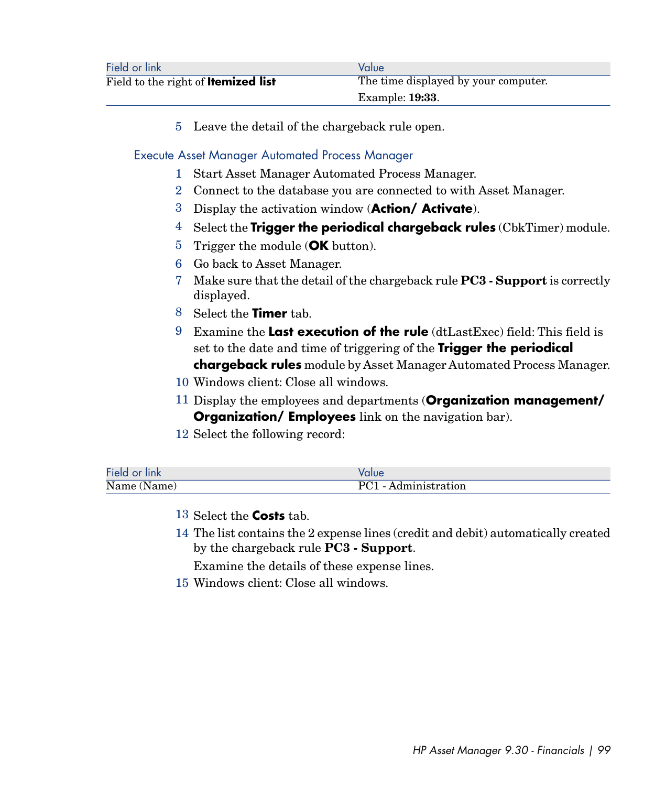5 Leave the detail of the chargeback rule open.

Execute Asset Manager Automated Process Manager

- 1 Start Asset Manager Automated Process Manager.
- 2 Connect to the database you are connected to with Asset Manager.
- 3 Display the activation window (**Action/ Activate**).
- 4 Select the **Trigger the periodical chargeback rules** (CbkTimer) module.
- 5 Trigger the module (**OK** button).
- 6 Go back to Asset Manager.
- 7 Make sure that the detail of the chargeback rule **PC3 Support** is correctly displayed.
- 8 Select the **Timer** tab.
- 9 Examine the **Last execution of the rule** (dtLastExec) field: This field is set to the date and time of triggering of the **Trigger the periodical chargeback rules** module by Asset Manager Automated Process Manager.
- 10 Windows client: Close all windows.
- 11 Display the employees and departments (**Organization management/ Organization/ Employees** link on the navigation bar).
- 12 Select the following record:

| Field or<br>. .<br><b>link</b> | 'alue          |
|--------------------------------|----------------|
| Name                           | Administration |
| (Name)                         | -              |

- 13 Select the **Costs** tab.
- 14 The list contains the 2 expense lines (credit and debit) automatically created by the chargeback rule **PC3 - Support**.

Examine the details of these expense lines.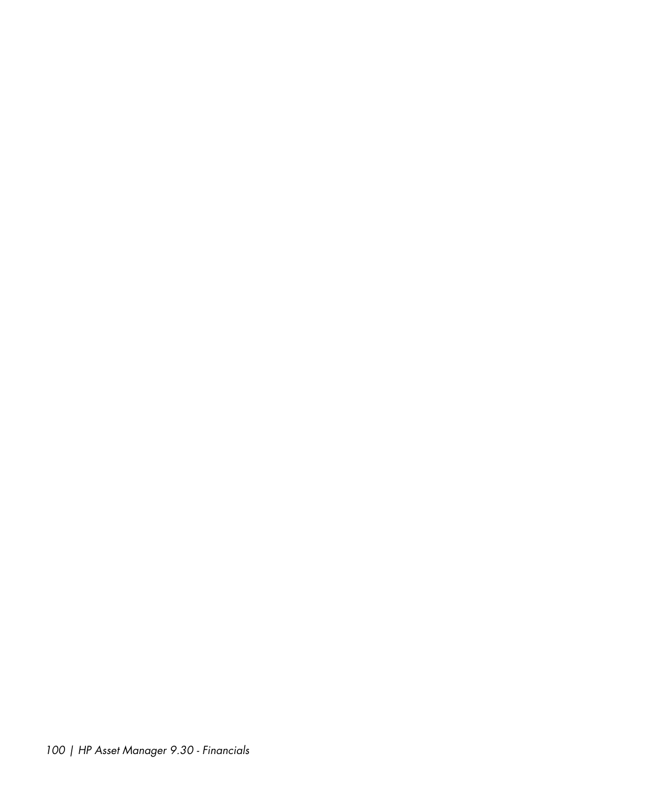*100 | HP Asset Manager 9.30 - Financials*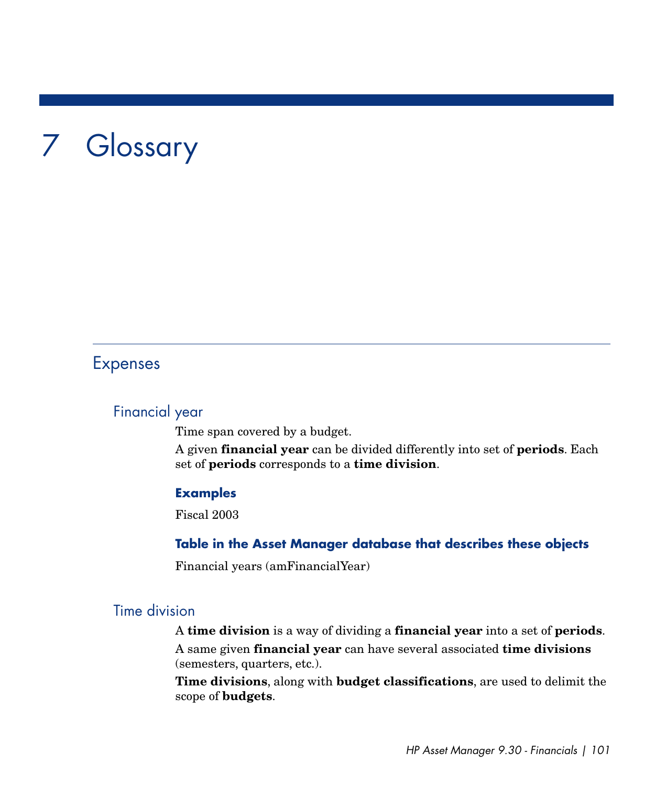# 7 Glossary

# Expenses

# Financial year

Time span covered by a budget.

A given **financial year** can be divided differently into set of **periods**. Each set of **periods** corresponds to a **time division**.

#### **Examples**

Fiscal 2003

#### **Table in the Asset Manager database that describes these objects**

Financial years (amFinancialYear)

# Time division

A **time division** is a way of dividing a **financial year** into a set of **periods**. A same given **financial year** can have several associated **time divisions** (semesters, quarters, etc.).

**Time divisions**, along with **budget classifications**, are used to delimit the scope of **budgets**.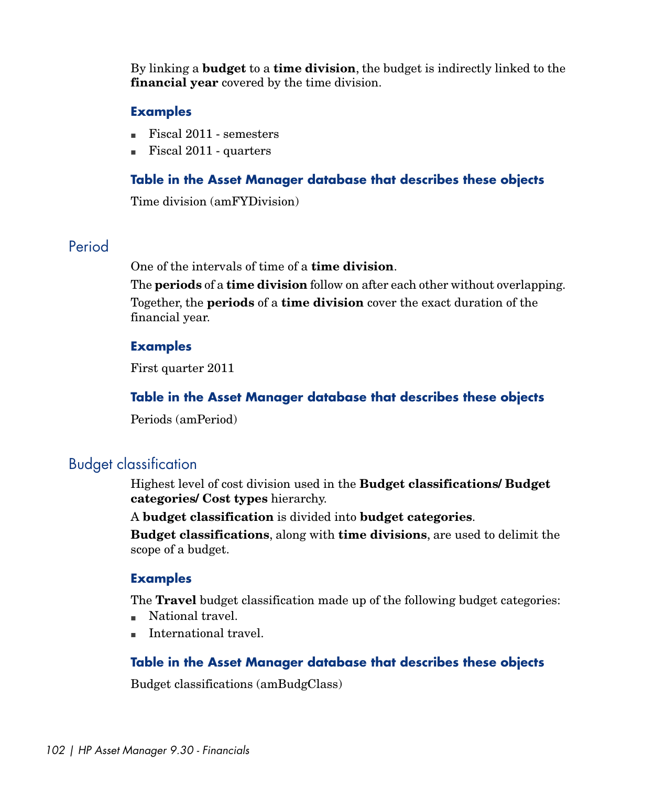By linking a **budget** to a **time division**, the budget is indirectly linked to the **financial year** covered by the time division.

#### **Examples**

- n Fiscal 2011 semesters
- Fiscal 2011 quarters

#### **Table in the Asset Manager database that describes these objects**

Time division (amFYDivision)

## Period

One of the intervals of time of a **time division**.

The **periods** of a **time division** follow on after each other without overlapping. Together, the **periods** of a **time division** cover the exact duration of the financial year.

#### **Examples**

First quarter 2011

#### **Table in the Asset Manager database that describes these objects**

Periods (amPeriod)

# Budget classification

Highest level of cost division used in the **Budget classifications/ Budget categories/ Cost types** hierarchy.

A **budget classification** is divided into **budget categories**.

**Budget classifications**, along with **time divisions**, are used to delimit the scope of a budget.

#### **Examples**

The **Travel** budget classification made up of the following budget categories:

- **National travel.**
- **n** International travel.

## **Table in the Asset Manager database that describes these objects**

Budget classifications (amBudgClass)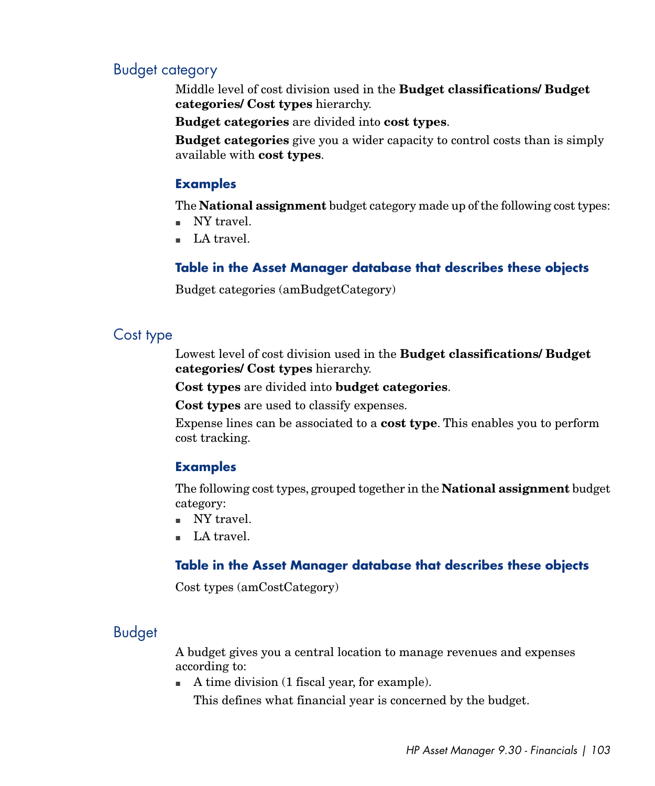# Budget category

Middle level of cost division used in the **Budget classifications/ Budget categories/ Cost types** hierarchy.

**Budget categories** are divided into **cost types**.

**Budget categories** give you a wider capacity to control costs than is simply available with **cost types**.

#### **Examples**

The **National assignment** budget category made up of the following cost types:

- $\blacksquare$  NY travel.
- $\blacksquare$  LA travel.

#### **Table in the Asset Manager database that describes these objects**

Budget categories (amBudgetCategory)

## Cost type

Lowest level of cost division used in the **Budget classifications/ Budget categories/ Cost types** hierarchy.

**Cost types** are divided into **budget categories**.

**Cost types** are used to classify expenses.

Expense lines can be associated to a **cost type**. This enables you to perform cost tracking.

#### **Examples**

The following cost types, grouped together in the **National assignment** budget category:

- NY travel.
- $\blacksquare$  LA travel.

#### **Table in the Asset Manager database that describes these objects**

Cost types (amCostCategory)

#### Budget

A budget gives you a central location to manage revenues and expenses according to:

 $\blacksquare$  A time division (1 fiscal year, for example).

This defines what financial year is concerned by the budget.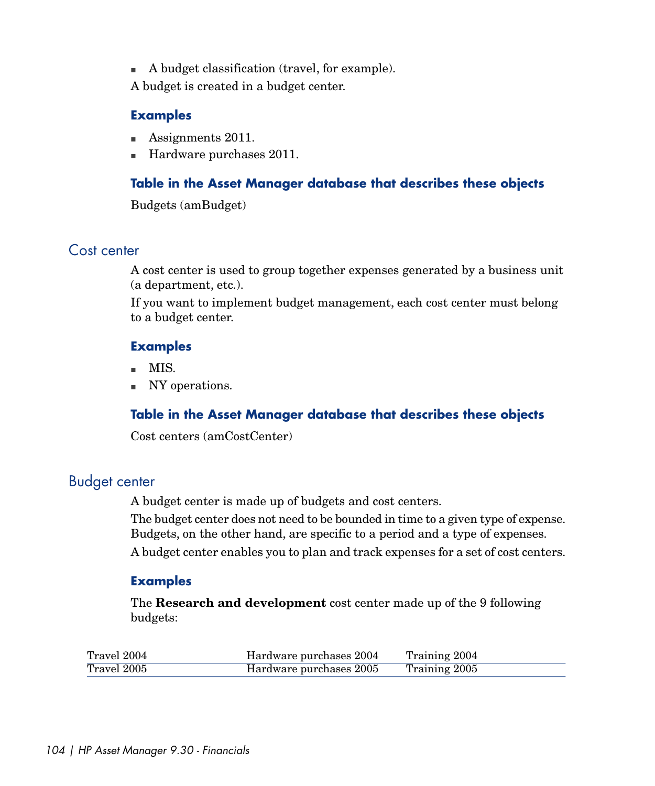<sup>n</sup> A budget classification (travel, for example).

A budget is created in a budget center.

#### **Examples**

- Assignments 2011.
- $\blacksquare$  Hardware purchases 2011.

# **Table in the Asset Manager database that describes these objects**

Budgets (amBudget)

## Cost center

A cost center is used to group together expenses generated by a business unit (a department, etc.).

If you want to implement budget management, each cost center must belong to a budget center.

## **Examples**

- MIS.
- **NY** operations.

# **Table in the Asset Manager database that describes these objects**

Cost centers (amCostCenter)

# Budget center

A budget center is made up of budgets and cost centers.

The budget center does not need to be bounded in time to a given type of expense. Budgets, on the other hand, are specific to a period and a type of expenses.

A budget center enables you to plan and track expenses for a set of cost centers.

## **Examples**

The **Research and development** cost center made up of the 9 following budgets:

| Travel 2004 | Hardware purchases 2004 | Training 2004 |
|-------------|-------------------------|---------------|
| Travel 2005 | Hardware purchases 2005 | Training 2005 |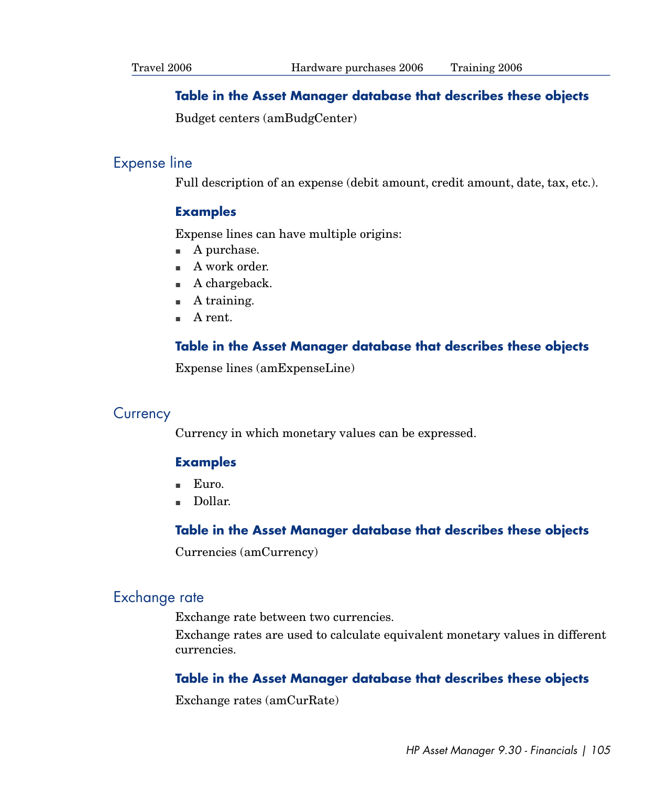#### **Table in the Asset Manager database that describes these objects**

Budget centers (amBudgCenter)

# Expense line

Full description of an expense (debit amount, credit amount, date, tax, etc.).

#### **Examples**

Expense lines can have multiple origins:

- A purchase.
- A work order.
- $A$  chargeback.
- $\blacksquare$  A training.
- $A$  rent.

#### **Table in the Asset Manager database that describes these objects**

Expense lines (amExpenseLine)

## **Currency**

Currency in which monetary values can be expressed.

#### **Examples**

- $\blacksquare$  Euro.
- n Dollar

#### **Table in the Asset Manager database that describes these objects**

Currencies (amCurrency)

## Exchange rate

Exchange rate between two currencies.

Exchange rates are used to calculate equivalent monetary values in different currencies.

#### **Table in the Asset Manager database that describes these objects**

Exchange rates (amCurRate)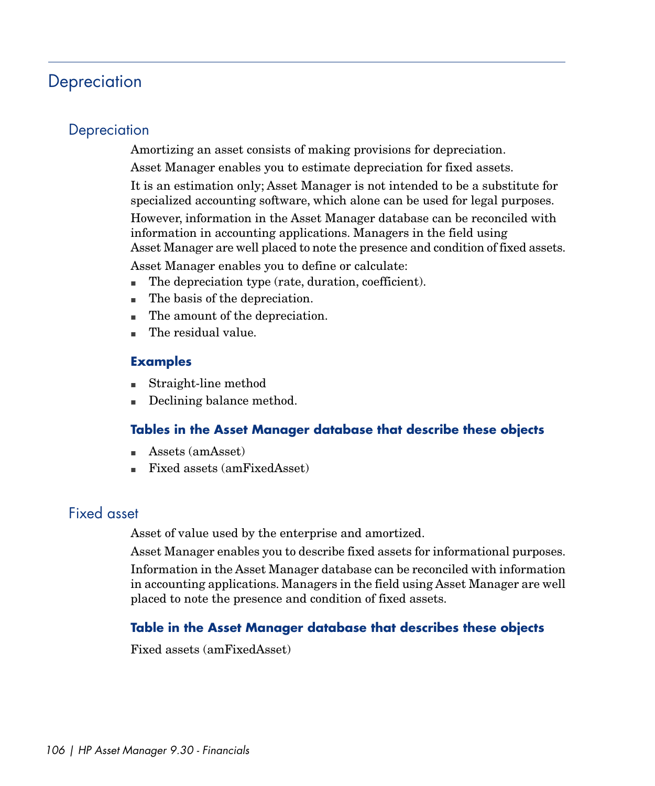# **Depreciation**

# **Depreciation**

Amortizing an asset consists of making provisions for depreciation.

Asset Manager enables you to estimate depreciation for fixed assets.

It is an estimation only; Asset Manager is not intended to be a substitute for specialized accounting software, which alone can be used for legal purposes.

However, information in the Asset Manager database can be reconciled with information in accounting applications. Managers in the field using Asset Manager are well placed to note the presence and condition of fixed assets.

Asset Manager enables you to define or calculate:

- $\blacksquare$  The depreciation type (rate, duration, coefficient).
- $\blacksquare$  The basis of the depreciation.
- The amount of the depreciation.
- The residual value.

#### **Examples**

- Straight-line method
- Declining balance method.

#### **Tables in the Asset Manager database that describe these objects**

- $\blacksquare$  Assets (amAsset)
- Fixed assets (amFixedAsset)

## Fixed asset

Asset of value used by the enterprise and amortized.

Asset Manager enables you to describe fixed assets for informational purposes.

Information in the Asset Manager database can be reconciled with information in accounting applications. Managers in the field using Asset Manager are well placed to note the presence and condition of fixed assets.

#### **Table in the Asset Manager database that describes these objects**

Fixed assets (amFixedAsset)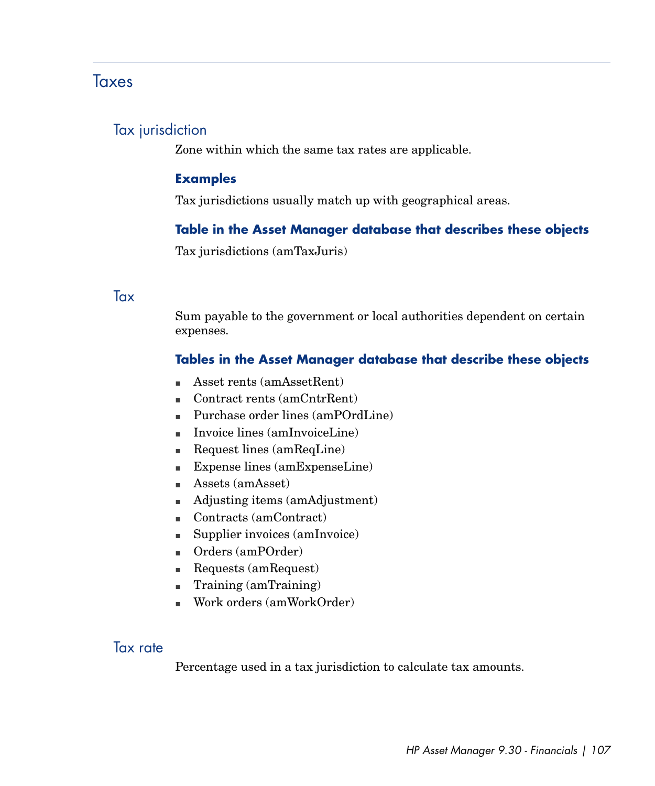# **Taxes**

# Tax jurisdiction

Zone within which the same tax rates are applicable.

#### **Examples**

Tax jurisdictions usually match up with geographical areas.

#### **Table in the Asset Manager database that describes these objects**

Tax jurisdictions (amTaxJuris)

## **Tax**

Sum payable to the government or local authorities dependent on certain expenses.

## **Tables in the Asset Manager database that describe these objects**

- Asset rents (amAssetRent)
- Contract rents (amCntrRent)
- <sup>n</sup> Purchase order lines (amPOrdLine)
- Invoice lines (amInvoiceLine)
- <sup>n</sup> Request lines (amReqLine)
- <sup>n</sup> Expense lines (amExpenseLine)
- n Assets (amAsset)
- Adjusting items (amAdjustment)
- Contracts (amContract)
- $\blacksquare$  Supplier invoices (amInvoice)
- n Orders (amPOrder)
- <sup>n</sup> Requests (amRequest)
- n Training (amTraining)
- Work orders (amWorkOrder)

## Tax rate

Percentage used in a tax jurisdiction to calculate tax amounts.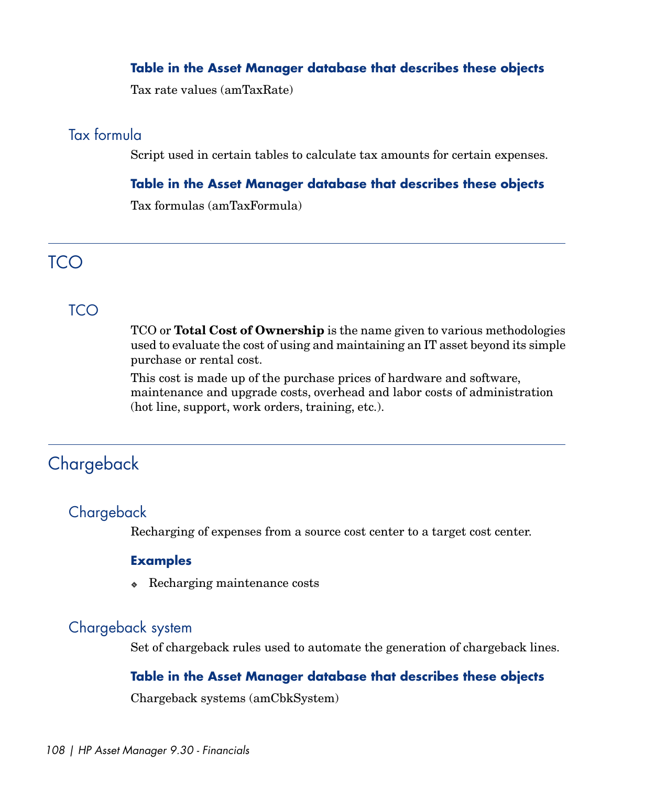#### **Table in the Asset Manager database that describes these objects**

Tax rate values (amTaxRate)

## Tax formula

Script used in certain tables to calculate tax amounts for certain expenses.

#### **Table in the Asset Manager database that describes these objects**

Tax formulas (amTaxFormula)

# **TCO**

# TCO

TCO or **Total Cost of Ownership** is the name given to various methodologies used to evaluate the cost of using and maintaining an IT asset beyond its simple purchase or rental cost.

This cost is made up of the purchase prices of hardware and software, maintenance and upgrade costs, overhead and labor costs of administration (hot line, support, work orders, training, etc.).

# **Chargeback**

# **Chargeback**

Recharging of expenses from a source cost center to a target cost center.

#### **Examples**

 $\triangleleft$  Recharging maintenance costs

## Chargeback system

Set of chargeback rules used to automate the generation of chargeback lines.

#### **Table in the Asset Manager database that describes these objects**

Chargeback systems (amCbkSystem)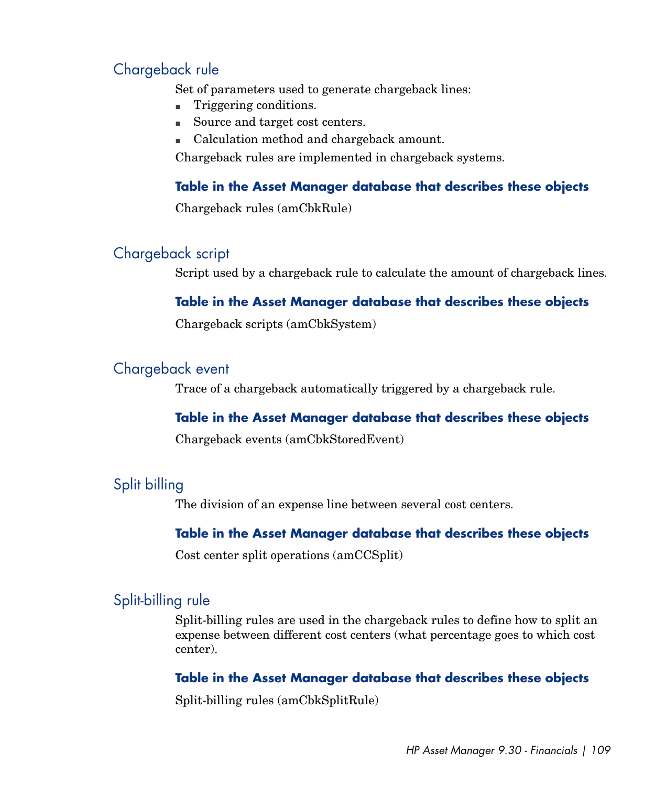# Chargeback rule

<span id="page-108-1"></span>Set of parameters used to generate chargeback lines:

- Triggering conditions.
- Source and target cost centers.
- Calculation method and chargeback amount.

Chargeback rules are implemented in chargeback systems.

#### **Table in the Asset Manager database that describes these objects**

Chargeback rules (amCbkRule)

## Chargeback script

<span id="page-108-2"></span>Script used by a chargeback rule to calculate the amount of chargeback lines.

#### **Table in the Asset Manager database that describes these objects**

<span id="page-108-0"></span>Chargeback scripts (amCbkSystem)

## Chargeback event

Trace of a chargeback automatically triggered by a chargeback rule.

#### **Table in the Asset Manager database that describes these objects**

<span id="page-108-3"></span>Chargeback events (amCbkStoredEvent)

# Split billing

The division of an expense line between several cost centers.

#### **Table in the Asset Manager database that describes these objects**

<span id="page-108-4"></span>Cost center split operations (amCCSplit)

## Split-billing rule

Split-billing rules are used in the chargeback rules to define how to split an expense between different cost centers (what percentage goes to which cost center).

#### **Table in the Asset Manager database that describes these objects**

Split-billing rules (amCbkSplitRule)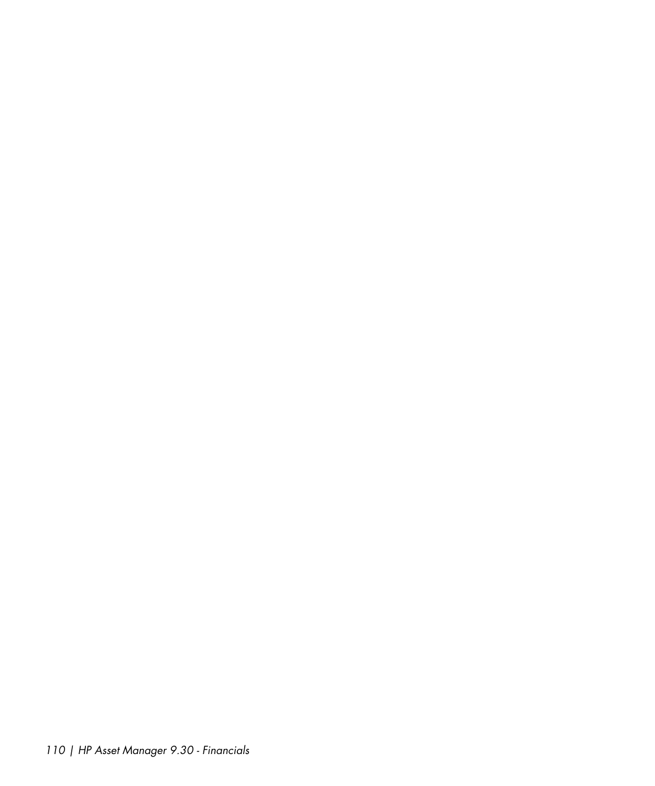*110 | HP Asset Manager 9.30 - Financials*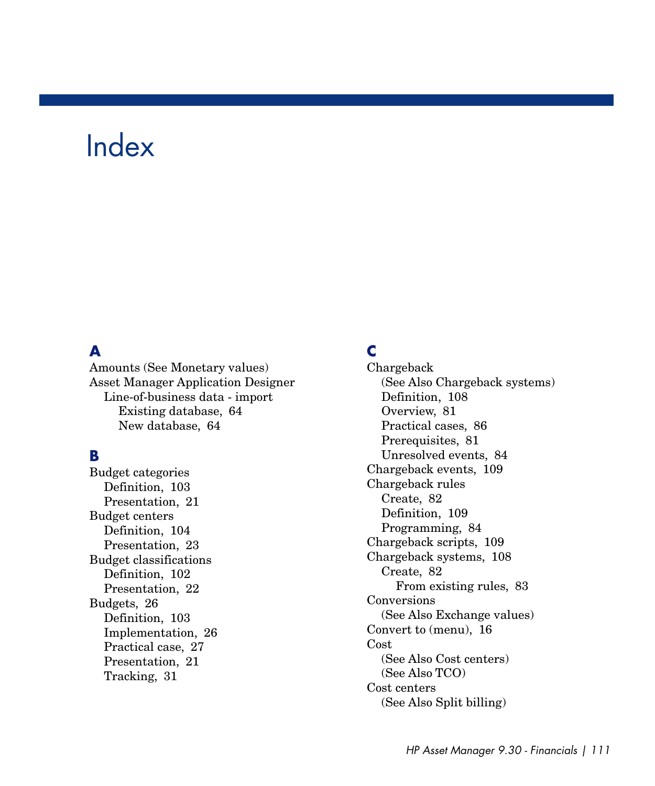# Index

# **A**

Amounts (See Monetary values) Asset Manager Application Designer Line-of-business data - import Existing database, [64](#page-63-0) New database, [64](#page-63-1)

# **B**

Budget categories Definition, [103](#page-102-0) Presentation, [21](#page-20-0) Budget centers Definition, [104](#page-103-0) Presentation, [23](#page-22-0) Budget classifications Definition, [102](#page-101-0) Presentation, [22](#page-21-0) Budgets, [26](#page-25-0) Definition, [103](#page-102-1) Implementation, [26](#page-25-1) Practical case, [27](#page-26-0) Presentation, [21](#page-20-1) Tracking, [31](#page-30-0)

# **C**

Chargeback (See Also Chargeback systems) Definition, [108](#page-107-0) Overview, [81](#page-80-0) Practical cases, [86](#page-85-0) Prerequisites, [81](#page-80-1) Unresolved events, [84](#page-83-0) Chargeback events, [109](#page-108-0) Chargeback rules Create, [82](#page-81-0) Definition, [109](#page-108-1) Programming, [84](#page-83-1) Chargeback scripts, [109](#page-108-2) Chargeback systems, [108](#page-107-1) Create, [82](#page-81-0) From existing rules, [83](#page-82-0) Conversions (See Also Exchange values) Convert to (menu), [16](#page-15-0) Cost (See Also Cost centers) (See Also TCO) Cost centers (See Also Split billing)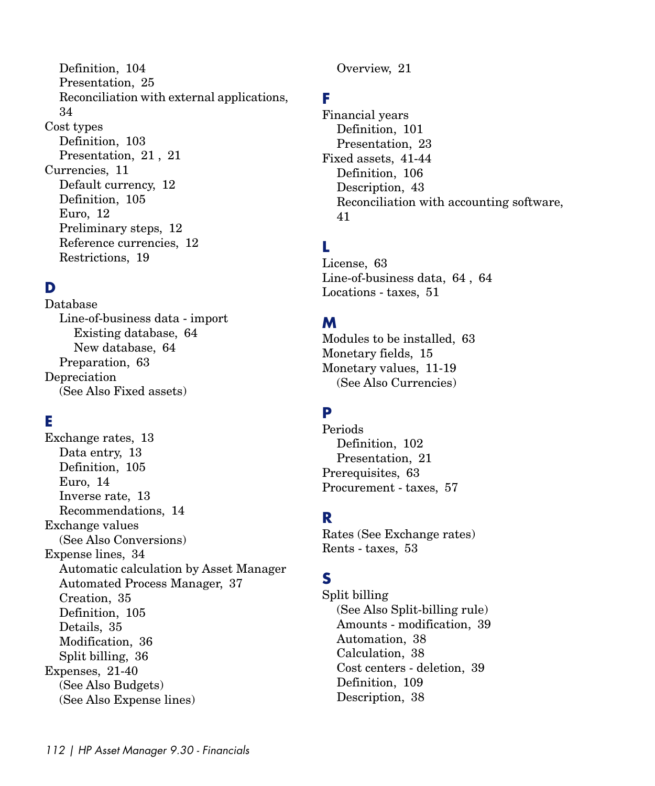Definition, [104](#page-103-1) Presentation, [25](#page-24-0) Reconciliation with external applications, [34](#page-33-0) Cost types Definition, [103](#page-102-2) Presentation, [21](#page-20-1) , [21](#page-20-1) Currencies, [11](#page-10-0) Default currency, [12](#page-11-0) Definition, [105](#page-104-0) Euro, [12](#page-11-1) Preliminary steps, [12](#page-11-2) Reference currencies, [12](#page-11-3) Restrictions, [19](#page-18-0)

# **D**

Database Line-of-business data - import Existing database, [64](#page-63-0) New database, [64](#page-63-1) Preparation, [63](#page-62-0) Depreciation (See Also Fixed assets)

# **E**

Exchange rates, [13](#page-12-0) Data entry, [13](#page-12-1) Definition, [105](#page-104-1) Euro, [14](#page-13-0) Inverse rate, [13](#page-12-2) Recommendations, [14](#page-13-1) Exchange values (See Also Conversions) Expense lines, [34](#page-33-1) Automatic calculation by Asset Manager Automated Process Manager, [37](#page-36-0) Creation, [35](#page-34-0) Definition, [105](#page-104-2) Details, [35](#page-34-1) Modification, [36](#page-35-0) Split billing, [36](#page-35-1) Expenses, [21-40](#page-20-2) (See Also Budgets) (See Also Expense lines)

Overview, [21](#page-20-3)

# **F**

Financial years Definition, [101](#page-100-0) Presentation, [23](#page-22-1) Fixed assets, [41-44](#page-40-0) Definition, [106](#page-105-0) Description, [43](#page-42-0) Reconciliation with accounting software, [41](#page-40-1)

# **L**

License, [63](#page-62-1) Line-of-business data, [64 ,](#page-63-0) [64](#page-63-1) Locations - taxes, [51](#page-50-0)

#### **M**

Modules to be installed, [63](#page-62-1) Monetary fields, [15](#page-14-0) Monetary values, [11-19](#page-10-1) (See Also Currencies)

# **P**

Periods Definition, [102](#page-101-1) Presentation, [21](#page-20-1) Prerequisites, [63](#page-62-1) Procurement - taxes, [57](#page-56-0)

# **R**

Rates (See Exchange rates) Rents - taxes, [53](#page-52-0)

# **S**

Split billing (See Also Split-billing rule) Amounts - modification, [39](#page-38-0) Automation, [38](#page-37-0) Calculation, [38](#page-37-1) Cost centers - deletion, [39](#page-38-1) Definition, [109](#page-108-3) Description, [38](#page-37-1)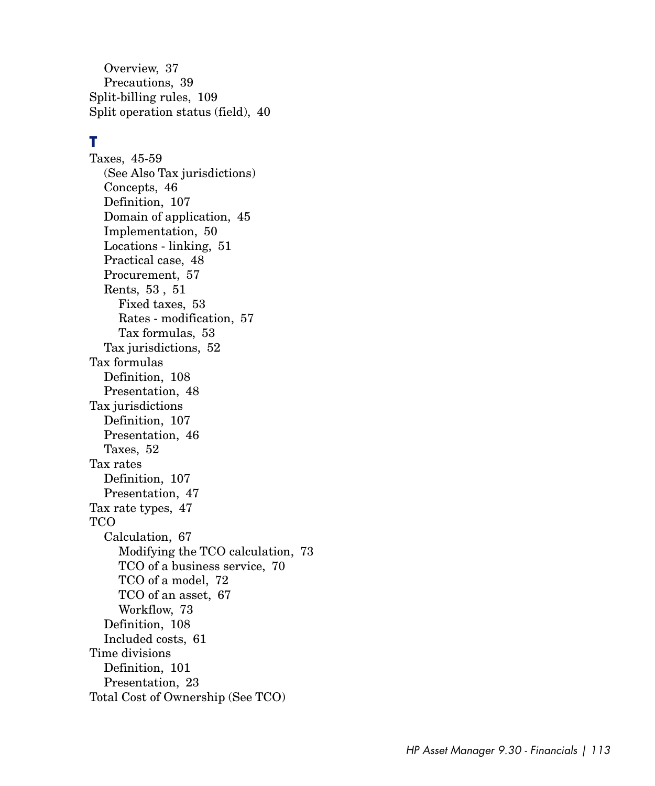Overview, [37](#page-36-1) Precautions, [39](#page-38-2) Split-billing rules, [109](#page-108-4) Split operation status (field), [40](#page-39-0)

# **T**

Taxes, [45-59](#page-44-0) (See Also Tax jurisdictions) Concepts, [46](#page-45-0) Definition, [107](#page-106-0) Domain of application, [45](#page-44-1) Implementation, [50](#page-49-0) Locations - linking, [51](#page-50-0) Practical case, [48](#page-47-0) Procurement, [57](#page-56-0) Rents, [53](#page-52-0) , [51](#page-50-1) Fixed taxes, [53](#page-52-1) Rates - modification, [57](#page-56-1) Tax formulas, [53](#page-52-2) Tax jurisdictions, [52](#page-51-0) Tax formulas Definition, [108](#page-107-2) Presentation, [48](#page-47-1) Tax jurisdictions Definition, [107](#page-106-1) Presentation, [46](#page-45-1) Taxes, [52](#page-51-0) Tax rates Definition, [107](#page-106-2) Presentation, [47](#page-46-0) Tax rate types, [47](#page-46-1) TCO Calculation, [67](#page-66-0) Modifying the TCO calculation, [73](#page-72-0) TCO of a business service, [70](#page-69-0) TCO of a model, [72](#page-71-0) TCO of an asset, [67](#page-66-1) Workflow, [73](#page-72-1) Definition, [108](#page-107-3) Included costs, [61](#page-60-0) Time divisions Definition, [101](#page-100-1) Presentation, [23](#page-22-2) Total Cost of Ownership (See TCO)